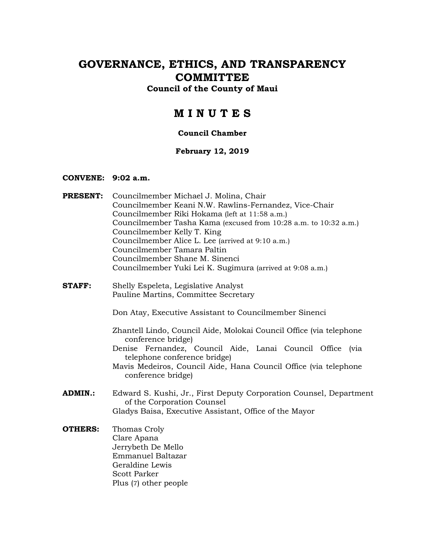# **GOVERNANCE, ETHICS, AND TRANSPARENCY COMMITTEE**

### **Council of the County of Maui**

## **M I N U T E S**

#### **Council Chamber**

#### **February 12, 2019**

#### **CONVENE: 9:02 a.m.**

- **PRESENT:** Councilmember Michael J. Molina, Chair Councilmember Keani N.W. Rawlins-Fernandez, Vice-Chair Councilmember Riki Hokama (left at 11:58 a.m.) Councilmember Tasha Kama (excused from 10:28 a.m. to 10:32 a.m.) Councilmember Kelly T. King Councilmember Alice L. Lee (arrived at 9:10 a.m.) Councilmember Tamara Paltin Councilmember Shane M. Sinenci Councilmember Yuki Lei K. Sugimura (arrived at 9:08 a.m.)
- **STAFF:** Shelly Espeleta, Legislative Analyst Pauline Martins, Committee Secretary

Don Atay, Executive Assistant to Councilmember Sinenci

Zhantell Lindo, Council Aide, Molokai Council Office (via telephone conference bridge)

Denise Fernandez, Council Aide, Lanai Council Office (via telephone conference bridge)

Mavis Medeiros, Council Aide, Hana Council Office (via telephone conference bridge)

- **ADMIN.:** Edward S. Kushi, Jr., First Deputy Corporation Counsel, Department of the Corporation Counsel Gladys Baisa, Executive Assistant, Office of the Mayor
- **OTHERS:** Thomas Croly Clare Apana Jerrybeth De Mello Emmanuel Baltazar Geraldine Lewis Scott Parker Plus (7) other people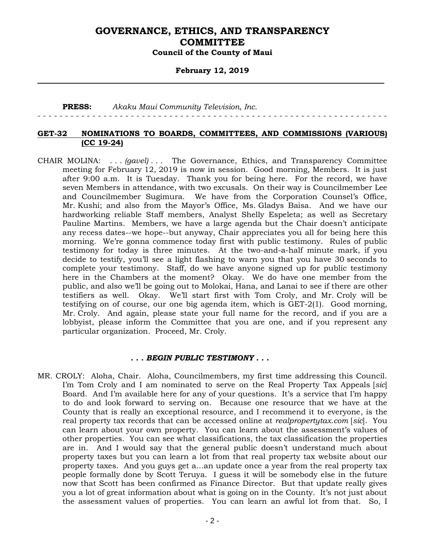#### **February 12, 2019**

#### **PRESS:** *Akaku Maui Community Television, Inc.*

- - - - - - - - - - - - - - - - - - - - - - - - - - - - - - - - - - - - - - - - - - - - - - - - - - - - - - - - - - - - - - - -

#### **GET-32 NOMINATIONS TO BOARDS, COMMITTEES, AND COMMISSIONS (VARIOUS) (CC 19-24)**

CHAIR MOLINA: . . . *(gavel)* . . . The Governance, Ethics, and Transparency Committee meeting for February 12, 2019 is now in session. Good morning, Members. It is just after 9:00 a.m. It is Tuesday. Thank you for being here. For the record, we have seven Members in attendance, with two excusals. On their way is Councilmember Lee and Councilmember Sugimura. We have from the Corporation Counsel's Office, Mr. Kushi; and also from the Mayor's Office, Ms. Gladys Baisa. And we have our hardworking reliable Staff members, Analyst Shelly Espeleta; as well as Secretary Pauline Martins. Members, we have a large agenda but the Chair doesn't anticipate any recess dates--we hope--but anyway, Chair appreciates you all for being here this morning. We're gonna commence today first with public testimony. Rules of public testimony for today is three minutes. At the two-and-a-half minute mark, if you decide to testify, you'll see a light flashing to warn you that you have 30 seconds to complete your testimony. Staff, do we have anyone signed up for public testimony here in the Chambers at the moment? Okay. We do have one member from the public, and also we'll be going out to Molokai, Hana, and Lanai to see if there are other testifiers as well. Okay. We'll start first with Tom Croly, and Mr. Croly will be testifying on of course, our one big agenda item, which is GET-2(1). Good morning, Mr. Croly. And again, please state your full name for the record, and if you are a lobbyist, please inform the Committee that you are one, and if you represent any particular organization. Proceed, Mr. Croly.

#### *. . . BEGIN PUBLIC TESTIMONY . . .*

MR. CROLY: Aloha, Chair. Aloha, Councilmembers, my first time addressing this Council. I'm Tom Croly and I am nominated to serve on the Real Property Tax Appeals [*sic*] Board. And I'm available here for any of your questions. It's a service that I'm happy to do and look forward to serving on. Because one resource that we have at the County that is really an exceptional resource, and I recommend it to everyone, is the real property tax records that can be accessed online at *realpropertytax.com* [*sic*]. You can learn about your own property. You can learn about the assessment's values of other properties. You can see what classifications, the tax classification the properties are in. And I would say that the general public doesn't understand much about property taxes but you can learn a lot from that real property tax website about our property taxes. And you guys get a…an update once a year from the real property tax people formally done by Scott Teruya. I guess it will be somebody else in the future now that Scott has been confirmed as Finance Director. But that update really gives you a lot of great information about what is going on in the County. It's not just about the assessment values of properties. You can learn an awful lot from that. So, I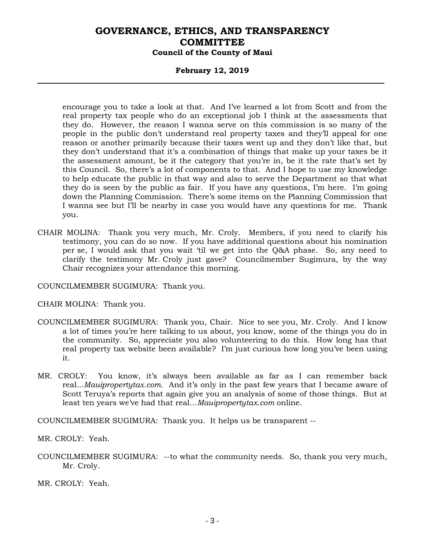#### **February 12, 2019**

encourage you to take a look at that. And I've learned a lot from Scott and from the real property tax people who do an exceptional job I think at the assessments that they do. However, the reason I wanna serve on this commission is so many of the people in the public don't understand real property taxes and they'll appeal for one reason or another primarily because their taxes went up and they don't like that, but they don't understand that it's a combination of things that make up your taxes be it the assessment amount, be it the category that you're in, be it the rate that's set by this Council. So, there's a lot of components to that. And I hope to use my knowledge to help educate the public in that way and also to serve the Department so that what they do is seen by the public as fair. If you have any questions, I'm here. I'm going down the Planning Commission. There's some items on the Planning Commission that I wanna see but I'll be nearby in case you would have any questions for me. Thank you.

CHAIR MOLINA: Thank you very much, Mr. Croly. Members, if you need to clarify his testimony, you can do so now. If you have additional questions about his nomination per se, I would ask that you wait 'til we get into the Q&A phase. So, any need to clarify the testimony Mr. Croly just gave? Councilmember Sugimura, by the way Chair recognizes your attendance this morning.

COUNCILMEMBER SUGIMURA: Thank you.

CHAIR MOLINA: Thank you.

- COUNCILMEMBER SUGIMURA: Thank you, Chair. Nice to see you, Mr. Croly. And I know a lot of times you're here talking to us about, you know, some of the things you do in the community. So, appreciate you also volunteering to do this. How long has that real property tax website been available? I'm just curious how long you've been using it.
- MR. CROLY: You know, it's always been available as far as I can remember back real...*Mauipropertytax.com*. And it's only in the past few years that I became aware of Scott Teruya's reports that again give you an analysis of some of those things. But at least ten years we've had that real…*Mauipropertytax.com* online.

COUNCILMEMBER SUGIMURA: Thank you. It helps us be transparent --

MR. CROLY: Yeah.

COUNCILMEMBER SUGIMURA: --to what the community needs. So, thank you very much, Mr. Croly.

MR. CROLY: Yeah.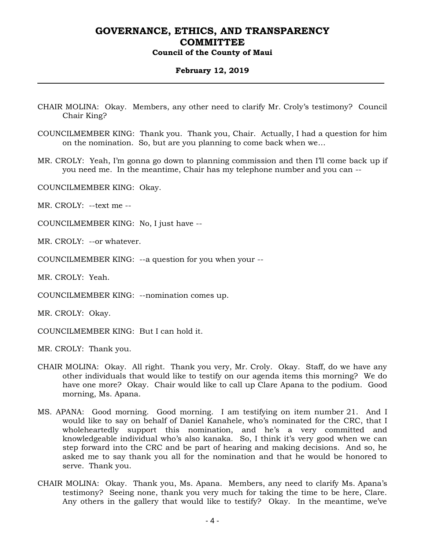#### **February 12, 2019**

- CHAIR MOLINA: Okay. Members, any other need to clarify Mr. Croly's testimony? Council Chair King?
- COUNCILMEMBER KING: Thank you. Thank you, Chair. Actually, I had a question for him on the nomination. So, but are you planning to come back when we…
- MR. CROLY: Yeah, I'm gonna go down to planning commission and then I'll come back up if you need me. In the meantime, Chair has my telephone number and you can --

COUNCILMEMBER KING: Okay.

MR. CROLY: --text me --

COUNCILMEMBER KING: No, I just have --

MR. CROLY: --or whatever.

COUNCILMEMBER KING: --a question for you when your --

MR. CROLY: Yeah.

COUNCILMEMBER KING: --nomination comes up.

MR. CROLY: Okay.

COUNCILMEMBER KING: But I can hold it.

MR. CROLY: Thank you.

- CHAIR MOLINA: Okay. All right. Thank you very, Mr. Croly. Okay. Staff, do we have any other individuals that would like to testify on our agenda items this morning? We do have one more? Okay. Chair would like to call up Clare Apana to the podium. Good morning, Ms. Apana.
- MS. APANA: Good morning. Good morning. I am testifying on item number 21. And I would like to say on behalf of Daniel Kanahele, who's nominated for the CRC, that I wholeheartedly support this nomination, and he's a very committed and knowledgeable individual who's also kanaka. So, I think it's very good when we can step forward into the CRC and be part of hearing and making decisions. And so, he asked me to say thank you all for the nomination and that he would be honored to serve. Thank you.
- CHAIR MOLINA: Okay. Thank you, Ms. Apana. Members, any need to clarify Ms. Apana's testimony? Seeing none, thank you very much for taking the time to be here, Clare. Any others in the gallery that would like to testify? Okay. In the meantime, we've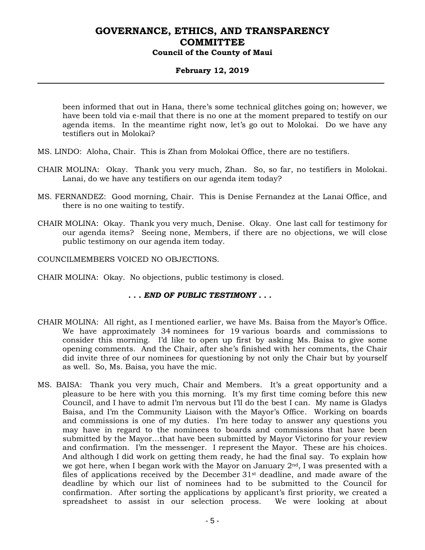#### **February 12, 2019**

been informed that out in Hana, there's some technical glitches going on; however, we have been told via e-mail that there is no one at the moment prepared to testify on our agenda items. In the meantime right now, let's go out to Molokai. Do we have any testifiers out in Molokai?

- MS. LINDO: Aloha, Chair. This is Zhan from Molokai Office, there are no testifiers.
- CHAIR MOLINA: Okay. Thank you very much, Zhan. So, so far, no testifiers in Molokai. Lanai, do we have any testifiers on our agenda item today?
- MS. FERNANDEZ: Good morning, Chair. This is Denise Fernandez at the Lanai Office, and there is no one waiting to testify.
- CHAIR MOLINA: Okay. Thank you very much, Denise. Okay. One last call for testimony for our agenda items? Seeing none, Members, if there are no objections, we will close public testimony on our agenda item today.
- COUNCILMEMBERS VOICED NO OBJECTIONS.
- CHAIR MOLINA: Okay. No objections, public testimony is closed.

#### *. . . END OF PUBLIC TESTIMONY . . .*

- CHAIR MOLINA: All right, as I mentioned earlier, we have Ms. Baisa from the Mayor's Office. We have approximately 34 nominees for 19 various boards and commissions to consider this morning. I'd like to open up first by asking Ms. Baisa to give some opening comments. And the Chair, after she's finished with her comments, the Chair did invite three of our nominees for questioning by not only the Chair but by yourself as well. So, Ms. Baisa, you have the mic.
- MS. BAISA: Thank you very much, Chair and Members. It's a great opportunity and a pleasure to be here with you this morning. It's my first time coming before this new Council, and I have to admit I'm nervous but I'll do the best I can. My name is Gladys Baisa, and I'm the Community Liaison with the Mayor's Office. Working on boards and commissions is one of my duties. I'm here today to answer any questions you may have in regard to the nominees to boards and commissions that have been submitted by the Mayor…that have been submitted by Mayor Victorino for your review and confirmation. I'm the messenger. I represent the Mayor. These are his choices. And although I did work on getting them ready, he had the final say. To explain how we got here, when I began work with the Mayor on January  $2<sup>nd</sup>$ , I was presented with a files of applications received by the December  $31<sup>st</sup>$  deadline, and made aware of the deadline by which our list of nominees had to be submitted to the Council for confirmation. After sorting the applications by applicant's first priority, we created a spreadsheet to assist in our selection process. We were looking at about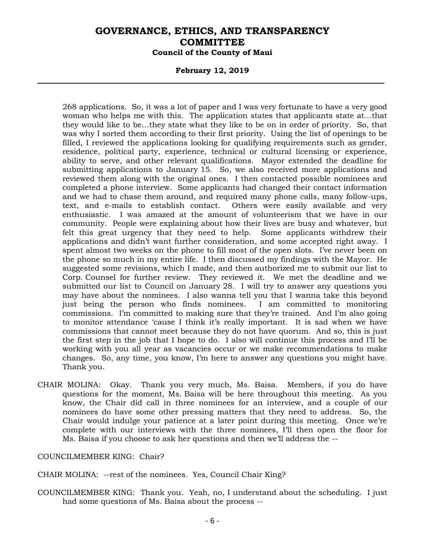#### **February 12, 2019**

268 applications. So, it was a lot of paper and I was very fortunate to have a very good woman who helps me with this. The application states that applicants state at…that they would like to be…they state what they like to be on in order of priority. So, that was why I sorted them according to their first priority. Using the list of openings to be filled, I reviewed the applications looking for qualifying requirements such as gender, residence, political party, experience, technical or cultural licensing or experience, ability to serve, and other relevant qualifications. Mayor extended the deadline for submitting applications to January 15. So, we also received more applications and reviewed them along with the original ones. I then contacted possible nominees and completed a phone interview. Some applicants had changed their contact information and we had to chase them around, and required many phone calls, many follow-ups, text, and e-mails to establish contact. Others were easily available and very enthusiastic. I was amazed at the amount of volunteerism that we have in our community. People were explaining about how their lives are busy and whatever, but felt this great urgency that they need to help. Some applicants withdrew their applications and didn't want further consideration, and some accepted right away. I spent almost two weeks on the phone to fill most of the open slots. I've never been on the phone so much in my entire life. I then discussed my findings with the Mayor. He suggested some revisions, which I made, and then authorized me to submit our list to Corp. Counsel for further review. They reviewed it. We met the deadline and we submitted our list to Council on January 28. I will try to answer any questions you may have about the nominees. I also wanna tell you that I wanna take this beyond just being the person who finds nominees. I am committed to monitoring commissions. I'm committed to making sure that they're trained. And I'm also going to monitor attendance 'cause I think it's really important. It is sad when we have commissions that cannot meet because they do not have quorum. And so, this is just the first step in the job that I hope to do. I also will continue this process and I'll be working with you all year as vacancies occur or we make recommendations to make changes. So, any time, you know, I'm here to answer any questions you might have. Thank you.

CHAIR MOLINA: Okay. Thank you very much, Ms. Baisa. Members, if you do have questions for the moment, Ms. Baisa will be here throughout this meeting. As you know, the Chair did call in three nominees for an interview, and a couple of our nominees do have some other pressing matters that they need to address. So, the Chair would indulge your patience at a later point during this meeting. Once we're complete with our interviews with the three nominees, I'll then open the floor for Ms. Baisa if you choose to ask her questions and then we'll address the --

COUNCILMEMBER KING: Chair?

CHAIR MOLINA: --rest of the nominees. Yes, Council Chair King?

COUNCILMEMBER KING: Thank you. Yeah, no, I understand about the scheduling. I just had some questions of Ms. Baisa about the process --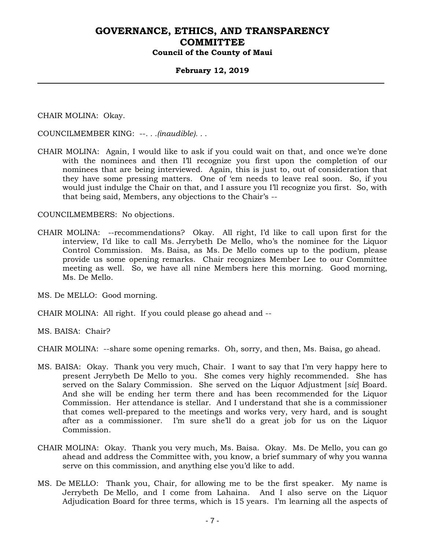#### **February 12, 2019**

CHAIR MOLINA: Okay.

COUNCILMEMBER KING: --*. . .(inaudible). . .*

CHAIR MOLINA: Again, I would like to ask if you could wait on that, and once we're done with the nominees and then I'll recognize you first upon the completion of our nominees that are being interviewed. Again, this is just to, out of consideration that they have some pressing matters. One of 'em needs to leave real soon. So, if you would just indulge the Chair on that, and I assure you I'll recognize you first. So, with that being said, Members, any objections to the Chair's --

COUNCILMEMBERS: No objections.

CHAIR MOLINA: --recommendations? Okay. All right, I'd like to call upon first for the interview, I'd like to call Ms. Jerrybeth De Mello, who's the nominee for the Liquor Control Commission. Ms. Baisa, as Ms. De Mello comes up to the podium, please provide us some opening remarks. Chair recognizes Member Lee to our Committee meeting as well. So, we have all nine Members here this morning. Good morning, Ms. De Mello.

MS. De MELLO: Good morning.

CHAIR MOLINA: All right. If you could please go ahead and --

MS. BAISA: Chair?

CHAIR MOLINA: --share some opening remarks. Oh, sorry, and then, Ms. Baisa, go ahead.

- MS. BAISA: Okay. Thank you very much, Chair. I want to say that I'm very happy here to present Jerrybeth De Mello to you. She comes very highly recommended. She has served on the Salary Commission. She served on the Liquor Adjustment [*sic*] Board. And she will be ending her term there and has been recommended for the Liquor Commission. Her attendance is stellar. And I understand that she is a commissioner that comes well-prepared to the meetings and works very, very hard, and is sought after as a commissioner. I'm sure she'll do a great job for us on the Liquor Commission.
- CHAIR MOLINA: Okay. Thank you very much, Ms. Baisa. Okay. Ms. De Mello, you can go ahead and address the Committee with, you know, a brief summary of why you wanna serve on this commission, and anything else you'd like to add.
- MS. De MELLO: Thank you, Chair, for allowing me to be the first speaker. My name is Jerrybeth De Mello, and I come from Lahaina. And I also serve on the Liquor Adjudication Board for three terms, which is 15 years. I'm learning all the aspects of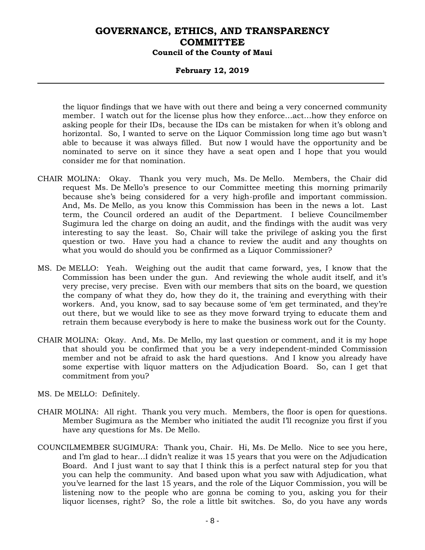#### **February 12, 2019**

the liquor findings that we have with out there and being a very concerned community member. I watch out for the license plus how they enforce…act…how they enforce on asking people for their IDs, because the IDs can be mistaken for when it's oblong and horizontal. So, I wanted to serve on the Liquor Commission long time ago but wasn't able to because it was always filled. But now I would have the opportunity and be nominated to serve on it since they have a seat open and I hope that you would consider me for that nomination.

- CHAIR MOLINA: Okay. Thank you very much, Ms. De Mello. Members, the Chair did request Ms. De Mello's presence to our Committee meeting this morning primarily because she's being considered for a very high-profile and important commission. And, Ms. De Mello, as you know this Commission has been in the news a lot. Last term, the Council ordered an audit of the Department. I believe Councilmember Sugimura led the charge on doing an audit, and the findings with the audit was very interesting to say the least. So, Chair will take the privilege of asking you the first question or two. Have you had a chance to review the audit and any thoughts on what you would do should you be confirmed as a Liquor Commissioner?
- MS. De MELLO: Yeah. Weighing out the audit that came forward, yes, I know that the Commission has been under the gun. And reviewing the whole audit itself, and it's very precise, very precise. Even with our members that sits on the board, we question the company of what they do, how they do it, the training and everything with their workers. And, you know, sad to say because some of 'em get terminated, and they're out there, but we would like to see as they move forward trying to educate them and retrain them because everybody is here to make the business work out for the County.
- CHAIR MOLINA: Okay. And, Ms. De Mello, my last question or comment, and it is my hope that should you be confirmed that you be a very independent-minded Commission member and not be afraid to ask the hard questions. And I know you already have some expertise with liquor matters on the Adjudication Board. So, can I get that commitment from you?
- MS. De MELLO: Definitely.
- CHAIR MOLINA: All right. Thank you very much. Members, the floor is open for questions. Member Sugimura as the Member who initiated the audit I'll recognize you first if you have any questions for Ms. De Mello.
- COUNCILMEMBER SUGIMURA: Thank you, Chair. Hi, Ms. De Mello. Nice to see you here, and I'm glad to hear…I didn't realize it was 15 years that you were on the Adjudication Board. And I just want to say that I think this is a perfect natural step for you that you can help the community. And based upon what you saw with Adjudication, what you've learned for the last 15 years, and the role of the Liquor Commission, you will be listening now to the people who are gonna be coming to you, asking you for their liquor licenses, right? So, the role a little bit switches. So, do you have any words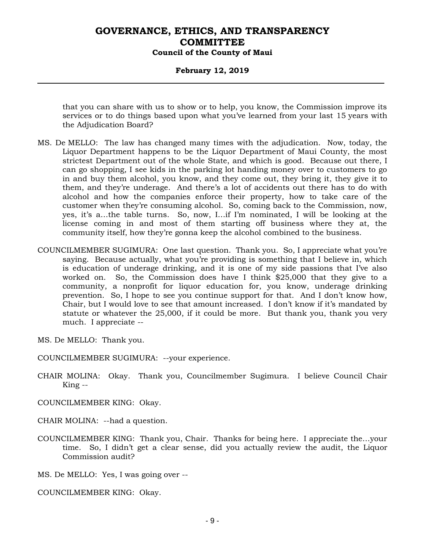#### **February 12, 2019**

that you can share with us to show or to help, you know, the Commission improve its services or to do things based upon what you've learned from your last 15 years with the Adjudication Board?

- MS. De MELLO: The law has changed many times with the adjudication. Now, today, the Liquor Department happens to be the Liquor Department of Maui County, the most strictest Department out of the whole State, and which is good. Because out there, I can go shopping, I see kids in the parking lot handing money over to customers to go in and buy them alcohol, you know, and they come out, they bring it, they give it to them, and they're underage. And there's a lot of accidents out there has to do with alcohol and how the companies enforce their property, how to take care of the customer when they're consuming alcohol. So, coming back to the Commission, now, yes, it's a…the table turns. So, now, I…if I'm nominated, I will be looking at the license coming in and most of them starting off business where they at, the community itself, how they're gonna keep the alcohol combined to the business.
- COUNCILMEMBER SUGIMURA: One last question. Thank you. So, I appreciate what you're saying. Because actually, what you're providing is something that I believe in, which is education of underage drinking, and it is one of my side passions that I've also worked on. So, the Commission does have I think \$25,000 that they give to a community, a nonprofit for liquor education for, you know, underage drinking prevention. So, I hope to see you continue support for that. And I don't know how, Chair, but I would love to see that amount increased. I don't know if it's mandated by statute or whatever the 25,000, if it could be more. But thank you, thank you very much. I appreciate --

MS. De MELLO: Thank you.

- COUNCILMEMBER SUGIMURA: --your experience.
- CHAIR MOLINA: Okay. Thank you, Councilmember Sugimura. I believe Council Chair King --
- COUNCILMEMBER KING: Okay.
- CHAIR MOLINA: --had a question.
- COUNCILMEMBER KING: Thank you, Chair. Thanks for being here. I appreciate the…your time. So, I didn't get a clear sense, did you actually review the audit, the Liquor Commission audit?

MS. De MELLO: Yes, I was going over --

COUNCILMEMBER KING: Okay.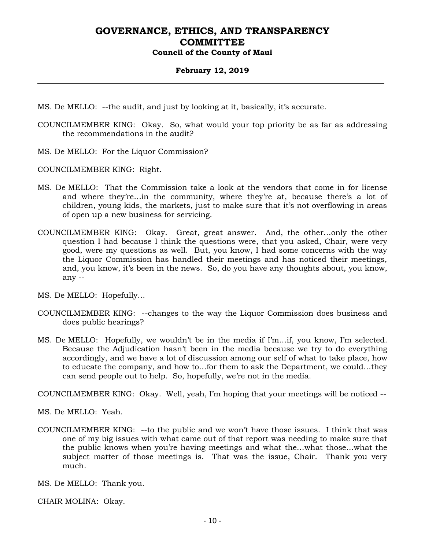#### **February 12, 2019**

- MS. De MELLO: --the audit, and just by looking at it, basically, it's accurate.
- COUNCILMEMBER KING: Okay. So, what would your top priority be as far as addressing the recommendations in the audit?
- MS. De MELLO: For the Liquor Commission?

COUNCILMEMBER KING: Right.

- MS. De MELLO: That the Commission take a look at the vendors that come in for license and where they're…in the community, where they're at, because there's a lot of children, young kids, the markets, just to make sure that it's not overflowing in areas of open up a new business for servicing.
- COUNCILMEMBER KING: Okay. Great, great answer. And, the other…only the other question I had because I think the questions were, that you asked, Chair, were very good, were my questions as well. But, you know, I had some concerns with the way the Liquor Commission has handled their meetings and has noticed their meetings, and, you know, it's been in the news. So, do you have any thoughts about, you know, any --
- MS. De MELLO: Hopefully…
- COUNCILMEMBER KING: --changes to the way the Liquor Commission does business and does public hearings?
- MS. De MELLO: Hopefully, we wouldn't be in the media if I'm…if, you know, I'm selected. Because the Adjudication hasn't been in the media because we try to do everything accordingly, and we have a lot of discussion among our self of what to take place, how to educate the company, and how to…for them to ask the Department, we could…they can send people out to help. So, hopefully, we're not in the media.

COUNCILMEMBER KING: Okay. Well, yeah, I'm hoping that your meetings will be noticed --

MS. De MELLO: Yeah.

COUNCILMEMBER KING: --to the public and we won't have those issues. I think that was one of my big issues with what came out of that report was needing to make sure that the public knows when you're having meetings and what the…what those…what the subject matter of those meetings is. That was the issue, Chair. Thank you very much.

MS. De MELLO: Thank you.

CHAIR MOLINA: Okay.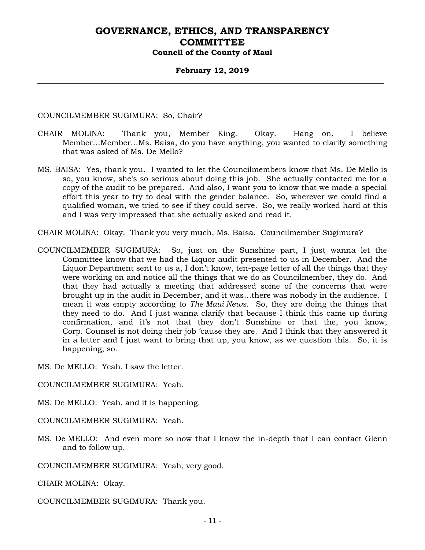#### **February 12, 2019**

COUNCILMEMBER SUGIMURA: So, Chair?

- CHAIR MOLINA: Thank you, Member King. Okay. Hang on. I believe Member…Member…Ms. Baisa, do you have anything, you wanted to clarify something that was asked of Ms. De Mello?
- MS. BAISA: Yes, thank you. I wanted to let the Councilmembers know that Ms. De Mello is so, you know, she's so serious about doing this job. She actually contacted me for a copy of the audit to be prepared. And also, I want you to know that we made a special effort this year to try to deal with the gender balance. So, wherever we could find a qualified woman, we tried to see if they could serve. So, we really worked hard at this and I was very impressed that she actually asked and read it.
- CHAIR MOLINA: Okay. Thank you very much, Ms. Baisa. Councilmember Sugimura?
- COUNCILMEMBER SUGIMURA: So, just on the Sunshine part, I just wanna let the Committee know that we had the Liquor audit presented to us in December. And the Liquor Department sent to us a, I don't know, ten-page letter of all the things that they were working on and notice all the things that we do as Councilmember, they do. And that they had actually a meeting that addressed some of the concerns that were brought up in the audit in December, and it was…there was nobody in the audience. I mean it was empty according to *The Maui News*. So, they are doing the things that they need to do. And I just wanna clarify that because I think this came up during confirmation, and it's not that they don't Sunshine or that the, you know, Corp. Counsel is not doing their job 'cause they are. And I think that they answered it in a letter and I just want to bring that up, you know, as we question this. So, it is happening, so.

MS. De MELLO: Yeah, I saw the letter.

COUNCILMEMBER SUGIMURA: Yeah.

MS. De MELLO: Yeah, and it is happening.

COUNCILMEMBER SUGIMURA: Yeah.

MS. De MELLO: And even more so now that I know the in-depth that I can contact Glenn and to follow up.

COUNCILMEMBER SUGIMURA: Yeah, very good.

CHAIR MOLINA: Okay.

COUNCILMEMBER SUGIMURA: Thank you.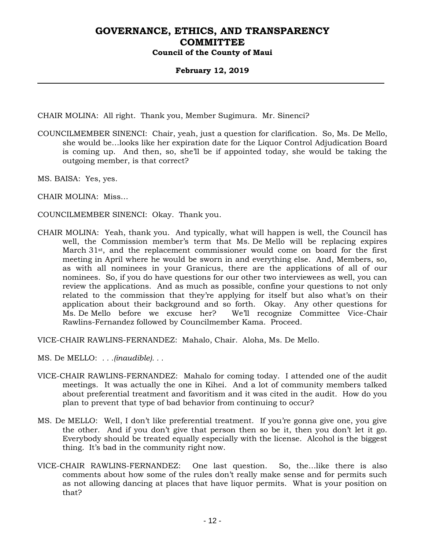#### **February 12, 2019**

CHAIR MOLINA: All right. Thank you, Member Sugimura. Mr. Sinenci?

- COUNCILMEMBER SINENCI: Chair, yeah, just a question for clarification. So, Ms. De Mello, she would be…looks like her expiration date for the Liquor Control Adjudication Board is coming up. And then, so, she'll be if appointed today, she would be taking the outgoing member, is that correct?
- MS. BAISA: Yes, yes.
- CHAIR MOLINA: Miss…
- COUNCILMEMBER SINENCI: Okay. Thank you.
- CHAIR MOLINA: Yeah, thank you. And typically, what will happen is well, the Council has well, the Commission member's term that Ms. De Mello will be replacing expires March 31st, and the replacement commissioner would come on board for the first meeting in April where he would be sworn in and everything else. And, Members, so, as with all nominees in your Granicus, there are the applications of all of our nominees. So, if you do have questions for our other two interviewees as well, you can review the applications. And as much as possible, confine your questions to not only related to the commission that they're applying for itself but also what's on their application about their background and so forth. Okay. Any other questions for Ms. De Mello before we excuse her? We'll recognize Committee Vice-Chair Rawlins-Fernandez followed by Councilmember Kama. Proceed.

VICE-CHAIR RAWLINS-FERNANDEZ: Mahalo, Chair. Aloha, Ms. De Mello.

- MS. De MELLO: *. . .(inaudible). . .*
- VICE-CHAIR RAWLINS-FERNANDEZ: Mahalo for coming today. I attended one of the audit meetings. It was actually the one in Kihei. And a lot of community members talked about preferential treatment and favoritism and it was cited in the audit. How do you plan to prevent that type of bad behavior from continuing to occur?
- MS. De MELLO: Well, I don't like preferential treatment. If you're gonna give one, you give the other. And if you don't give that person then so be it, then you don't let it go. Everybody should be treated equally especially with the license. Alcohol is the biggest thing. It's bad in the community right now.
- VICE-CHAIR RAWLINS-FERNANDEZ: One last question. So, the…like there is also comments about how some of the rules don't really make sense and for permits such as not allowing dancing at places that have liquor permits. What is your position on that?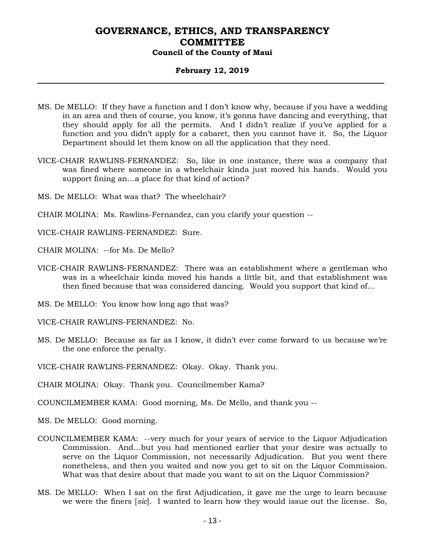#### **February 12, 2019**

- MS. De MELLO: If they have a function and I don't know why, because if you have a wedding in an area and then of course, you know, it's gonna have dancing and everything, that they should apply for all the permits. And I didn't realize if you've applied for a function and you didn't apply for a cabaret, then you cannot have it. So, the Liquor Department should let them know on all the application that they need.
- VICE-CHAIR RAWLINS-FERNANDEZ: So, like in one instance, there was a company that was fined where someone in a wheelchair kinda just moved his hands. Would you support fining an…a place for that kind of action?
- MS. De MELLO: What was that? The wheelchair?
- CHAIR MOLINA: Ms. Rawlins-Fernandez, can you clarify your question --
- VICE-CHAIR RAWLINS-FERNANDEZ: Sure.
- CHAIR MOLINA: --for Ms. De Mello?
- VICE-CHAIR RAWLINS-FERNANDEZ: There was an establishment where a gentleman who was in a wheelchair kinda moved his hands a little bit, and that establishment was then fined because that was considered dancing. Would you support that kind of…
- MS. De MELLO: You know how long ago that was?
- VICE-CHAIR RAWLINS-FERNANDEZ: No.
- MS. De MELLO: Because as far as I know, it didn't ever come forward to us because we're the one enforce the penalty.
- VICE-CHAIR RAWLINS-FERNANDEZ: Okay. Okay. Thank you.
- CHAIR MOLINA: Okay. Thank you. Councilmember Kama?
- COUNCILMEMBER KAMA: Good morning, Ms. De Mello, and thank you --
- MS. De MELLO: Good morning.
- COUNCILMEMBER KAMA: --very much for your years of service to the Liquor Adjudication Commission. And…but you had mentioned earlier that your desire was actually to serve on the Liquor Commission, not necessarily Adjudication. But you went there nonetheless, and then you waited and now you get to sit on the Liquor Commission. What was that desire about that made you want to sit on the Liquor Commission?
- MS. De MELLO: When I sat on the first Adjudication, it gave me the urge to learn because we were the finers [*sic*]. I wanted to learn how they would issue out the license. So,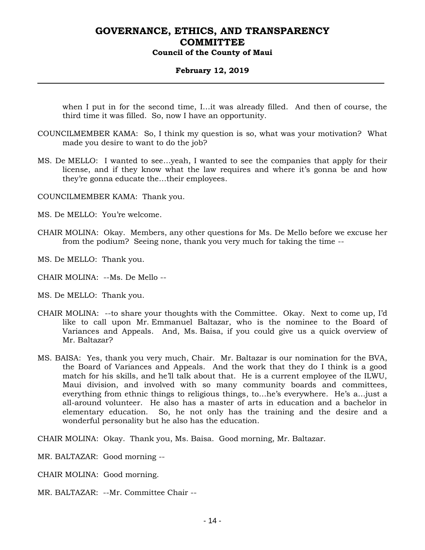#### **February 12, 2019**

when I put in for the second time, I…it was already filled. And then of course, the third time it was filled. So, now I have an opportunity.

- COUNCILMEMBER KAMA: So, I think my question is so, what was your motivation? What made you desire to want to do the job?
- MS. De MELLO: I wanted to see…yeah, I wanted to see the companies that apply for their license, and if they know what the law requires and where it's gonna be and how they're gonna educate the…their employees.

COUNCILMEMBER KAMA: Thank you.

- MS. De MELLO: You're welcome.
- CHAIR MOLINA: Okay. Members, any other questions for Ms. De Mello before we excuse her from the podium? Seeing none, thank you very much for taking the time --

MS. De MELLO: Thank you.

- CHAIR MOLINA: --Ms. De Mello --
- MS. De MELLO: Thank you.
- CHAIR MOLINA: --to share your thoughts with the Committee. Okay. Next to come up, I'd like to call upon Mr. Emmanuel Baltazar, who is the nominee to the Board of Variances and Appeals. And, Ms. Baisa, if you could give us a quick overview of Mr. Baltazar?
- MS. BAISA: Yes, thank you very much, Chair. Mr. Baltazar is our nomination for the BVA, the Board of Variances and Appeals. And the work that they do I think is a good match for his skills, and he'll talk about that. He is a current employee of the ILWU, Maui division, and involved with so many community boards and committees, everything from ethnic things to religious things, to…he's everywhere. He's a…just a all-around volunteer. He also has a master of arts in education and a bachelor in elementary education. So, he not only has the training and the desire and a wonderful personality but he also has the education.

CHAIR MOLINA: Okay. Thank you, Ms. Baisa. Good morning, Mr. Baltazar.

- MR. BALTAZAR: Good morning --
- CHAIR MOLINA: Good morning.
- MR. BALTAZAR: --Mr. Committee Chair --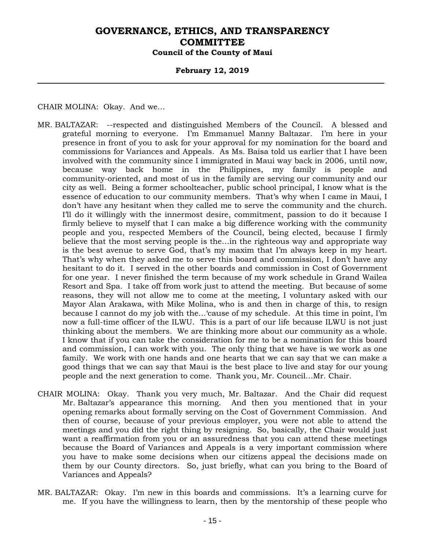#### **February 12, 2019**

CHAIR MOLINA: Okay. And we…

- MR. BALTAZAR: --respected and distinguished Members of the Council. A blessed and grateful morning to everyone. I'm Emmanuel Manny Baltazar. I'm here in your presence in front of you to ask for your approval for my nomination for the board and commissions for Variances and Appeals. As Ms. Baisa told us earlier that I have been involved with the community since I immigrated in Maui way back in 2006, until now, because way back home in the Philippines, my family is people and community-oriented, and most of us in the family are serving our community and our city as well. Being a former schoolteacher, public school principal, I know what is the essence of education to our community members. That's why when I came in Maui, I don't have any hesitant when they called me to serve the community and the church. I'll do it willingly with the innermost desire, commitment, passion to do it because I firmly believe to myself that I can make a big difference working with the community people and you, respected Members of the Council, being elected, because I firmly believe that the most serving people is the…in the righteous way and appropriate way is the best avenue to serve God, that's my maxim that I'm always keep in my heart. That's why when they asked me to serve this board and commission, I don't have any hesitant to do it. I served in the other boards and commission in Cost of Government for one year. I never finished the term because of my work schedule in Grand Wailea Resort and Spa. I take off from work just to attend the meeting. But because of some reasons, they will not allow me to come at the meeting, I voluntary asked with our Mayor Alan Arakawa, with Mike Molina, who is and then in charge of this, to resign because I cannot do my job with the…'cause of my schedule. At this time in point, I'm now a full-time officer of the ILWU. This is a part of our life because ILWU is not just thinking about the members. We are thinking more about our community as a whole. I know that if you can take the consideration for me to be a nomination for this board and commission, I can work with you. The only thing that we have is we work as one family. We work with one hands and one hearts that we can say that we can make a good things that we can say that Maui is the best place to live and stay for our young people and the next generation to come. Thank you, Mr. Council…Mr. Chair.
- CHAIR MOLINA: Okay. Thank you very much, Mr. Baltazar. And the Chair did request Mr. Baltazar's appearance this morning. And then you mentioned that in your opening remarks about formally serving on the Cost of Government Commission. And then of course, because of your previous employer, you were not able to attend the meetings and you did the right thing by resigning. So, basically, the Chair would just want a reaffirmation from you or an assuredness that you can attend these meetings because the Board of Variances and Appeals is a very important commission where you have to make some decisions when our citizens appeal the decisions made on them by our County directors. So, just briefly, what can you bring to the Board of Variances and Appeals?
- MR. BALTAZAR: Okay. I'm new in this boards and commissions. It's a learning curve for me. If you have the willingness to learn, then by the mentorship of these people who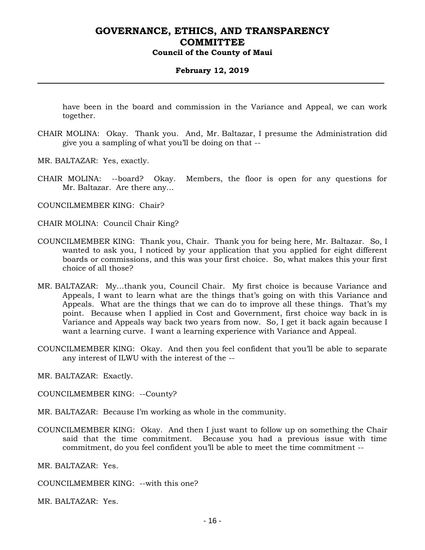#### **February 12, 2019**

have been in the board and commission in the Variance and Appeal, we can work together.

- CHAIR MOLINA: Okay. Thank you. And, Mr. Baltazar, I presume the Administration did give you a sampling of what you'll be doing on that --
- MR. BALTAZAR: Yes, exactly.
- CHAIR MOLINA: --board? Okay. Members, the floor is open for any questions for Mr. Baltazar. Are there any…

COUNCILMEMBER KING: Chair?

CHAIR MOLINA: Council Chair King?

- COUNCILMEMBER KING: Thank you, Chair. Thank you for being here, Mr. Baltazar. So, I wanted to ask you, I noticed by your application that you applied for eight different boards or commissions, and this was your first choice. So, what makes this your first choice of all those?
- MR. BALTAZAR: My…thank you, Council Chair. My first choice is because Variance and Appeals, I want to learn what are the things that's going on with this Variance and Appeals. What are the things that we can do to improve all these things. That's my point. Because when I applied in Cost and Government, first choice way back in is Variance and Appeals way back two years from now. So, I get it back again because I want a learning curve. I want a learning experience with Variance and Appeal.
- COUNCILMEMBER KING: Okay. And then you feel confident that you'll be able to separate any interest of ILWU with the interest of the --

MR. BALTAZAR: Exactly.

COUNCILMEMBER KING: --County?

- MR. BALTAZAR: Because I'm working as whole in the community.
- COUNCILMEMBER KING: Okay. And then I just want to follow up on something the Chair said that the time commitment. Because you had a previous issue with time commitment, do you feel confident you'll be able to meet the time commitment --

MR. BALTAZAR: Yes.

COUNCILMEMBER KING: --with this one?

MR. BALTAZAR: Yes.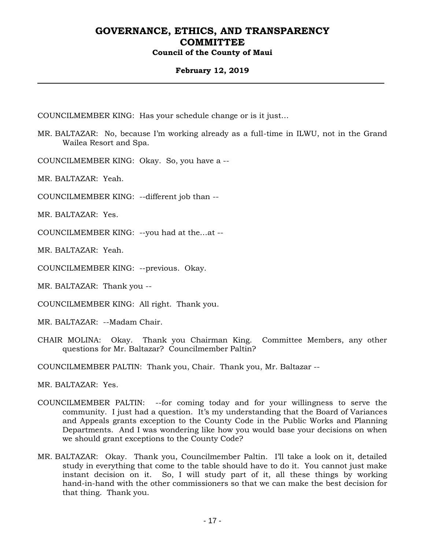#### **February 12, 2019**

COUNCILMEMBER KING: Has your schedule change or is it just…

MR. BALTAZAR: No, because I'm working already as a full-time in ILWU, not in the Grand Wailea Resort and Spa.

COUNCILMEMBER KING: Okay. So, you have a --

MR. BALTAZAR: Yeah.

COUNCILMEMBER KING: --different job than --

MR. BALTAZAR: Yes.

COUNCILMEMBER KING: --you had at the…at --

MR. BALTAZAR: Yeah.

COUNCILMEMBER KING: --previous. Okay.

MR. BALTAZAR: Thank you --

COUNCILMEMBER KING: All right. Thank you.

MR. BALTAZAR: --Madam Chair.

CHAIR MOLINA: Okay. Thank you Chairman King. Committee Members, any other questions for Mr. Baltazar? Councilmember Paltin?

COUNCILMEMBER PALTIN: Thank you, Chair. Thank you, Mr. Baltazar --

MR. BALTAZAR: Yes.

- COUNCILMEMBER PALTIN: --for coming today and for your willingness to serve the community. I just had a question. It's my understanding that the Board of Variances and Appeals grants exception to the County Code in the Public Works and Planning Departments. And I was wondering like how you would base your decisions on when we should grant exceptions to the County Code?
- MR. BALTAZAR: Okay. Thank you, Councilmember Paltin. I'll take a look on it, detailed study in everything that come to the table should have to do it. You cannot just make instant decision on it. So, I will study part of it, all these things by working hand-in-hand with the other commissioners so that we can make the best decision for that thing. Thank you.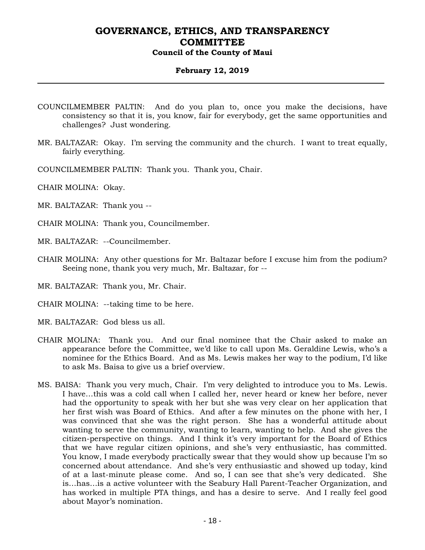#### **February 12, 2019**

- COUNCILMEMBER PALTIN: And do you plan to, once you make the decisions, have consistency so that it is, you know, fair for everybody, get the same opportunities and challenges? Just wondering.
- MR. BALTAZAR: Okay. I'm serving the community and the church. I want to treat equally, fairly everything.
- COUNCILMEMBER PALTIN: Thank you. Thank you, Chair.
- CHAIR MOLINA: Okay.
- MR. BALTAZAR: Thank you --
- CHAIR MOLINA: Thank you, Councilmember.
- MR. BALTAZAR: --Councilmember.
- CHAIR MOLINA: Any other questions for Mr. Baltazar before I excuse him from the podium? Seeing none, thank you very much, Mr. Baltazar, for --
- MR. BALTAZAR: Thank you, Mr. Chair.
- CHAIR MOLINA: --taking time to be here.
- MR. BALTAZAR: God bless us all.
- CHAIR MOLINA: Thank you. And our final nominee that the Chair asked to make an appearance before the Committee, we'd like to call upon Ms. Geraldine Lewis, who's a nominee for the Ethics Board. And as Ms. Lewis makes her way to the podium, I'd like to ask Ms. Baisa to give us a brief overview.
- MS. BAISA: Thank you very much, Chair. I'm very delighted to introduce you to Ms. Lewis. I have…this was a cold call when I called her, never heard or knew her before, never had the opportunity to speak with her but she was very clear on her application that her first wish was Board of Ethics. And after a few minutes on the phone with her, I was convinced that she was the right person. She has a wonderful attitude about wanting to serve the community, wanting to learn, wanting to help. And she gives the citizen-perspective on things. And I think it's very important for the Board of Ethics that we have regular citizen opinions, and she's very enthusiastic, has committed. You know, I made everybody practically swear that they would show up because I'm so concerned about attendance. And she's very enthusiastic and showed up today, kind of at a last-minute please come. And so, I can see that she's very dedicated. She is…has…is a active volunteer with the Seabury Hall Parent-Teacher Organization, and has worked in multiple PTA things, and has a desire to serve. And I really feel good about Mayor's nomination.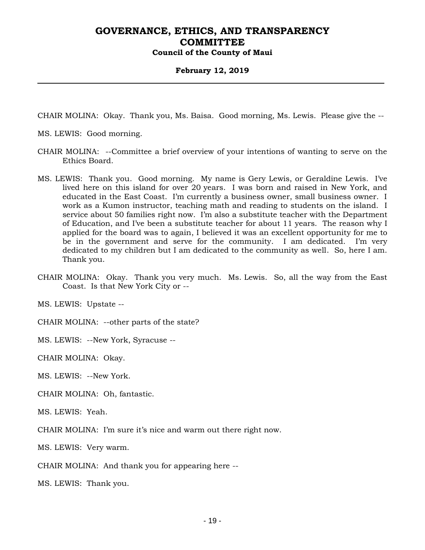#### **February 12, 2019**

CHAIR MOLINA: Okay. Thank you, Ms. Baisa. Good morning, Ms. Lewis. Please give the --

MS. LEWIS: Good morning.

- CHAIR MOLINA: --Committee a brief overview of your intentions of wanting to serve on the Ethics Board.
- MS. LEWIS: Thank you. Good morning. My name is Gery Lewis, or Geraldine Lewis. I've lived here on this island for over 20 years. I was born and raised in New York, and educated in the East Coast. I'm currently a business owner, small business owner. I work as a Kumon instructor, teaching math and reading to students on the island. I service about 50 families right now. I'm also a substitute teacher with the Department of Education, and I've been a substitute teacher for about 11 years. The reason why I applied for the board was to again, I believed it was an excellent opportunity for me to be in the government and serve for the community. I am dedicated. I'm very dedicated to my children but I am dedicated to the community as well. So, here I am. Thank you.
- CHAIR MOLINA: Okay. Thank you very much. Ms. Lewis. So, all the way from the East Coast. Is that New York City or --

MS. LEWIS: Upstate --

CHAIR MOLINA: --other parts of the state?

MS. LEWIS: --New York, Syracuse --

CHAIR MOLINA: Okay.

MS. LEWIS: --New York.

CHAIR MOLINA: Oh, fantastic.

MS. LEWIS: Yeah.

CHAIR MOLINA: I'm sure it's nice and warm out there right now.

MS. LEWIS: Very warm.

CHAIR MOLINA: And thank you for appearing here --

MS. LEWIS: Thank you.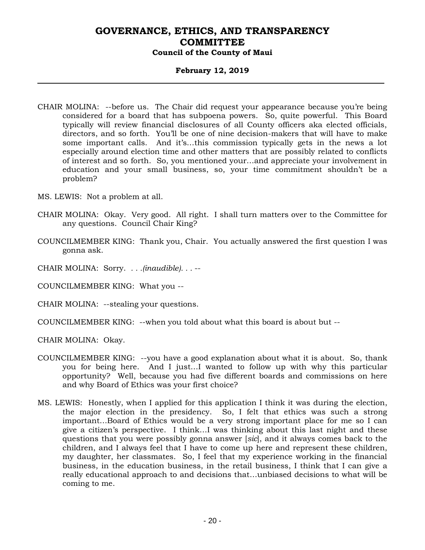#### **February 12, 2019**

- CHAIR MOLINA: --before us. The Chair did request your appearance because you're being considered for a board that has subpoena powers. So, quite powerful. This Board typically will review financial disclosures of all County officers aka elected officials, directors, and so forth. You'll be one of nine decision-makers that will have to make some important calls. And it's…this commission typically gets in the news a lot especially around election time and other matters that are possibly related to conflicts of interest and so forth. So, you mentioned your…and appreciate your involvement in education and your small business, so, your time commitment shouldn't be a problem?
- MS. LEWIS: Not a problem at all.
- CHAIR MOLINA: Okay. Very good. All right. I shall turn matters over to the Committee for any questions. Council Chair King?
- COUNCILMEMBER KING: Thank you, Chair. You actually answered the first question I was gonna ask.
- CHAIR MOLINA: Sorry. *. . .(inaudible). . .* --
- COUNCILMEMBER KING: What you --
- CHAIR MOLINA: --stealing your questions.
- COUNCILMEMBER KING: --when you told about what this board is about but --
- CHAIR MOLINA: Okay.
- COUNCILMEMBER KING: --you have a good explanation about what it is about. So, thank you for being here. And I just…I wanted to follow up with why this particular opportunity? Well, because you had five different boards and commissions on here and why Board of Ethics was your first choice?
- MS. LEWIS: Honestly, when I applied for this application I think it was during the election, the major election in the presidency. So, I felt that ethics was such a strong important…Board of Ethics would be a very strong important place for me so I can give a citizen's perspective. I think…I was thinking about this last night and these questions that you were possibly gonna answer [*sic*], and it always comes back to the children, and I always feel that I have to come up here and represent these children, my daughter, her classmates. So, I feel that my experience working in the financial business, in the education business, in the retail business, I think that I can give a really educational approach to and decisions that…unbiased decisions to what will be coming to me.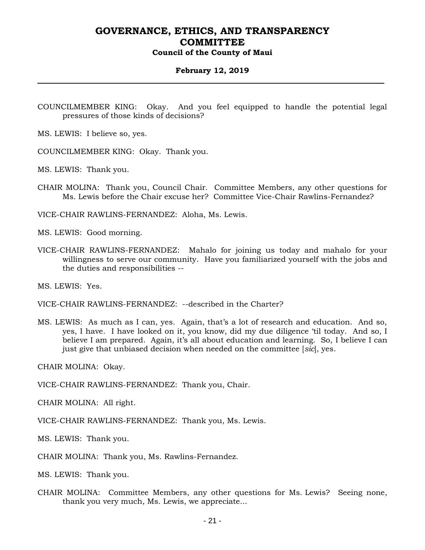#### **February 12, 2019**

- COUNCILMEMBER KING: Okay. And you feel equipped to handle the potential legal pressures of those kinds of decisions?
- MS. LEWIS: I believe so, yes.
- COUNCILMEMBER KING: Okay. Thank you.
- MS. LEWIS: Thank you.
- CHAIR MOLINA: Thank you, Council Chair. Committee Members, any other questions for Ms. Lewis before the Chair excuse her? Committee Vice-Chair Rawlins-Fernandez?

VICE-CHAIR RAWLINS-FERNANDEZ: Aloha, Ms. Lewis.

MS. LEWIS: Good morning.

VICE-CHAIR RAWLINS-FERNANDEZ: Mahalo for joining us today and mahalo for your willingness to serve our community. Have you familiarized yourself with the jobs and the duties and responsibilities --

MS. LEWIS: Yes.

VICE-CHAIR RAWLINS-FERNANDEZ: --described in the Charter?

MS. LEWIS: As much as I can, yes. Again, that's a lot of research and education. And so, yes, I have. I have looked on it, you know, did my due diligence 'til today. And so, I believe I am prepared. Again, it's all about education and learning. So, I believe I can just give that unbiased decision when needed on the committee [*sic*], yes.

CHAIR MOLINA: Okay.

VICE-CHAIR RAWLINS-FERNANDEZ: Thank you, Chair.

CHAIR MOLINA: All right.

VICE-CHAIR RAWLINS-FERNANDEZ: Thank you, Ms. Lewis.

MS. LEWIS: Thank you.

CHAIR MOLINA: Thank you, Ms. Rawlins-Fernandez.

MS. LEWIS: Thank you.

CHAIR MOLINA: Committee Members, any other questions for Ms. Lewis? Seeing none, thank you very much, Ms. Lewis, we appreciate...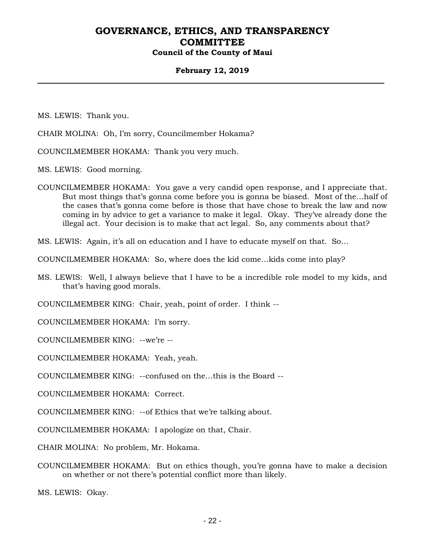#### **February 12, 2019**

MS. LEWIS: Thank you.

- CHAIR MOLINA: Oh, I'm sorry, Councilmember Hokama?
- COUNCILMEMBER HOKAMA: Thank you very much.

MS. LEWIS: Good morning.

COUNCILMEMBER HOKAMA: You gave a very candid open response, and I appreciate that. But most things that's gonna come before you is gonna be biased. Most of the…half of the cases that's gonna come before is those that have chose to break the law and now coming in by advice to get a variance to make it legal. Okay. They've already done the illegal act. Your decision is to make that act legal. So, any comments about that?

MS. LEWIS: Again, it's all on education and I have to educate myself on that. So…

COUNCILMEMBER HOKAMA: So, where does the kid come…kids come into play?

MS. LEWIS: Well, I always believe that I have to be a incredible role model to my kids, and that's having good morals.

COUNCILMEMBER KING: Chair, yeah, point of order. I think --

COUNCILMEMBER HOKAMA: I'm sorry.

COUNCILMEMBER KING: --we're --

COUNCILMEMBER HOKAMA: Yeah, yeah.

COUNCILMEMBER KING: --confused on the…this is the Board --

COUNCILMEMBER HOKAMA: Correct.

COUNCILMEMBER KING: --of Ethics that we're talking about.

COUNCILMEMBER HOKAMA: I apologize on that, Chair.

CHAIR MOLINA: No problem, Mr. Hokama.

COUNCILMEMBER HOKAMA: But on ethics though, you're gonna have to make a decision on whether or not there's potential conflict more than likely.

MS. LEWIS: Okay.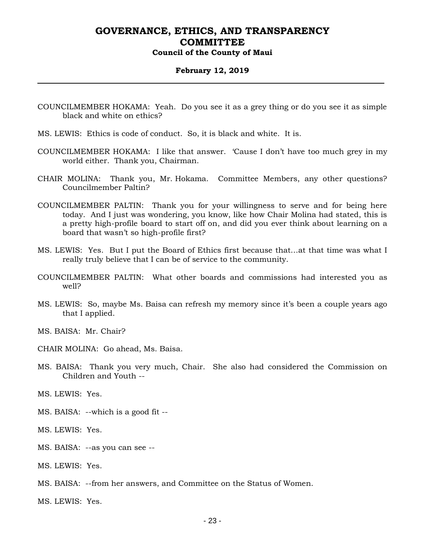#### **February 12, 2019**

- COUNCILMEMBER HOKAMA: Yeah. Do you see it as a grey thing or do you see it as simple black and white on ethics?
- MS. LEWIS: Ethics is code of conduct. So, it is black and white. It is.
- COUNCILMEMBER HOKAMA: I like that answer. 'Cause I don't have too much grey in my world either. Thank you, Chairman.
- CHAIR MOLINA: Thank you, Mr. Hokama. Committee Members, any other questions? Councilmember Paltin?
- COUNCILMEMBER PALTIN: Thank you for your willingness to serve and for being here today. And I just was wondering, you know, like how Chair Molina had stated, this is a pretty high-profile board to start off on, and did you ever think about learning on a board that wasn't so high-profile first?
- MS. LEWIS: Yes. But I put the Board of Ethics first because that…at that time was what I really truly believe that I can be of service to the community.
- COUNCILMEMBER PALTIN: What other boards and commissions had interested you as well?
- MS. LEWIS: So, maybe Ms. Baisa can refresh my memory since it's been a couple years ago that I applied.
- MS. BAISA: Mr. Chair?
- CHAIR MOLINA: Go ahead, Ms. Baisa.
- MS. BAISA: Thank you very much, Chair. She also had considered the Commission on Children and Youth --
- MS. LEWIS: Yes.
- MS. BAISA: --which is a good fit --
- MS. LEWIS: Yes.
- MS. BAISA: --as you can see --
- MS. LEWIS: Yes.
- MS. BAISA: --from her answers, and Committee on the Status of Women.
- MS. LEWIS: Yes.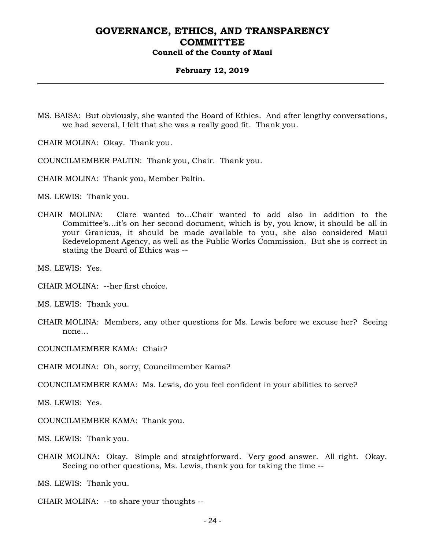#### **February 12, 2019**

- MS. BAISA: But obviously, she wanted the Board of Ethics. And after lengthy conversations, we had several, I felt that she was a really good fit. Thank you.
- CHAIR MOLINA: Okay. Thank you.
- COUNCILMEMBER PALTIN: Thank you, Chair. Thank you.
- CHAIR MOLINA: Thank you, Member Paltin.

MS. LEWIS: Thank you.

CHAIR MOLINA: Clare wanted to…Chair wanted to add also in addition to the Committee's…it's on her second document, which is by, you know, it should be all in your Granicus, it should be made available to you, she also considered Maui Redevelopment Agency, as well as the Public Works Commission. But she is correct in stating the Board of Ethics was --

MS. LEWIS: Yes.

CHAIR MOLINA: --her first choice.

MS. LEWIS: Thank you.

CHAIR MOLINA: Members, any other questions for Ms. Lewis before we excuse her? Seeing none…

COUNCILMEMBER KAMA: Chair?

CHAIR MOLINA: Oh, sorry, Councilmember Kama?

COUNCILMEMBER KAMA: Ms. Lewis, do you feel confident in your abilities to serve?

MS. LEWIS: Yes.

COUNCILMEMBER KAMA: Thank you.

MS. LEWIS: Thank you.

CHAIR MOLINA: Okay. Simple and straightforward. Very good answer. All right. Okay. Seeing no other questions, Ms. Lewis, thank you for taking the time --

MS. LEWIS: Thank you.

CHAIR MOLINA: --to share your thoughts --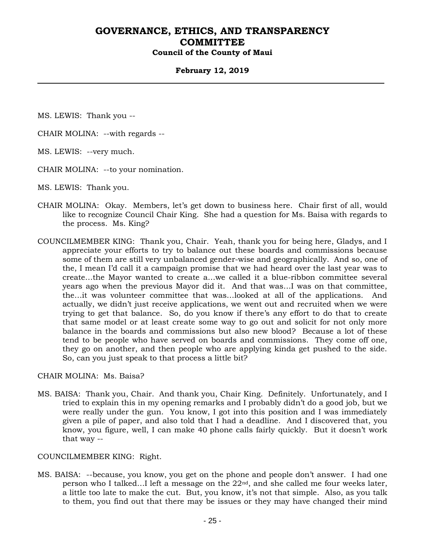#### **February 12, 2019**

MS. LEWIS: Thank you --

- CHAIR MOLINA: --with regards --
- MS. LEWIS: --very much.
- CHAIR MOLINA: --to your nomination.
- MS. LEWIS: Thank you.
- CHAIR MOLINA: Okay. Members, let's get down to business here. Chair first of all, would like to recognize Council Chair King. She had a question for Ms. Baisa with regards to the process. Ms. King?
- COUNCILMEMBER KING: Thank you, Chair. Yeah, thank you for being here, Gladys, and I appreciate your efforts to try to balance out these boards and commissions because some of them are still very unbalanced gender-wise and geographically. And so, one of the, I mean I'd call it a campaign promise that we had heard over the last year was to create…the Mayor wanted to create a…we called it a blue-ribbon committee several years ago when the previous Mayor did it. And that was…I was on that committee, the…it was volunteer committee that was…looked at all of the applications. And actually, we didn't just receive applications, we went out and recruited when we were trying to get that balance. So, do you know if there's any effort to do that to create that same model or at least create some way to go out and solicit for not only more balance in the boards and commissions but also new blood? Because a lot of these tend to be people who have served on boards and commissions. They come off one, they go on another, and then people who are applying kinda get pushed to the side. So, can you just speak to that process a little bit?

CHAIR MOLINA: Ms. Baisa?

MS. BAISA: Thank you, Chair. And thank you, Chair King. Definitely. Unfortunately, and I tried to explain this in my opening remarks and I probably didn't do a good job, but we were really under the gun. You know, I got into this position and I was immediately given a pile of paper, and also told that I had a deadline. And I discovered that, you know, you figure, well, I can make 40 phone calls fairly quickly. But it doesn't work that way --

#### COUNCILMEMBER KING: Right.

MS. BAISA: --because, you know, you get on the phone and people don't answer. I had one person who I talked...I left a message on the  $22<sup>nd</sup>$ , and she called me four weeks later, a little too late to make the cut. But, you know, it's not that simple. Also, as you talk to them, you find out that there may be issues or they may have changed their mind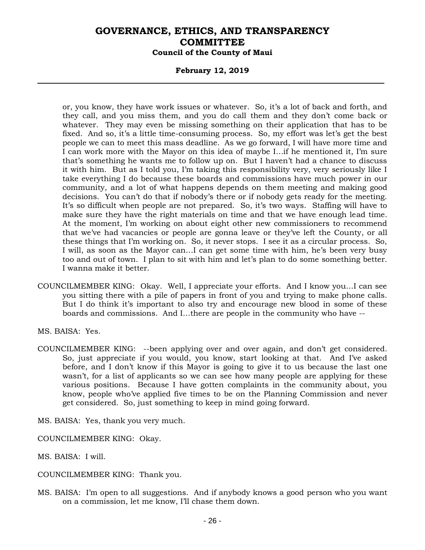#### **February 12, 2019**

or, you know, they have work issues or whatever. So, it's a lot of back and forth, and they call, and you miss them, and you do call them and they don't come back or whatever. They may even be missing something on their application that has to be fixed. And so, it's a little time-consuming process. So, my effort was let's get the best people we can to meet this mass deadline. As we go forward, I will have more time and I can work more with the Mayor on this idea of maybe I…if he mentioned it, I'm sure that's something he wants me to follow up on. But I haven't had a chance to discuss it with him. But as I told you, I'm taking this responsibility very, very seriously like I take everything I do because these boards and commissions have much power in our community, and a lot of what happens depends on them meeting and making good decisions. You can't do that if nobody's there or if nobody gets ready for the meeting. It's so difficult when people are not prepared. So, it's two ways. Staffing will have to make sure they have the right materials on time and that we have enough lead time. At the moment, I'm working on about eight other new commissioners to recommend that we've had vacancies or people are gonna leave or they've left the County, or all these things that I'm working on. So, it never stops. I see it as a circular process. So, I will, as soon as the Mayor can…I can get some time with him, he's been very busy too and out of town. I plan to sit with him and let's plan to do some something better. I wanna make it better.

COUNCILMEMBER KING: Okay. Well, I appreciate your efforts. And I know you…I can see you sitting there with a pile of papers in front of you and trying to make phone calls. But I do think it's important to also try and encourage new blood in some of these boards and commissions. And I…there are people in the community who have --

MS. BAISA: Yes.

COUNCILMEMBER KING: --been applying over and over again, and don't get considered. So, just appreciate if you would, you know, start looking at that. And I've asked before, and I don't know if this Mayor is going to give it to us because the last one wasn't, for a list of applicants so we can see how many people are applying for these various positions. Because I have gotten complaints in the community about, you know, people who've applied five times to be on the Planning Commission and never get considered. So, just something to keep in mind going forward.

MS. BAISA: Yes, thank you very much.

COUNCILMEMBER KING: Okay.

MS. BAISA: I will.

COUNCILMEMBER KING: Thank you.

MS. BAISA: I'm open to all suggestions. And if anybody knows a good person who you want on a commission, let me know, I'll chase them down.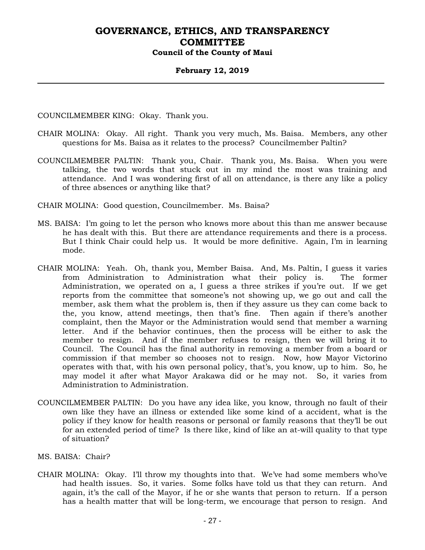#### **February 12, 2019**

COUNCILMEMBER KING: Okay. Thank you.

- CHAIR MOLINA: Okay. All right. Thank you very much, Ms. Baisa. Members, any other questions for Ms. Baisa as it relates to the process? Councilmember Paltin?
- COUNCILMEMBER PALTIN: Thank you, Chair. Thank you, Ms. Baisa. When you were talking, the two words that stuck out in my mind the most was training and attendance. And I was wondering first of all on attendance, is there any like a policy of three absences or anything like that?

CHAIR MOLINA: Good question, Councilmember. Ms. Baisa?

- MS. BAISA: I'm going to let the person who knows more about this than me answer because he has dealt with this. But there are attendance requirements and there is a process. But I think Chair could help us. It would be more definitive. Again, I'm in learning mode.
- CHAIR MOLINA: Yeah. Oh, thank you, Member Baisa. And, Ms. Paltin, I guess it varies from Administration to Administration what their policy is. The former Administration, we operated on a, I guess a three strikes if you're out. If we get reports from the committee that someone's not showing up, we go out and call the member, ask them what the problem is, then if they assure us they can come back to the, you know, attend meetings, then that's fine. Then again if there's another complaint, then the Mayor or the Administration would send that member a warning letter. And if the behavior continues, then the process will be either to ask the member to resign. And if the member refuses to resign, then we will bring it to Council. The Council has the final authority in removing a member from a board or commission if that member so chooses not to resign. Now, how Mayor Victorino operates with that, with his own personal policy, that's, you know, up to him. So, he may model it after what Mayor Arakawa did or he may not. So, it varies from Administration to Administration.
- COUNCILMEMBER PALTIN: Do you have any idea like, you know, through no fault of their own like they have an illness or extended like some kind of a accident, what is the policy if they know for health reasons or personal or family reasons that they'll be out for an extended period of time? Is there like, kind of like an at-will quality to that type of situation?
- MS. BAISA: Chair?
- CHAIR MOLINA: Okay. I'll throw my thoughts into that. We've had some members who've had health issues. So, it varies. Some folks have told us that they can return. And again, it's the call of the Mayor, if he or she wants that person to return. If a person has a health matter that will be long-term, we encourage that person to resign. And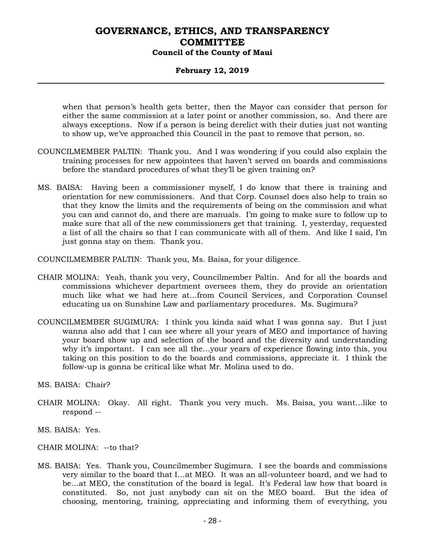#### **February 12, 2019**

when that person's health gets better, then the Mayor can consider that person for either the same commission at a later point or another commission, so. And there are always exceptions. Now if a person is being derelict with their duties just not wanting to show up, we've approached this Council in the past to remove that person, so.

- COUNCILMEMBER PALTIN: Thank you. And I was wondering if you could also explain the training processes for new appointees that haven't served on boards and commissions before the standard procedures of what they'll be given training on?
- MS. BAISA: Having been a commissioner myself, I do know that there is training and orientation for new commissioners. And that Corp. Counsel does also help to train so that they know the limits and the requirements of being on the commission and what you can and cannot do, and there are manuals. I'm going to make sure to follow up to make sure that all of the new commissioners get that training. I, yesterday, requested a list of all the chairs so that I can communicate with all of them. And like I said, I'm just gonna stay on them. Thank you.

COUNCILMEMBER PALTIN: Thank you, Ms. Baisa, for your diligence.

- CHAIR MOLINA: Yeah, thank you very, Councilmember Paltin. And for all the boards and commissions whichever department oversees them, they do provide an orientation much like what we had here at…from Council Services, and Corporation Counsel educating us on Sunshine Law and parliamentary procedures. Ms. Sugimura?
- COUNCILMEMBER SUGIMURA: I think you kinda said what I was gonna say. But I just wanna also add that I can see where all your years of MEO and importance of having your board show up and selection of the board and the diversity and understanding why it's important. I can see all the…your years of experience flowing into this, you taking on this position to do the boards and commissions, appreciate it. I think the follow-up is gonna be critical like what Mr. Molina used to do.

MS. BAISA: Chair?

- CHAIR MOLINA: Okay. All right. Thank you very much. Ms. Baisa, you want…like to respond --
- MS. BAISA: Yes.
- CHAIR MOLINA: --to that?
- MS. BAISA: Yes. Thank you, Councilmember Sugimura. I see the boards and commissions very similar to the board that I…at MEO. It was an all-volunteer board, and we had to be…at MEO, the constitution of the board is legal. It's Federal law how that board is constituted. So, not just anybody can sit on the MEO board. But the idea of choosing, mentoring, training, appreciating and informing them of everything, you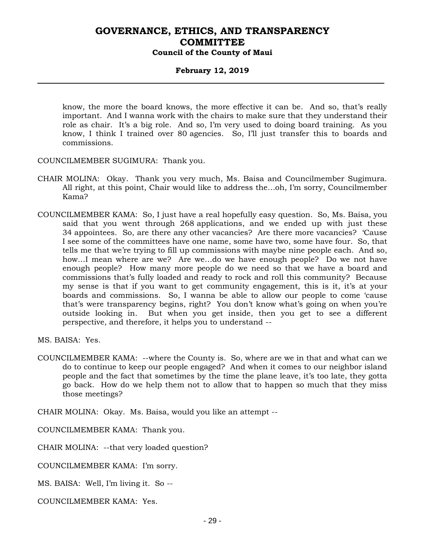#### **February 12, 2019**

know, the more the board knows, the more effective it can be. And so, that's really important. And I wanna work with the chairs to make sure that they understand their role as chair. It's a big role. And so, I'm very used to doing board training. As you know, I think I trained over 80 agencies. So, I'll just transfer this to boards and commissions.

COUNCILMEMBER SUGIMURA: Thank you.

- CHAIR MOLINA: Okay. Thank you very much, Ms. Baisa and Councilmember Sugimura. All right, at this point, Chair would like to address the…oh, I'm sorry, Councilmember Kama?
- COUNCILMEMBER KAMA: So, I just have a real hopefully easy question. So, Ms. Baisa, you said that you went through 268 applications, and we ended up with just these 34 appointees. So, are there any other vacancies? Are there more vacancies? 'Cause I see some of the committees have one name, some have two, some have four. So, that tells me that we're trying to fill up commissions with maybe nine people each. And so, how…I mean where are we? Are we…do we have enough people? Do we not have enough people? How many more people do we need so that we have a board and commissions that's fully loaded and ready to rock and roll this community? Because my sense is that if you want to get community engagement, this is it, it's at your boards and commissions. So, I wanna be able to allow our people to come 'cause that's were transparency begins, right? You don't know what's going on when you're outside looking in. But when you get inside, then you get to see a different perspective, and therefore, it helps you to understand --

COUNCILMEMBER KAMA: --where the County is. So, where are we in that and what can we do to continue to keep our people engaged? And when it comes to our neighbor island people and the fact that sometimes by the time the plane leave, it's too late, they gotta go back. How do we help them not to allow that to happen so much that they miss those meetings?

CHAIR MOLINA: Okay. Ms. Baisa, would you like an attempt --

COUNCILMEMBER KAMA: Thank you.

CHAIR MOLINA: --that very loaded question?

COUNCILMEMBER KAMA: I'm sorry.

MS. BAISA: Well, I'm living it. So --

COUNCILMEMBER KAMA: Yes.

MS. BAISA: Yes.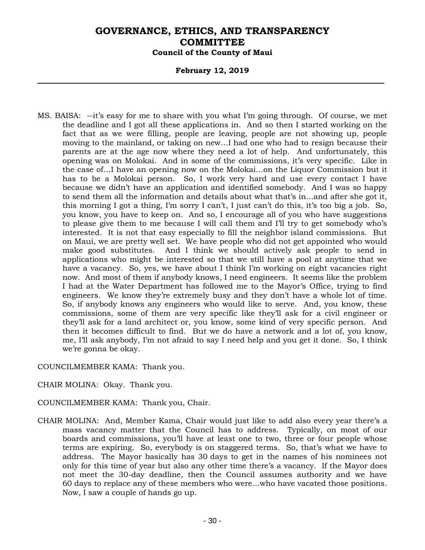#### **February 12, 2019**

MS. BAISA: --it's easy for me to share with you what I'm going through. Of course, we met the deadline and I got all these applications in. And so then I started working on the fact that as we were filling, people are leaving, people are not showing up, people moving to the mainland, or taking on new…I had one who had to resign because their parents are at the age now where they need a lot of help. And unfortunately, this opening was on Molokai. And in some of the commissions, it's very specific. Like in the case of…I have an opening now on the Molokai…on the Liquor Commission but it has to be a Molokai person. So, I work very hard and use every contact I have because we didn't have an application and identified somebody. And I was so happy to send them all the information and details about what that's in…and after she got it, this morning I got a thing, I'm sorry I can't, I just can't do this, it's too big a job. So, you know, you have to keep on. And so, I encourage all of you who have suggestions to please give them to me because I will call them and I'll try to get somebody who's interested. It is not that easy especially to fill the neighbor island commissions. But on Maui, we are pretty well set. We have people who did not get appointed who would make good substitutes. And I think we should actively ask people to send in applications who might be interested so that we still have a pool at anytime that we have a vacancy. So, yes, we have about I think I'm working on eight vacancies right now. And most of them if anybody knows, I need engineers. It seems like the problem I had at the Water Department has followed me to the Mayor's Office, trying to find engineers. We know they're extremely busy and they don't have a whole lot of time. So, if anybody knows any engineers who would like to serve. And, you know, these commissions, some of them are very specific like they'll ask for a civil engineer or they'll ask for a land architect or, you know, some kind of very specific person. And then it becomes difficult to find. But we do have a network and a lot of, you know, me, I'll ask anybody, I'm not afraid to say I need help and you get it done. So, I think we're gonna be okay.

#### COUNCILMEMBER KAMA: Thank you.

- CHAIR MOLINA: Okay. Thank you.
- COUNCILMEMBER KAMA: Thank you, Chair.
- CHAIR MOLINA: And, Member Kama, Chair would just like to add also every year there's a mass vacancy matter that the Council has to address. Typically, on most of our boards and commissions, you'll have at least one to two, three or four people whose terms are expiring. So, everybody is on staggered terms. So, that's what we have to address. The Mayor basically has 30 days to get in the names of his nominees not only for this time of year but also any other time there's a vacancy. If the Mayor does not meet the 30-day deadline, then the Council assumes authority and we have 60 days to replace any of these members who were…who have vacated those positions. Now, I saw a couple of hands go up.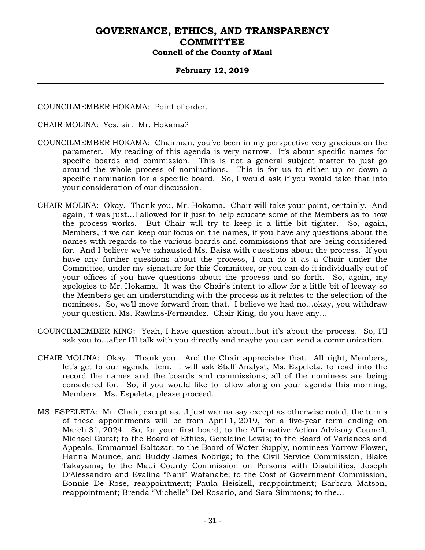#### **February 12, 2019**

COUNCILMEMBER HOKAMA: Point of order.

CHAIR MOLINA: Yes, sir. Mr. Hokama?

- COUNCILMEMBER HOKAMA: Chairman, you've been in my perspective very gracious on the parameter. My reading of this agenda is very narrow. It's about specific names for specific boards and commission. This is not a general subject matter to just go around the whole process of nominations. This is for us to either up or down a specific nomination for a specific board. So, I would ask if you would take that into your consideration of our discussion.
- CHAIR MOLINA: Okay. Thank you, Mr. Hokama. Chair will take your point, certainly. And again, it was just…I allowed for it just to help educate some of the Members as to how the process works. But Chair will try to keep it a little bit tighter. So, again, Members, if we can keep our focus on the names, if you have any questions about the names with regards to the various boards and commissions that are being considered for. And I believe we've exhausted Ms. Baisa with questions about the process. If you have any further questions about the process, I can do it as a Chair under the Committee, under my signature for this Committee, or you can do it individually out of your offices if you have questions about the process and so forth. So, again, my apologies to Mr. Hokama. It was the Chair's intent to allow for a little bit of leeway so the Members get an understanding with the process as it relates to the selection of the nominees. So, we'll move forward from that. I believe we had no…okay, you withdraw your question, Ms. Rawlins-Fernandez. Chair King, do you have any…
- COUNCILMEMBER KING: Yeah, I have question about…but it's about the process. So, I'll ask you to…after I'll talk with you directly and maybe you can send a communication.
- CHAIR MOLINA: Okay. Thank you. And the Chair appreciates that. All right, Members, let's get to our agenda item. I will ask Staff Analyst, Ms. Espeleta, to read into the record the names and the boards and commissions, all of the nominees are being considered for. So, if you would like to follow along on your agenda this morning, Members. Ms. Espeleta, please proceed.
- MS. ESPELETA: Mr. Chair, except as…I just wanna say except as otherwise noted, the terms of these appointments will be from April 1, 2019, for a five-year term ending on March 31, 2024. So, for your first board, to the Affirmative Action Advisory Council, Michael Gurat; to the Board of Ethics, Geraldine Lewis; to the Board of Variances and Appeals, Emmanuel Baltazar; to the Board of Water Supply, nominees Yarrow Flower, Hanna Mounce, and Buddy James Nobriga; to the Civil Service Commission, Blake Takayama; to the Maui County Commission on Persons with Disabilities, Joseph D'Alessandro and Evalina "Nani" Watanabe; to the Cost of Government Commission, Bonnie De Rose, reappointment; Paula Heiskell, reappointment; Barbara Matson, reappointment; Brenda "Michelle" Del Rosario, and Sara Simmons; to the…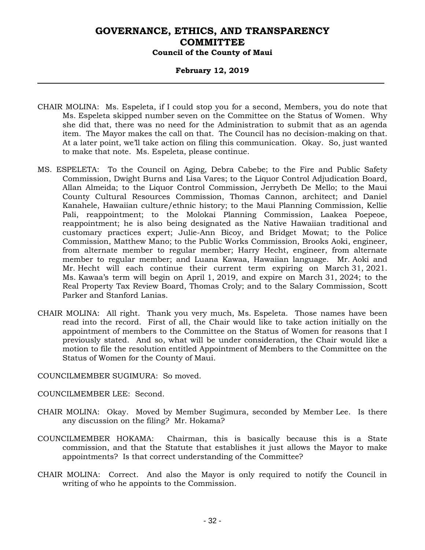#### **February 12, 2019**

- CHAIR MOLINA: Ms. Espeleta, if I could stop you for a second, Members, you do note that Ms. Espeleta skipped number seven on the Committee on the Status of Women. Why she did that, there was no need for the Administration to submit that as an agenda item. The Mayor makes the call on that. The Council has no decision-making on that. At a later point, we'll take action on filing this communication. Okay. So, just wanted to make that note. Ms. Espeleta, please continue.
- MS. ESPELETA: To the Council on Aging, Debra Cabebe; to the Fire and Public Safety Commission, Dwight Burns and Lisa Vares; to the Liquor Control Adjudication Board, Allan Almeida; to the Liquor Control Commission, Jerrybeth De Mello; to the Maui County Cultural Resources Commission, Thomas Cannon, architect; and Daniel Kanahele, Hawaiian culture/ethnic history; to the Maui Planning Commission, Kellie Pali, reappointment; to the Molokai Planning Commission, Laakea Poepeoe, reappointment; he is also being designated as the Native Hawaiian traditional and customary practices expert; Julie-Ann Bicoy, and Bridget Mowat; to the Police Commission, Matthew Mano; to the Public Works Commission, Brooks Aoki, engineer, from alternate member to regular member; Harry Hecht, engineer, from alternate member to regular member; and Luana Kawaa, Hawaiian language. Mr. Aoki and Mr. Hecht will each continue their current term expiring on March 31, 2021. Ms. Kawaa's term will begin on April 1, 2019, and expire on March 31, 2024; to the Real Property Tax Review Board, Thomas Croly; and to the Salary Commission, Scott Parker and Stanford Lanias.
- CHAIR MOLINA: All right. Thank you very much, Ms. Espeleta. Those names have been read into the record. First of all, the Chair would like to take action initially on the appointment of members to the Committee on the Status of Women for reasons that I previously stated. And so, what will be under consideration, the Chair would like a motion to file the resolution entitled Appointment of Members to the Committee on the Status of Women for the County of Maui.

COUNCILMEMBER SUGIMURA: So moved.

COUNCILMEMBER LEE: Second.

- CHAIR MOLINA: Okay. Moved by Member Sugimura, seconded by Member Lee. Is there any discussion on the filing? Mr. Hokama?
- COUNCILMEMBER HOKAMA: Chairman, this is basically because this is a State commission, and that the Statute that establishes it just allows the Mayor to make appointments? Is that correct understanding of the Committee?
- CHAIR MOLINA: Correct. And also the Mayor is only required to notify the Council in writing of who he appoints to the Commission.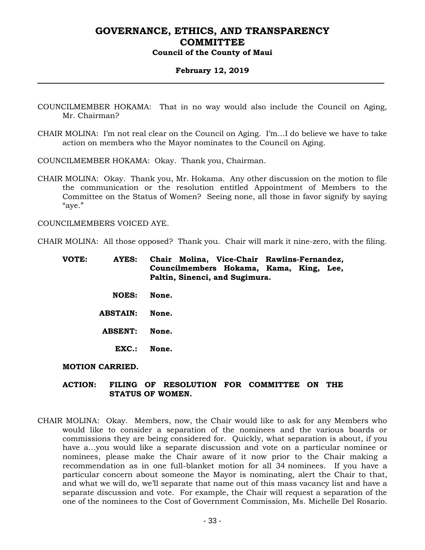#### **February 12, 2019**

- COUNCILMEMBER HOKAMA: That in no way would also include the Council on Aging, Mr. Chairman?
- CHAIR MOLINA: I'm not real clear on the Council on Aging. I'm…I do believe we have to take action on members who the Mayor nominates to the Council on Aging.

COUNCILMEMBER HOKAMA: Okay. Thank you, Chairman.

CHAIR MOLINA: Okay. Thank you, Mr. Hokama. Any other discussion on the motion to file the communication or the resolution entitled Appointment of Members to the Committee on the Status of Women? Seeing none, all those in favor signify by saying "aye."

COUNCILMEMBERS VOICED AYE.

CHAIR MOLINA: All those opposed? Thank you. Chair will mark it nine-zero, with the filing.

| VOTE: | <b>AYES:</b>           | Chair Molina, Vice-Chair Rawlins-Fernandez,<br>Councilmembers Hokama, Kama, King, Lee,<br>Paltin, Sinenci, and Sugimura. |
|-------|------------------------|--------------------------------------------------------------------------------------------------------------------------|
|       | <b>NOES:</b>           | None.                                                                                                                    |
|       | <b>ABSTAIN:</b>        | None.                                                                                                                    |
|       | <b>ABSENT:</b>         | None.                                                                                                                    |
|       | $\mathbf{EXC}$ .:      | None.                                                                                                                    |
|       | <b>MOTION CARRIED.</b> |                                                                                                                          |

#### **ACTION: FILING OF RESOLUTION FOR COMMITTEE ON THE STATUS OF WOMEN.**

CHAIR MOLINA: Okay. Members, now, the Chair would like to ask for any Members who would like to consider a separation of the nominees and the various boards or commissions they are being considered for. Quickly, what separation is about, if you have a…you would like a separate discussion and vote on a particular nominee or nominees, please make the Chair aware of it now prior to the Chair making a recommendation as in one full-blanket motion for all 34 nominees. If you have a particular concern about someone the Mayor is nominating, alert the Chair to that, and what we will do, we'll separate that name out of this mass vacancy list and have a separate discussion and vote. For example, the Chair will request a separation of the one of the nominees to the Cost of Government Commission, Ms. Michelle Del Rosario.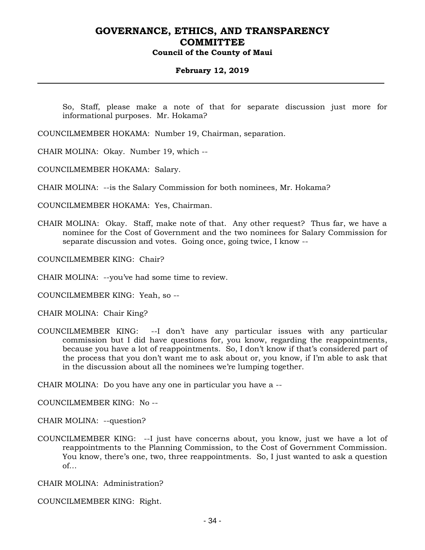#### **February 12, 2019**

So, Staff, please make a note of that for separate discussion just more for informational purposes. Mr. Hokama?

COUNCILMEMBER HOKAMA: Number 19, Chairman, separation.

CHAIR MOLINA: Okay. Number 19, which --

COUNCILMEMBER HOKAMA: Salary.

CHAIR MOLINA: --is the Salary Commission for both nominees, Mr. Hokama?

COUNCILMEMBER HOKAMA: Yes, Chairman.

CHAIR MOLINA: Okay. Staff, make note of that. Any other request? Thus far, we have a nominee for the Cost of Government and the two nominees for Salary Commission for separate discussion and votes. Going once, going twice, I know --

COUNCILMEMBER KING: Chair?

CHAIR MOLINA: --you've had some time to review.

COUNCILMEMBER KING: Yeah, so --

CHAIR MOLINA: Chair King?

COUNCILMEMBER KING: --I don't have any particular issues with any particular commission but I did have questions for, you know, regarding the reappointments, because you have a lot of reappointments. So, I don't know if that's considered part of the process that you don't want me to ask about or, you know, if I'm able to ask that in the discussion about all the nominees we're lumping together.

CHAIR MOLINA: Do you have any one in particular you have a --

COUNCILMEMBER KING: No --

CHAIR MOLINA: --question?

COUNCILMEMBER KING: --I just have concerns about, you know, just we have a lot of reappointments to the Planning Commission, to the Cost of Government Commission. You know, there's one, two, three reappointments. So, I just wanted to ask a question of…

CHAIR MOLINA: Administration?

COUNCILMEMBER KING: Right.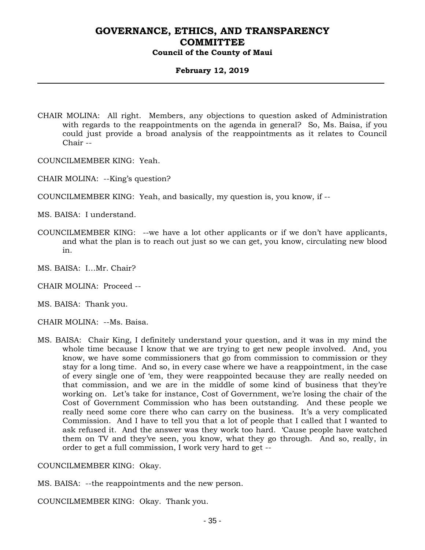#### **February 12, 2019**

CHAIR MOLINA: All right. Members, any objections to question asked of Administration with regards to the reappointments on the agenda in general? So, Ms. Baisa, if you could just provide a broad analysis of the reappointments as it relates to Council Chair --

COUNCILMEMBER KING: Yeah.

- CHAIR MOLINA: --King's question?
- COUNCILMEMBER KING: Yeah, and basically, my question is, you know, if --

MS. BAISA: I understand.

- COUNCILMEMBER KING: --we have a lot other applicants or if we don't have applicants, and what the plan is to reach out just so we can get, you know, circulating new blood in.
- MS. BAISA: I…Mr. Chair?
- CHAIR MOLINA: Proceed --
- MS. BAISA: Thank you.
- CHAIR MOLINA: --Ms. Baisa.
- MS. BAISA: Chair King, I definitely understand your question, and it was in my mind the whole time because I know that we are trying to get new people involved. And, you know, we have some commissioners that go from commission to commission or they stay for a long time. And so, in every case where we have a reappointment, in the case of every single one of 'em, they were reappointed because they are really needed on that commission, and we are in the middle of some kind of business that they're working on. Let's take for instance, Cost of Government, we're losing the chair of the Cost of Government Commission who has been outstanding. And these people we really need some core there who can carry on the business. It's a very complicated Commission. And I have to tell you that a lot of people that I called that I wanted to ask refused it. And the answer was they work too hard. 'Cause people have watched them on TV and they've seen, you know, what they go through. And so, really, in order to get a full commission, I work very hard to get --

COUNCILMEMBER KING: Okay.

MS. BAISA: --the reappointments and the new person.

COUNCILMEMBER KING: Okay. Thank you.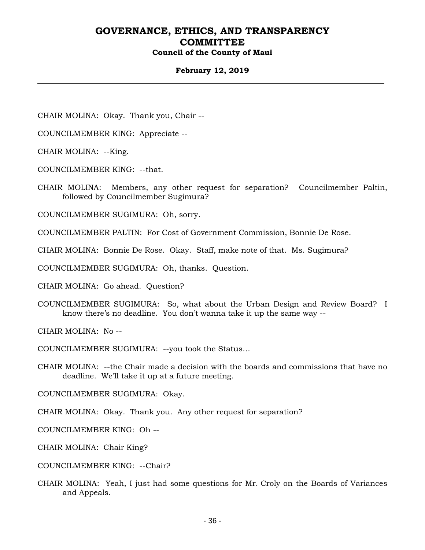#### **February 12, 2019**

CHAIR MOLINA: Okay. Thank you, Chair --

COUNCILMEMBER KING: Appreciate --

CHAIR MOLINA: --King.

COUNCILMEMBER KING: --that.

CHAIR MOLINA: Members, any other request for separation? Councilmember Paltin, followed by Councilmember Sugimura?

COUNCILMEMBER SUGIMURA: Oh, sorry.

COUNCILMEMBER PALTIN: For Cost of Government Commission, Bonnie De Rose.

CHAIR MOLINA: Bonnie De Rose. Okay. Staff, make note of that. Ms. Sugimura?

COUNCILMEMBER SUGIMURA: Oh, thanks. Question.

CHAIR MOLINA: Go ahead. Question?

COUNCILMEMBER SUGIMURA: So, what about the Urban Design and Review Board? I know there's no deadline. You don't wanna take it up the same way --

CHAIR MOLINA: No --

COUNCILMEMBER SUGIMURA: --you took the Status…

CHAIR MOLINA: --the Chair made a decision with the boards and commissions that have no deadline. We'll take it up at a future meeting.

COUNCILMEMBER SUGIMURA: Okay.

CHAIR MOLINA: Okay. Thank you. Any other request for separation?

COUNCILMEMBER KING: Oh --

CHAIR MOLINA: Chair King?

COUNCILMEMBER KING: --Chair?

CHAIR MOLINA: Yeah, I just had some questions for Mr. Croly on the Boards of Variances and Appeals.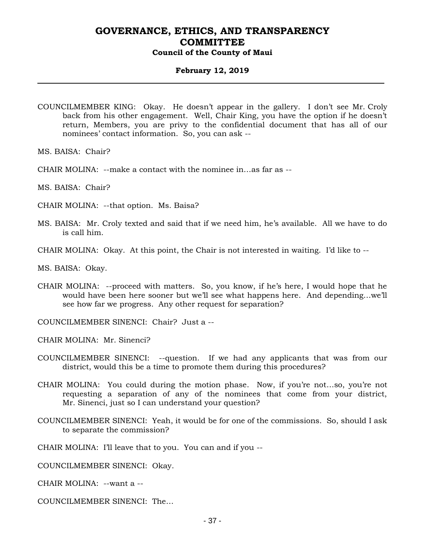#### **February 12, 2019**

- COUNCILMEMBER KING: Okay. He doesn't appear in the gallery. I don't see Mr. Croly back from his other engagement. Well, Chair King, you have the option if he doesn't return, Members, you are privy to the confidential document that has all of our nominees' contact information. So, you can ask --
- MS. BAISA: Chair?
- CHAIR MOLINA: --make a contact with the nominee in…as far as --
- MS. BAISA: Chair?
- CHAIR MOLINA: --that option. Ms. Baisa?
- MS. BAISA: Mr. Croly texted and said that if we need him, he's available. All we have to do is call him.
- CHAIR MOLINA: Okay. At this point, the Chair is not interested in waiting. I'd like to --

MS. BAISA: Okay.

- CHAIR MOLINA: --proceed with matters. So, you know, if he's here, I would hope that he would have been here sooner but we'll see what happens here. And depending…we'll see how far we progress. Any other request for separation?
- COUNCILMEMBER SINENCI: Chair? Just a --
- CHAIR MOLINA: Mr. Sinenci?
- COUNCILMEMBER SINENCI: --question. If we had any applicants that was from our district, would this be a time to promote them during this procedures?
- CHAIR MOLINA: You could during the motion phase. Now, if you're not…so, you're not requesting a separation of any of the nominees that come from your district, Mr. Sinenci, just so I can understand your question?
- COUNCILMEMBER SINENCI: Yeah, it would be for one of the commissions. So, should I ask to separate the commission?
- CHAIR MOLINA: I'll leave that to you. You can and if you --

COUNCILMEMBER SINENCI: Okay.

CHAIR MOLINA: --want a --

COUNCILMEMBER SINENCI: The…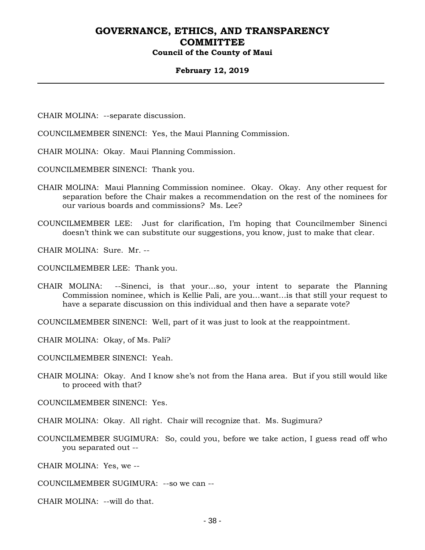#### **February 12, 2019**

- CHAIR MOLINA: --separate discussion.
- COUNCILMEMBER SINENCI: Yes, the Maui Planning Commission.
- CHAIR MOLINA: Okay. Maui Planning Commission.
- COUNCILMEMBER SINENCI: Thank you.
- CHAIR MOLINA: Maui Planning Commission nominee. Okay. Okay. Any other request for separation before the Chair makes a recommendation on the rest of the nominees for our various boards and commissions? Ms. Lee?
- COUNCILMEMBER LEE: Just for clarification, I'm hoping that Councilmember Sinenci doesn't think we can substitute our suggestions, you know, just to make that clear.

CHAIR MOLINA: Sure. Mr. --

COUNCILMEMBER LEE: Thank you.

CHAIR MOLINA: --Sinenci, is that your…so, your intent to separate the Planning Commission nominee, which is Kellie Pali, are you…want…is that still your request to have a separate discussion on this individual and then have a separate vote?

COUNCILMEMBER SINENCI: Well, part of it was just to look at the reappointment.

CHAIR MOLINA: Okay, of Ms. Pali?

COUNCILMEMBER SINENCI: Yeah.

CHAIR MOLINA: Okay. And I know she's not from the Hana area. But if you still would like to proceed with that?

COUNCILMEMBER SINENCI: Yes.

- CHAIR MOLINA: Okay. All right. Chair will recognize that. Ms. Sugimura?
- COUNCILMEMBER SUGIMURA: So, could you, before we take action, I guess read off who you separated out --

CHAIR MOLINA: Yes, we --

COUNCILMEMBER SUGIMURA: --so we can --

CHAIR MOLINA: --will do that.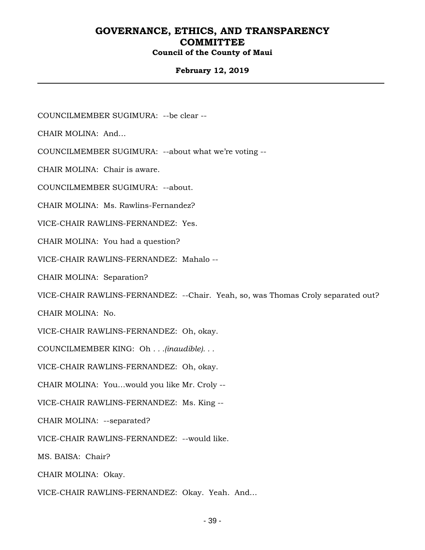### **February 12, 2019**

COUNCILMEMBER SUGIMURA: --be clear --

CHAIR MOLINA: And…

COUNCILMEMBER SUGIMURA: --about what we're voting --

CHAIR MOLINA: Chair is aware.

COUNCILMEMBER SUGIMURA: --about.

CHAIR MOLINA: Ms. Rawlins-Fernandez?

VICE-CHAIR RAWLINS-FERNANDEZ: Yes.

CHAIR MOLINA: You had a question?

VICE-CHAIR RAWLINS-FERNANDEZ: Mahalo --

CHAIR MOLINA: Separation?

VICE-CHAIR RAWLINS-FERNANDEZ: --Chair. Yeah, so, was Thomas Croly separated out?

CHAIR MOLINA: No.

VICE-CHAIR RAWLINS-FERNANDEZ: Oh, okay.

COUNCILMEMBER KING: Oh *. . .(inaudible). . .*

VICE-CHAIR RAWLINS-FERNANDEZ: Oh, okay.

CHAIR MOLINA: You…would you like Mr. Croly --

VICE-CHAIR RAWLINS-FERNANDEZ: Ms. King --

CHAIR MOLINA: --separated?

VICE-CHAIR RAWLINS-FERNANDEZ: --would like.

MS. BAISA: Chair?

CHAIR MOLINA: Okay.

VICE-CHAIR RAWLINS-FERNANDEZ: Okay. Yeah. And…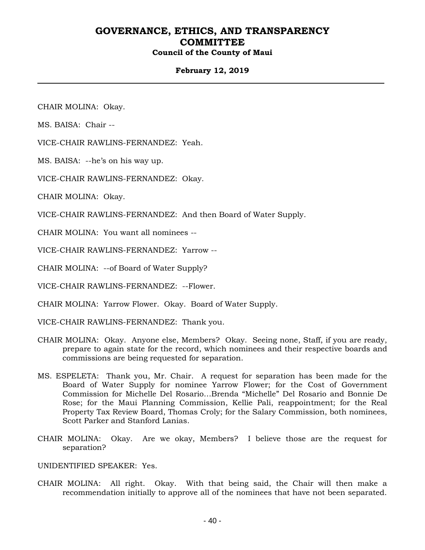### **February 12, 2019**

CHAIR MOLINA: Okay.

MS. BAISA: Chair --

VICE-CHAIR RAWLINS-FERNANDEZ: Yeah.

MS. BAISA: --he's on his way up.

VICE-CHAIR RAWLINS-FERNANDEZ: Okay.

CHAIR MOLINA: Okay.

VICE-CHAIR RAWLINS-FERNANDEZ: And then Board of Water Supply.

CHAIR MOLINA: You want all nominees --

VICE-CHAIR RAWLINS-FERNANDEZ: Yarrow --

CHAIR MOLINA: --of Board of Water Supply?

VICE-CHAIR RAWLINS-FERNANDEZ: --Flower.

CHAIR MOLINA: Yarrow Flower. Okay. Board of Water Supply.

VICE-CHAIR RAWLINS-FERNANDEZ: Thank you.

- CHAIR MOLINA: Okay. Anyone else, Members? Okay. Seeing none, Staff, if you are ready, prepare to again state for the record, which nominees and their respective boards and commissions are being requested for separation.
- MS. ESPELETA: Thank you, Mr. Chair. A request for separation has been made for the Board of Water Supply for nominee Yarrow Flower; for the Cost of Government Commission for Michelle Del Rosario…Brenda "Michelle" Del Rosario and Bonnie De Rose; for the Maui Planning Commission, Kellie Pali, reappointment; for the Real Property Tax Review Board, Thomas Croly; for the Salary Commission, both nominees, Scott Parker and Stanford Lanias.
- CHAIR MOLINA: Okay. Are we okay, Members? I believe those are the request for separation?

UNIDENTIFIED SPEAKER: Yes.

CHAIR MOLINA: All right. Okay. With that being said, the Chair will then make a recommendation initially to approve all of the nominees that have not been separated.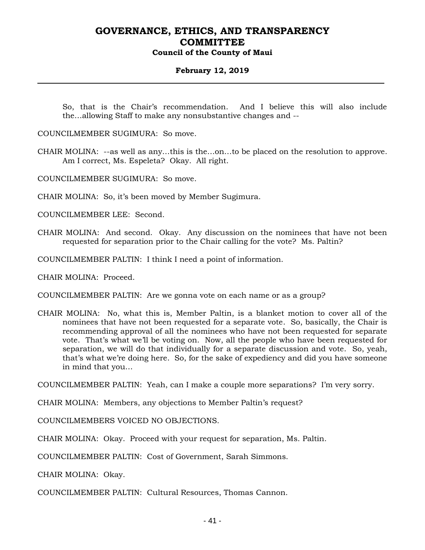#### **February 12, 2019**

So, that is the Chair's recommendation. And I believe this will also include the…allowing Staff to make any nonsubstantive changes and --

COUNCILMEMBER SUGIMURA: So move.

CHAIR MOLINA: --as well as any…this is the…on…to be placed on the resolution to approve. Am I correct, Ms. Espeleta? Okay. All right.

COUNCILMEMBER SUGIMURA: So move.

CHAIR MOLINA: So, it's been moved by Member Sugimura.

COUNCILMEMBER LEE: Second.

CHAIR MOLINA: And second. Okay. Any discussion on the nominees that have not been requested for separation prior to the Chair calling for the vote? Ms. Paltin?

COUNCILMEMBER PALTIN: I think I need a point of information.

CHAIR MOLINA: Proceed.

COUNCILMEMBER PALTIN: Are we gonna vote on each name or as a group?

CHAIR MOLINA: No, what this is, Member Paltin, is a blanket motion to cover all of the nominees that have not been requested for a separate vote. So, basically, the Chair is recommending approval of all the nominees who have not been requested for separate vote. That's what we'll be voting on. Now, all the people who have been requested for separation, we will do that individually for a separate discussion and vote. So, yeah, that's what we're doing here. So, for the sake of expediency and did you have someone in mind that you…

COUNCILMEMBER PALTIN: Yeah, can I make a couple more separations? I'm very sorry.

CHAIR MOLINA: Members, any objections to Member Paltin's request?

COUNCILMEMBERS VOICED NO OBJECTIONS.

CHAIR MOLINA: Okay. Proceed with your request for separation, Ms. Paltin.

COUNCILMEMBER PALTIN: Cost of Government, Sarah Simmons.

CHAIR MOLINA: Okay.

COUNCILMEMBER PALTIN: Cultural Resources, Thomas Cannon.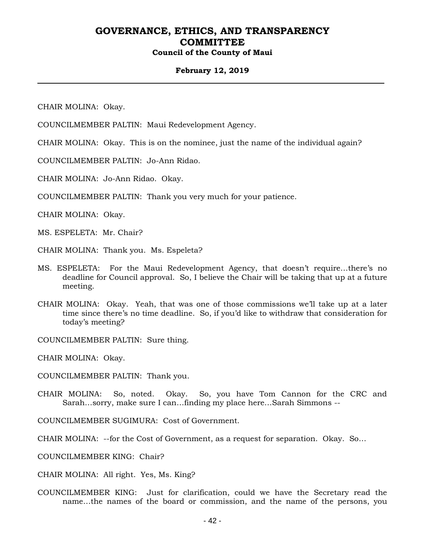#### **February 12, 2019**

CHAIR MOLINA: Okay.

COUNCILMEMBER PALTIN: Maui Redevelopment Agency.

CHAIR MOLINA: Okay. This is on the nominee, just the name of the individual again?

COUNCILMEMBER PALTIN: Jo-Ann Ridao.

CHAIR MOLINA: Jo-Ann Ridao. Okay.

COUNCILMEMBER PALTIN: Thank you very much for your patience.

CHAIR MOLINA: Okay.

MS. ESPELETA: Mr. Chair?

CHAIR MOLINA: Thank you. Ms. Espeleta?

- MS. ESPELETA: For the Maui Redevelopment Agency, that doesn't require…there's no deadline for Council approval. So, I believe the Chair will be taking that up at a future meeting.
- CHAIR MOLINA: Okay. Yeah, that was one of those commissions we'll take up at a later time since there's no time deadline. So, if you'd like to withdraw that consideration for today's meeting?

COUNCILMEMBER PALTIN: Sure thing.

CHAIR MOLINA: Okay.

COUNCILMEMBER PALTIN: Thank you.

CHAIR MOLINA: So, noted. Okay. So, you have Tom Cannon for the CRC and Sarah…sorry, make sure I can…finding my place here…Sarah Simmons --

COUNCILMEMBER SUGIMURA: Cost of Government.

CHAIR MOLINA: --for the Cost of Government, as a request for separation. Okay. So…

COUNCILMEMBER KING: Chair?

CHAIR MOLINA: All right. Yes, Ms. King?

COUNCILMEMBER KING: Just for clarification, could we have the Secretary read the name…the names of the board or commission, and the name of the persons, you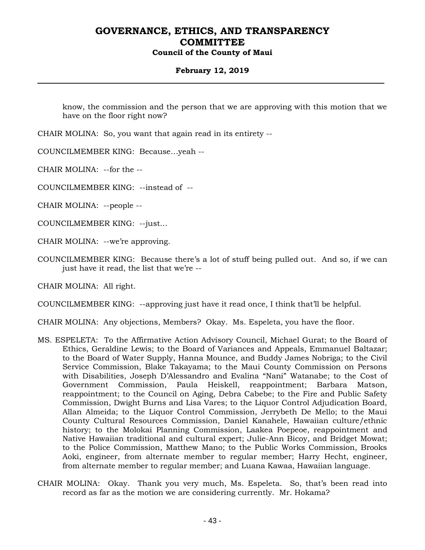### **February 12, 2019**

know, the commission and the person that we are approving with this motion that we have on the floor right now?

CHAIR MOLINA: So, you want that again read in its entirety --

COUNCILMEMBER KING: Because…yeah --

CHAIR MOLINA: --for the --

COUNCILMEMBER KING: --instead of --

CHAIR MOLINA: --people --

COUNCILMEMBER KING: --just…

CHAIR MOLINA: --we're approving.

COUNCILMEMBER KING: Because there's a lot of stuff being pulled out. And so, if we can just have it read, the list that we're --

CHAIR MOLINA: All right.

COUNCILMEMBER KING: --approving just have it read once, I think that'll be helpful.

CHAIR MOLINA: Any objections, Members? Okay. Ms. Espeleta, you have the floor.

- MS. ESPELETA: To the Affirmative Action Advisory Council, Michael Gurat; to the Board of Ethics, Geraldine Lewis; to the Board of Variances and Appeals, Emmanuel Baltazar; to the Board of Water Supply, Hanna Mounce, and Buddy James Nobriga; to the Civil Service Commission, Blake Takayama; to the Maui County Commission on Persons with Disabilities, Joseph D'Alessandro and Evalina "Nani" Watanabe; to the Cost of Government Commission, Paula Heiskell, reappointment; Barbara Matson, reappointment; to the Council on Aging, Debra Cabebe; to the Fire and Public Safety Commission, Dwight Burns and Lisa Vares; to the Liquor Control Adjudication Board, Allan Almeida; to the Liquor Control Commission, Jerrybeth De Mello; to the Maui County Cultural Resources Commission, Daniel Kanahele, Hawaiian culture/ethnic history; to the Molokai Planning Commission, Laakea Poepeoe, reappointment and Native Hawaiian traditional and cultural expert; Julie-Ann Bicoy, and Bridget Mowat; to the Police Commission, Matthew Mano; to the Public Works Commission, Brooks Aoki, engineer, from alternate member to regular member; Harry Hecht, engineer, from alternate member to regular member; and Luana Kawaa, Hawaiian language.
- CHAIR MOLINA: Okay. Thank you very much, Ms. Espeleta. So, that's been read into record as far as the motion we are considering currently. Mr. Hokama?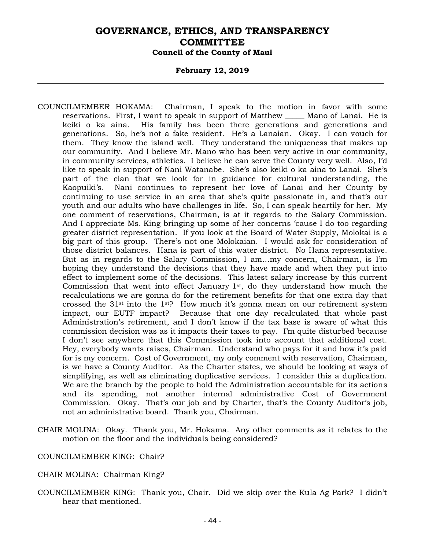#### **February 12, 2019**

- COUNCILMEMBER HOKAMA: Chairman, I speak to the motion in favor with some reservations. First, I want to speak in support of Matthew \_\_\_\_\_ Mano of Lanai. He is keiki o ka aina. His family has been there generations and generations and generations. So, he's not a fake resident. He's a Lanaian. Okay. I can vouch for them. They know the island well. They understand the uniqueness that makes up our community. And I believe Mr. Mano who has been very active in our community, in community services, athletics. I believe he can serve the County very well. Also, I'd like to speak in support of Nani Watanabe. She's also keiki o ka aina to Lanai. She's part of the clan that we look for in guidance for cultural understanding, the Kaopuiki's. Nani continues to represent her love of Lanai and her County by continuing to use service in an area that she's quite passionate in, and that's our youth and our adults who have challenges in life. So, I can speak heartily for her. My one comment of reservations, Chairman, is at it regards to the Salary Commission. And I appreciate Ms. King bringing up some of her concerns 'cause I do too regarding greater district representation. If you look at the Board of Water Supply, Molokai is a big part of this group. There's not one Molokaian. I would ask for consideration of those district balances. Hana is part of this water district. No Hana representative. But as in regards to the Salary Commission, I am…my concern, Chairman, is I'm hoping they understand the decisions that they have made and when they put into effect to implement some of the decisions. This latest salary increase by this current Commission that went into effect January 1st, do they understand how much the recalculations we are gonna do for the retirement benefits for that one extra day that crossed the 31st into the 1st? How much it's gonna mean on our retirement system impact, our EUTF impact? Because that one day recalculated that whole past Administration's retirement, and I don't know if the tax base is aware of what this commission decision was as it impacts their taxes to pay. I'm quite disturbed because I don't see anywhere that this Commission took into account that additional cost. Hey, everybody wants raises, Chairman. Understand who pays for it and how it's paid for is my concern. Cost of Government, my only comment with reservation, Chairman, is we have a County Auditor. As the Charter states, we should be looking at ways of simplifying, as well as eliminating duplicative services. I consider this a duplication. We are the branch by the people to hold the Administration accountable for its actions and its spending, not another internal administrative Cost of Government Commission. Okay. That's our job and by Charter, that's the County Auditor's job, not an administrative board. Thank you, Chairman.
- CHAIR MOLINA: Okay. Thank you, Mr. Hokama. Any other comments as it relates to the motion on the floor and the individuals being considered?

#### COUNCILMEMBER KING: Chair?

- CHAIR MOLINA: Chairman King?
- COUNCILMEMBER KING: Thank you, Chair. Did we skip over the Kula Ag Park? I didn't hear that mentioned.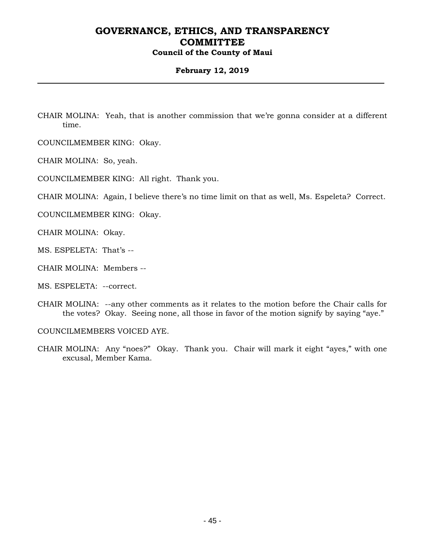### **February 12, 2019**

CHAIR MOLINA: Yeah, that is another commission that we're gonna consider at a different time.

COUNCILMEMBER KING: Okay.

CHAIR MOLINA: So, yeah.

COUNCILMEMBER KING: All right. Thank you.

CHAIR MOLINA: Again, I believe there's no time limit on that as well, Ms. Espeleta? Correct.

COUNCILMEMBER KING: Okay.

CHAIR MOLINA: Okay.

MS. ESPELETA: That's --

- CHAIR MOLINA: Members --
- MS. ESPELETA: --correct.
- CHAIR MOLINA: --any other comments as it relates to the motion before the Chair calls for the votes? Okay. Seeing none, all those in favor of the motion signify by saying "aye."

COUNCILMEMBERS VOICED AYE.

CHAIR MOLINA: Any "noes?" Okay. Thank you. Chair will mark it eight "ayes," with one excusal, Member Kama.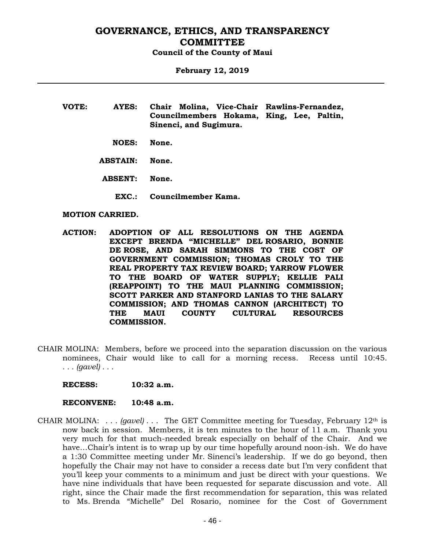**February 12, 2019**

- **VOTE: AYES: Chair Molina, Vice-Chair Rawlins-Fernandez, Councilmembers Hokama, King, Lee, Paltin, Sinenci, and Sugimura.**
	- **NOES: None.**
	- **ABSTAIN: None.**
	- **ABSENT: None.**
		- **EXC.: Councilmember Kama.**

#### **MOTION CARRIED.**

- **ACTION: ADOPTION OF ALL RESOLUTIONS ON THE AGENDA EXCEPT BRENDA "MICHELLE" DEL ROSARIO, BONNIE DE ROSE, AND SARAH SIMMONS TO THE COST OF GOVERNMENT COMMISSION; THOMAS CROLY TO THE REAL PROPERTY TAX REVIEW BOARD; YARROW FLOWER TO THE BOARD OF WATER SUPPLY; KELLIE PALI (REAPPOINT) TO THE MAUI PLANNING COMMISSION; SCOTT PARKER AND STANFORD LANIAS TO THE SALARY COMMISSION; AND THOMAS CANNON (ARCHITECT) TO THE MAUI COUNTY CULTURAL RESOURCES COMMISSION.**
- CHAIR MOLINA: Members, before we proceed into the separation discussion on the various nominees, Chair would like to call for a morning recess. Recess until 10:45. *. . . (gavel) . . .*
	- **RECESS: 10:32 a.m.**
	- **RECONVENE: 10:48 a.m.**
- CHAIR MOLINA: . . . *(gavel)* . . . The GET Committee meeting for Tuesday, February 12th is now back in session. Members, it is ten minutes to the hour of 11 a.m. Thank you very much for that much-needed break especially on behalf of the Chair. And we have…Chair's intent is to wrap up by our time hopefully around noon-ish. We do have a 1:30 Committee meeting under Mr. Sinenci's leadership. If we do go beyond, then hopefully the Chair may not have to consider a recess date but I'm very confident that you'll keep your comments to a minimum and just be direct with your questions. We have nine individuals that have been requested for separate discussion and vote. All right, since the Chair made the first recommendation for separation, this was related to Ms. Brenda "Michelle" Del Rosario, nominee for the Cost of Government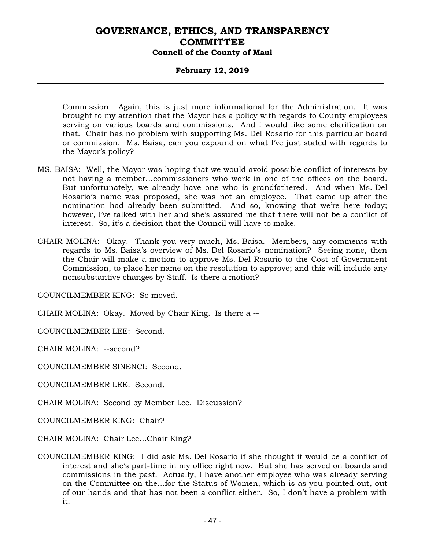### **February 12, 2019**

Commission. Again, this is just more informational for the Administration. It was brought to my attention that the Mayor has a policy with regards to County employees serving on various boards and commissions. And I would like some clarification on that. Chair has no problem with supporting Ms. Del Rosario for this particular board or commission. Ms. Baisa, can you expound on what I've just stated with regards to the Mayor's policy?

- MS. BAISA: Well, the Mayor was hoping that we would avoid possible conflict of interests by not having a member…commissioners who work in one of the offices on the board. But unfortunately, we already have one who is grandfathered. And when Ms. Del Rosario's name was proposed, she was not an employee. That came up after the nomination had already been submitted. And so, knowing that we're here today; however, I've talked with her and she's assured me that there will not be a conflict of interest. So, it's a decision that the Council will have to make.
- CHAIR MOLINA: Okay. Thank you very much, Ms. Baisa. Members, any comments with regards to Ms. Baisa's overview of Ms. Del Rosario's nomination? Seeing none, then the Chair will make a motion to approve Ms. Del Rosario to the Cost of Government Commission, to place her name on the resolution to approve; and this will include any nonsubstantive changes by Staff. Is there a motion?

COUNCILMEMBER KING: So moved.

CHAIR MOLINA: Okay. Moved by Chair King. Is there a --

COUNCILMEMBER LEE: Second.

CHAIR MOLINA: --second?

COUNCILMEMBER SINENCI: Second.

COUNCILMEMBER LEE: Second.

CHAIR MOLINA: Second by Member Lee. Discussion?

COUNCILMEMBER KING: Chair?

CHAIR MOLINA: Chair Lee…Chair King?

COUNCILMEMBER KING: I did ask Ms. Del Rosario if she thought it would be a conflict of interest and she's part-time in my office right now. But she has served on boards and commissions in the past. Actually, I have another employee who was already serving on the Committee on the…for the Status of Women, which is as you pointed out, out of our hands and that has not been a conflict either. So, I don't have a problem with it.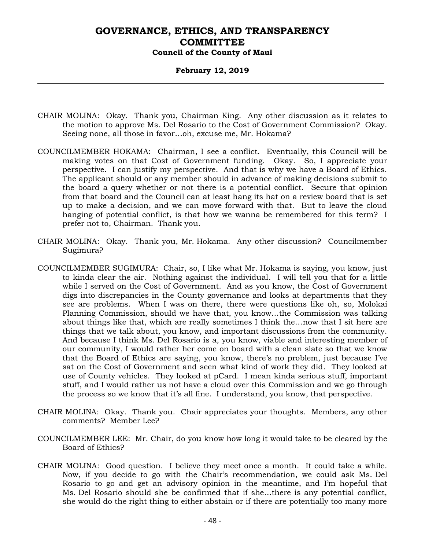### **February 12, 2019**

- CHAIR MOLINA: Okay. Thank you, Chairman King. Any other discussion as it relates to the motion to approve Ms. Del Rosario to the Cost of Government Commission? Okay. Seeing none, all those in favor…oh, excuse me, Mr. Hokama?
- COUNCILMEMBER HOKAMA: Chairman, I see a conflict. Eventually, this Council will be making votes on that Cost of Government funding. Okay. So, I appreciate your perspective. I can justify my perspective. And that is why we have a Board of Ethics. The applicant should or any member should in advance of making decisions submit to the board a query whether or not there is a potential conflict. Secure that opinion from that board and the Council can at least hang its hat on a review board that is set up to make a decision, and we can move forward with that. But to leave the cloud hanging of potential conflict, is that how we wanna be remembered for this term? I prefer not to, Chairman. Thank you.
- CHAIR MOLINA: Okay. Thank you, Mr. Hokama. Any other discussion? Councilmember Sugimura?
- COUNCILMEMBER SUGIMURA: Chair, so, I like what Mr. Hokama is saying, you know, just to kinda clear the air. Nothing against the individual. I will tell you that for a little while I served on the Cost of Government. And as you know, the Cost of Government digs into discrepancies in the County governance and looks at departments that they see are problems. When I was on there, there were questions like oh, so, Molokai Planning Commission, should we have that, you know…the Commission was talking about things like that, which are really sometimes I think the…now that I sit here are things that we talk about, you know, and important discussions from the community. And because I think Ms. Del Rosario is a, you know, viable and interesting member of our community, I would rather her come on board with a clean slate so that we know that the Board of Ethics are saying, you know, there's no problem, just because I've sat on the Cost of Government and seen what kind of work they did. They looked at use of County vehicles. They looked at pCard. I mean kinda serious stuff, important stuff, and I would rather us not have a cloud over this Commission and we go through the process so we know that it's all fine. I understand, you know, that perspective.
- CHAIR MOLINA: Okay. Thank you. Chair appreciates your thoughts. Members, any other comments? Member Lee?
- COUNCILMEMBER LEE: Mr. Chair, do you know how long it would take to be cleared by the Board of Ethics?
- CHAIR MOLINA: Good question. I believe they meet once a month. It could take a while. Now, if you decide to go with the Chair's recommendation, we could ask Ms. Del Rosario to go and get an advisory opinion in the meantime, and I'm hopeful that Ms. Del Rosario should she be confirmed that if she…there is any potential conflict, she would do the right thing to either abstain or if there are potentially too many more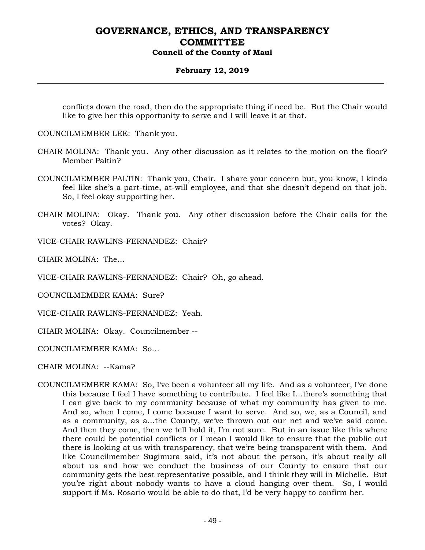### **February 12, 2019**

conflicts down the road, then do the appropriate thing if need be. But the Chair would like to give her this opportunity to serve and I will leave it at that.

COUNCILMEMBER LEE: Thank you.

- CHAIR MOLINA: Thank you. Any other discussion as it relates to the motion on the floor? Member Paltin?
- COUNCILMEMBER PALTIN: Thank you, Chair. I share your concern but, you know, I kinda feel like she's a part-time, at-will employee, and that she doesn't depend on that job. So, I feel okay supporting her.
- CHAIR MOLINA: Okay. Thank you. Any other discussion before the Chair calls for the votes? Okay.

VICE-CHAIR RAWLINS-FERNANDEZ: Chair?

CHAIR MOLINA: The…

VICE-CHAIR RAWLINS-FERNANDEZ: Chair? Oh, go ahead.

COUNCILMEMBER KAMA: Sure?

VICE-CHAIR RAWLINS-FERNANDEZ: Yeah.

CHAIR MOLINA: Okay. Councilmember --

COUNCILMEMBER KAMA: So…

CHAIR MOLINA: --Kama?

COUNCILMEMBER KAMA: So, I've been a volunteer all my life. And as a volunteer, I've done this because I feel I have something to contribute. I feel like I…there's something that I can give back to my community because of what my community has given to me. And so, when I come, I come because I want to serve. And so, we, as a Council, and as a community, as a…the County, we've thrown out our net and we've said come. And then they come, then we tell hold it, I'm not sure. But in an issue like this where there could be potential conflicts or I mean I would like to ensure that the public out there is looking at us with transparency, that we're being transparent with them. And like Councilmember Sugimura said, it's not about the person, it's about really all about us and how we conduct the business of our County to ensure that our community gets the best representative possible, and I think they will in Michelle. But you're right about nobody wants to have a cloud hanging over them. So, I would support if Ms. Rosario would be able to do that, I'd be very happy to confirm her.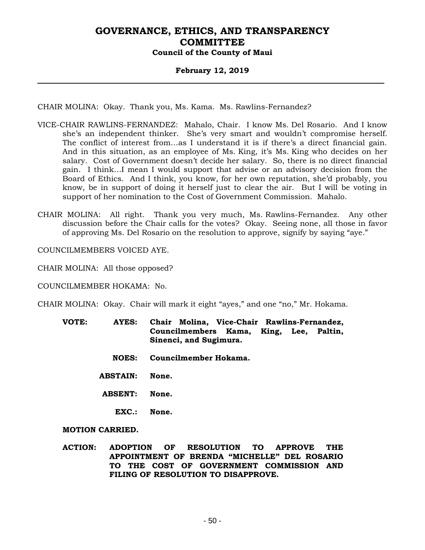### **February 12, 2019**

CHAIR MOLINA: Okay. Thank you, Ms. Kama. Ms. Rawlins-Fernandez?

- VICE-CHAIR RAWLINS-FERNANDEZ: Mahalo, Chair. I know Ms. Del Rosario. And I know she's an independent thinker. She's very smart and wouldn't compromise herself. The conflict of interest from…as I understand it is if there's a direct financial gain. And in this situation, as an employee of Ms. King, it's Ms. King who decides on her salary. Cost of Government doesn't decide her salary. So, there is no direct financial gain. I think…I mean I would support that advise or an advisory decision from the Board of Ethics. And I think, you know, for her own reputation, she'd probably, you know, be in support of doing it herself just to clear the air. But I will be voting in support of her nomination to the Cost of Government Commission. Mahalo.
- CHAIR MOLINA: All right. Thank you very much, Ms. Rawlins-Fernandez. Any other discussion before the Chair calls for the votes? Okay. Seeing none, all those in favor of approving Ms. Del Rosario on the resolution to approve, signify by saying "aye."

COUNCILMEMBERS VOICED AYE.

CHAIR MOLINA: All those opposed?

COUNCILMEMBER HOKAMA: No.

CHAIR MOLINA: Okay. Chair will mark it eight "ayes," and one "no," Mr. Hokama.

- **VOTE: AYES: Chair Molina, Vice-Chair Rawlins-Fernandez, Councilmembers Kama, King, Lee, Paltin, Sinenci, and Sugimura.**
	- **NOES: Councilmember Hokama.**
	- **ABSTAIN: None.**
	- **ABSENT: None.**
		- **EXC.: None.**

**MOTION CARRIED.**

**ACTION: ADOPTION OF RESOLUTION TO APPROVE THE APPOINTMENT OF BRENDA "MICHELLE" DEL ROSARIO TO THE COST OF GOVERNMENT COMMISSION AND FILING OF RESOLUTION TO DISAPPROVE.**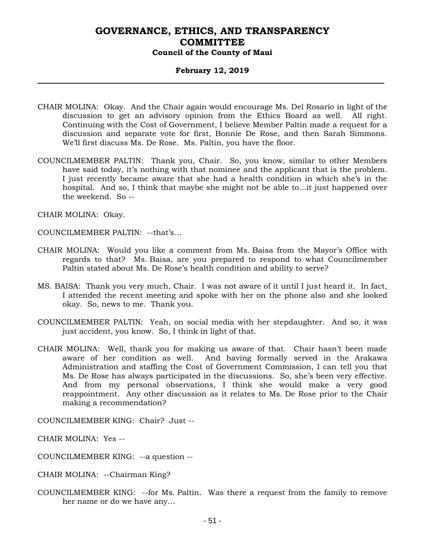#### **February 12, 2019**

- CHAIR MOLINA: Okay. And the Chair again would encourage Ms. Del Rosario in light of the discussion to get an advisory opinion from the Ethics Board as well. All right. Continuing with the Cost of Government, I believe Member Paltin made a request for a discussion and separate vote for first, Bonnie De Rose, and then Sarah Simmons. We'll first discuss Ms. De Rose. Ms. Paltin, you have the floor.
- COUNCILMEMBER PALTIN: Thank you, Chair. So, you know, similar to other Members have said today, it's nothing with that nominee and the applicant that is the problem. I just recently became aware that she had a health condition in which she's in the hospital. And so, I think that maybe she might not be able to…it just happened over the weekend. So --

CHAIR MOLINA: Okay.

COUNCILMEMBER PALTIN: --that's…

- CHAIR MOLINA: Would you like a comment from Ms. Baisa from the Mayor's Office with regards to that? Ms. Baisa, are you prepared to respond to what Councilmember Paltin stated about Ms. De Rose's health condition and ability to serve?
- MS. BAISA: Thank you very much, Chair. I was not aware of it until I just heard it. In fact, I attended the recent meeting and spoke with her on the phone also and she looked okay. So, news to me. Thank you.
- COUNCILMEMBER PALTIN: Yeah, on social media with her stepdaughter. And so, it was just accident, you know. So, I think in light of that.
- CHAIR MOLINA: Well, thank you for making us aware of that. Chair hasn't been made aware of her condition as well. And having formally served in the Arakawa Administration and staffing the Cost of Government Commission, I can tell you that Ms. De Rose has always participated in the discussions. So, she's been very effective. And from my personal observations, I think she would make a very good reappointment. Any other discussion as it relates to Ms. De Rose prior to the Chair making a recommendation?

COUNCILMEMBER KING: Chair? Just --

CHAIR MOLINA: Yes --

COUNCILMEMBER KING: --a question --

CHAIR MOLINA: --Chairman King?

COUNCILMEMBER KING: --for Ms. Paltin. Was there a request from the family to remove her name or do we have any…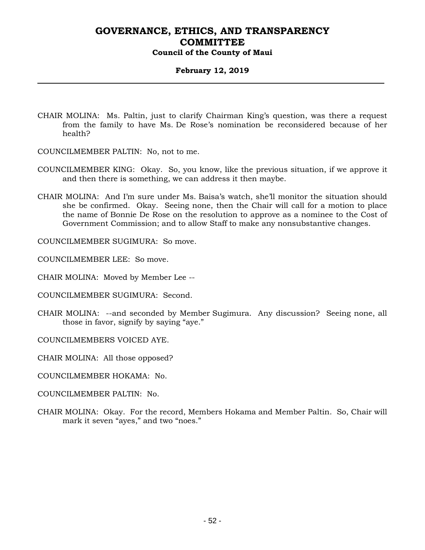### **February 12, 2019**

- CHAIR MOLINA: Ms. Paltin, just to clarify Chairman King's question, was there a request from the family to have Ms. De Rose's nomination be reconsidered because of her health?
- COUNCILMEMBER PALTIN: No, not to me.
- COUNCILMEMBER KING: Okay. So, you know, like the previous situation, if we approve it and then there is something, we can address it then maybe.
- CHAIR MOLINA: And I'm sure under Ms. Baisa's watch, she'll monitor the situation should she be confirmed. Okay. Seeing none, then the Chair will call for a motion to place the name of Bonnie De Rose on the resolution to approve as a nominee to the Cost of Government Commission; and to allow Staff to make any nonsubstantive changes.

COUNCILMEMBER SUGIMURA: So move.

COUNCILMEMBER LEE: So move.

CHAIR MOLINA: Moved by Member Lee --

COUNCILMEMBER SUGIMURA: Second.

- CHAIR MOLINA: --and seconded by Member Sugimura. Any discussion? Seeing none, all those in favor, signify by saying "aye."
- COUNCILMEMBERS VOICED AYE.

CHAIR MOLINA: All those opposed?

- COUNCILMEMBER HOKAMA: No.
- COUNCILMEMBER PALTIN: No.
- CHAIR MOLINA: Okay. For the record, Members Hokama and Member Paltin. So, Chair will mark it seven "ayes," and two "noes."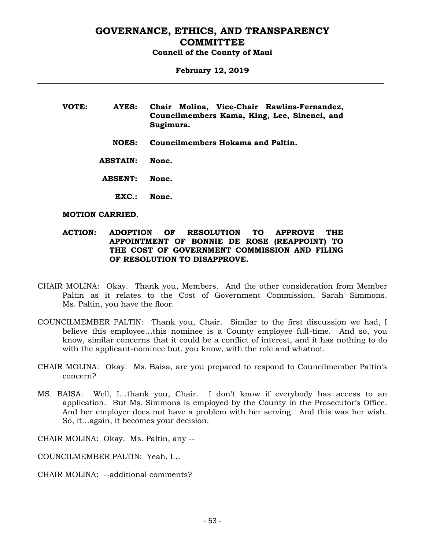### **February 12, 2019**

| VOTE: | AYES:        | Chair Molina, Vice-Chair Rawlins-Fernandez,<br>Councilmembers Kama, King, Lee, Sinenci, and<br>Sugimura. |
|-------|--------------|----------------------------------------------------------------------------------------------------------|
|       | <b>NOES:</b> | <b>Councilmembers Hokama and Paltin.</b>                                                                 |

**ABSTAIN: None.**

**ABSENT: None.**

**EXC.: None.**

#### **MOTION CARRIED.**

#### **ACTION: ADOPTION OF RESOLUTION TO APPROVE THE APPOINTMENT OF BONNIE DE ROSE (REAPPOINT) TO THE COST OF GOVERNMENT COMMISSION AND FILING OF RESOLUTION TO DISAPPROVE.**

- CHAIR MOLINA: Okay. Thank you, Members. And the other consideration from Member Paltin as it relates to the Cost of Government Commission, Sarah Simmons. Ms. Paltin, you have the floor.
- COUNCILMEMBER PALTIN: Thank you, Chair. Similar to the first discussion we had, I believe this employee…this nominee is a County employee full-time. And so, you know, similar concerns that it could be a conflict of interest, and it has nothing to do with the applicant-nominee but, you know, with the role and whatnot.
- CHAIR MOLINA: Okay. Ms. Baisa, are you prepared to respond to Councilmember Paltin's concern?
- MS. BAISA: Well, I…thank you, Chair. I don't know if everybody has access to an application. But Ms. Simmons is employed by the County in the Prosecutor's Office. And her employer does not have a problem with her serving. And this was her wish. So, it…again, it becomes your decision.

CHAIR MOLINA: Okay. Ms. Paltin, any --

COUNCILMEMBER PALTIN: Yeah, I…

CHAIR MOLINA: --additional comments?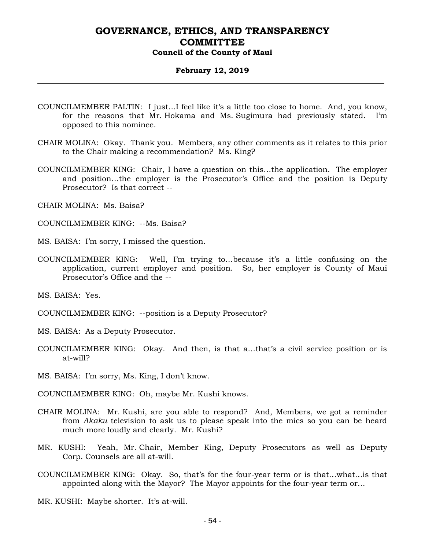#### **February 12, 2019**

- COUNCILMEMBER PALTIN: I just…I feel like it's a little too close to home. And, you know, for the reasons that Mr. Hokama and Ms. Sugimura had previously stated. I'm opposed to this nominee.
- CHAIR MOLINA: Okay. Thank you. Members, any other comments as it relates to this prior to the Chair making a recommendation? Ms. King?
- COUNCILMEMBER KING: Chair, I have a question on this…the application. The employer and position…the employer is the Prosecutor's Office and the position is Deputy Prosecutor? Is that correct --
- CHAIR MOLINA: Ms. Baisa?
- COUNCILMEMBER KING: --Ms. Baisa?
- MS. BAISA: I'm sorry, I missed the question.
- COUNCILMEMBER KING: Well, I'm trying to…because it's a little confusing on the application, current employer and position. So, her employer is County of Maui Prosecutor's Office and the --

MS. BAISA: Yes.

- COUNCILMEMBER KING: --position is a Deputy Prosecutor?
- MS. BAISA: As a Deputy Prosecutor.
- COUNCILMEMBER KING: Okay. And then, is that a…that's a civil service position or is at-will?
- MS. BAISA: I'm sorry, Ms. King, I don't know.
- COUNCILMEMBER KING: Oh, maybe Mr. Kushi knows.
- CHAIR MOLINA: Mr. Kushi, are you able to respond? And, Members, we got a reminder from *Akaku* television to ask us to please speak into the mics so you can be heard much more loudly and clearly. Mr. Kushi?
- MR. KUSHI: Yeah, Mr. Chair, Member King, Deputy Prosecutors as well as Deputy Corp. Counsels are all at-will.
- COUNCILMEMBER KING: Okay. So, that's for the four-year term or is that…what…is that appointed along with the Mayor? The Mayor appoints for the four-year term or…
- MR. KUSHI: Maybe shorter. It's at-will.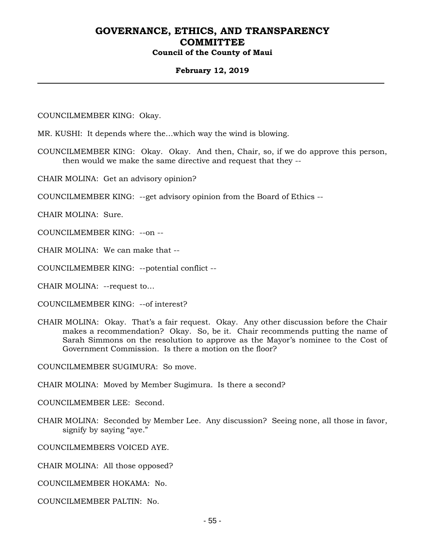#### **February 12, 2019**

COUNCILMEMBER KING: Okay.

MR. KUSHI: It depends where the…which way the wind is blowing.

COUNCILMEMBER KING: Okay. Okay. And then, Chair, so, if we do approve this person, then would we make the same directive and request that they --

CHAIR MOLINA: Get an advisory opinion?

COUNCILMEMBER KING: --get advisory opinion from the Board of Ethics --

CHAIR MOLINA: Sure.

COUNCILMEMBER KING: --on --

CHAIR MOLINA: We can make that --

COUNCILMEMBER KING: --potential conflict --

CHAIR MOLINA: --request to…

COUNCILMEMBER KING: --of interest?

CHAIR MOLINA: Okay. That's a fair request. Okay. Any other discussion before the Chair makes a recommendation? Okay. So, be it. Chair recommends putting the name of Sarah Simmons on the resolution to approve as the Mayor's nominee to the Cost of Government Commission. Is there a motion on the floor?

COUNCILMEMBER SUGIMURA: So move.

CHAIR MOLINA: Moved by Member Sugimura. Is there a second?

COUNCILMEMBER LEE: Second.

CHAIR MOLINA: Seconded by Member Lee. Any discussion? Seeing none, all those in favor, signify by saying "aye."

COUNCILMEMBERS VOICED AYE.

CHAIR MOLINA: All those opposed?

COUNCILMEMBER HOKAMA: No.

COUNCILMEMBER PALTIN: No.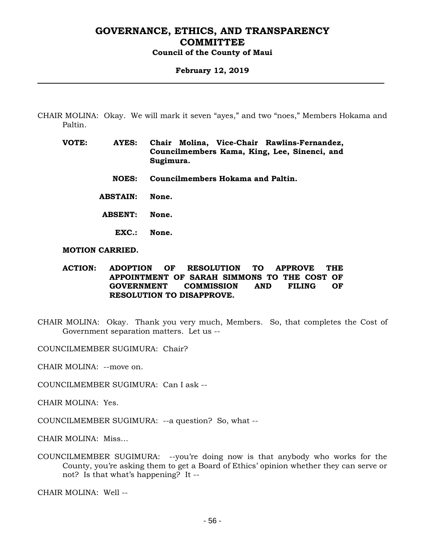#### **February 12, 2019**

- CHAIR MOLINA: Okay. We will mark it seven "ayes," and two "noes," Members Hokama and Paltin.
	- **VOTE: AYES: Chair Molina, Vice-Chair Rawlins-Fernandez, Councilmembers Kama, King, Lee, Sinenci, and Sugimura.**
		- **NOES: Councilmembers Hokama and Paltin.**
		- **ABSTAIN: None.**
		- **ABSENT: None.**
			- **EXC.: None.**

#### **MOTION CARRIED.**

### **ACTION: ADOPTION OF RESOLUTION TO APPROVE THE APPOINTMENT OF SARAH SIMMONS TO THE COST OF GOVERNMENT COMMISSION AND FILING OF RESOLUTION TO DISAPPROVE.**

CHAIR MOLINA: Okay. Thank you very much, Members. So, that completes the Cost of Government separation matters. Let us --

COUNCILMEMBER SUGIMURA: Chair?

CHAIR MOLINA: --move on.

COUNCILMEMBER SUGIMURA: Can I ask --

CHAIR MOLINA: Yes.

COUNCILMEMBER SUGIMURA: --a question? So, what --

CHAIR MOLINA: Miss…

COUNCILMEMBER SUGIMURA: --you're doing now is that anybody who works for the County, you're asking them to get a Board of Ethics' opinion whether they can serve or not? Is that what's happening? It --

CHAIR MOLINA: Well --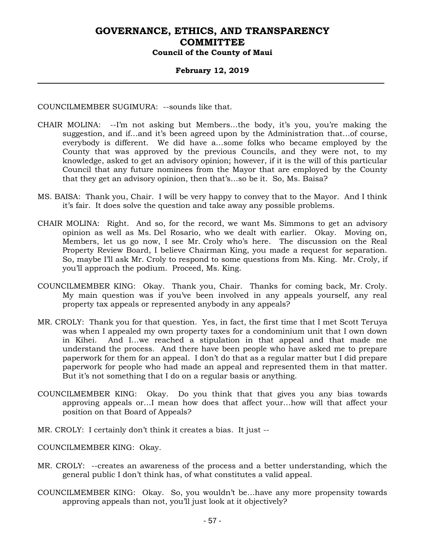### **February 12, 2019**

COUNCILMEMBER SUGIMURA: --sounds like that.

- CHAIR MOLINA: --I'm not asking but Members…the body, it's you, you're making the suggestion, and if…and it's been agreed upon by the Administration that…of course, everybody is different. We did have a…some folks who became employed by the County that was approved by the previous Councils, and they were not, to my knowledge, asked to get an advisory opinion; however, if it is the will of this particular Council that any future nominees from the Mayor that are employed by the County that they get an advisory opinion, then that's…so be it. So, Ms. Baisa?
- MS. BAISA: Thank you, Chair. I will be very happy to convey that to the Mayor. And I think it's fair. It does solve the question and take away any possible problems.
- CHAIR MOLINA: Right. And so, for the record, we want Ms. Simmons to get an advisory opinion as well as Ms. Del Rosario, who we dealt with earlier. Okay. Moving on, Members, let us go now, I see Mr. Croly who's here. The discussion on the Real Property Review Board, I believe Chairman King, you made a request for separation. So, maybe I'll ask Mr. Croly to respond to some questions from Ms. King. Mr. Croly, if you'll approach the podium. Proceed, Ms. King.
- COUNCILMEMBER KING: Okay. Thank you, Chair. Thanks for coming back, Mr. Croly. My main question was if you've been involved in any appeals yourself, any real property tax appeals or represented anybody in any appeals?
- MR. CROLY: Thank you for that question. Yes, in fact, the first time that I met Scott Teruya was when I appealed my own property taxes for a condominium unit that I own down in Kihei. And I…we reached a stipulation in that appeal and that made me understand the process. And there have been people who have asked me to prepare paperwork for them for an appeal. I don't do that as a regular matter but I did prepare paperwork for people who had made an appeal and represented them in that matter. But it's not something that I do on a regular basis or anything.
- COUNCILMEMBER KING: Okay. Do you think that that gives you any bias towards approving appeals or…I mean how does that affect your…how will that affect your position on that Board of Appeals?
- MR. CROLY: I certainly don't think it creates a bias. It just --

COUNCILMEMBER KING: Okay.

- MR. CROLY: --creates an awareness of the process and a better understanding, which the general public I don't think has, of what constitutes a valid appeal.
- COUNCILMEMBER KING: Okay. So, you wouldn't be…have any more propensity towards approving appeals than not, you'll just look at it objectively?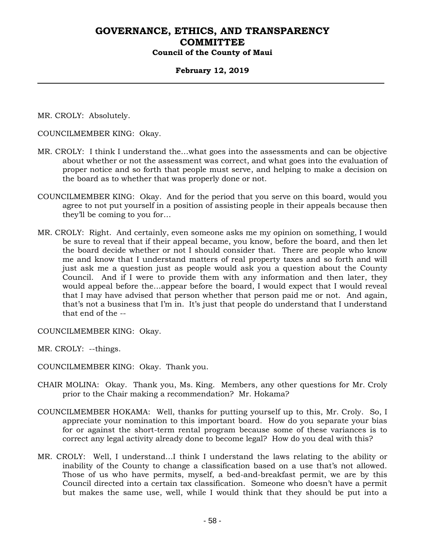### **February 12, 2019**

MR. CROLY: Absolutely.

COUNCILMEMBER KING: Okay.

- MR. CROLY: I think I understand the…what goes into the assessments and can be objective about whether or not the assessment was correct, and what goes into the evaluation of proper notice and so forth that people must serve, and helping to make a decision on the board as to whether that was properly done or not.
- COUNCILMEMBER KING: Okay. And for the period that you serve on this board, would you agree to not put yourself in a position of assisting people in their appeals because then they'll be coming to you for…
- MR. CROLY: Right. And certainly, even someone asks me my opinion on something, I would be sure to reveal that if their appeal became, you know, before the board, and then let the board decide whether or not I should consider that. There are people who know me and know that I understand matters of real property taxes and so forth and will just ask me a question just as people would ask you a question about the County Council. And if I were to provide them with any information and then later, they would appeal before the…appear before the board, I would expect that I would reveal that I may have advised that person whether that person paid me or not. And again, that's not a business that I'm in. It's just that people do understand that I understand that end of the --

COUNCILMEMBER KING: Okay.

MR. CROLY: --things.

COUNCILMEMBER KING: Okay. Thank you.

- CHAIR MOLINA: Okay. Thank you, Ms. King. Members, any other questions for Mr. Croly prior to the Chair making a recommendation? Mr. Hokama?
- COUNCILMEMBER HOKAMA: Well, thanks for putting yourself up to this, Mr. Croly. So, I appreciate your nomination to this important board. How do you separate your bias for or against the short-term rental program because some of these variances is to correct any legal activity already done to become legal? How do you deal with this?
- MR. CROLY: Well, I understand…I think I understand the laws relating to the ability or inability of the County to change a classification based on a use that's not allowed. Those of us who have permits, myself, a bed-and-breakfast permit, we are by this Council directed into a certain tax classification. Someone who doesn't have a permit but makes the same use, well, while I would think that they should be put into a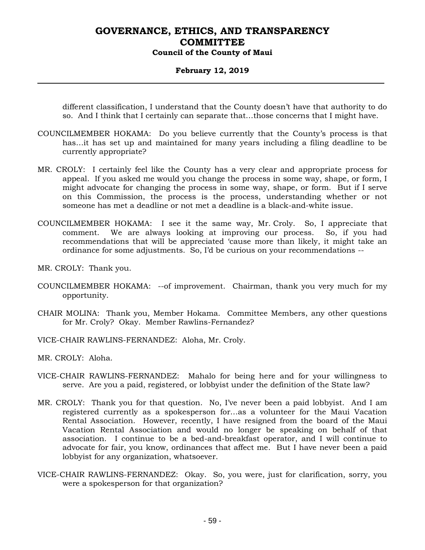### **February 12, 2019**

different classification, I understand that the County doesn't have that authority to do so. And I think that I certainly can separate that…those concerns that I might have.

- COUNCILMEMBER HOKAMA: Do you believe currently that the County's process is that has…it has set up and maintained for many years including a filing deadline to be currently appropriate?
- MR. CROLY: I certainly feel like the County has a very clear and appropriate process for appeal. If you asked me would you change the process in some way, shape, or form, I might advocate for changing the process in some way, shape, or form. But if I serve on this Commission, the process is the process, understanding whether or not someone has met a deadline or not met a deadline is a black-and-white issue.
- COUNCILMEMBER HOKAMA: I see it the same way, Mr. Croly. So, I appreciate that comment. We are always looking at improving our process. So, if you had recommendations that will be appreciated 'cause more than likely, it might take an ordinance for some adjustments. So, I'd be curious on your recommendations --
- MR. CROLY: Thank you.
- COUNCILMEMBER HOKAMA: --of improvement. Chairman, thank you very much for my opportunity.
- CHAIR MOLINA: Thank you, Member Hokama. Committee Members, any other questions for Mr. Croly? Okay. Member Rawlins-Fernandez?
- VICE-CHAIR RAWLINS-FERNANDEZ: Aloha, Mr. Croly.
- MR. CROLY: Aloha.
- VICE-CHAIR RAWLINS-FERNANDEZ: Mahalo for being here and for your willingness to serve. Are you a paid, registered, or lobbyist under the definition of the State law?
- MR. CROLY: Thank you for that question. No, I've never been a paid lobbyist. And I am registered currently as a spokesperson for…as a volunteer for the Maui Vacation Rental Association. However, recently, I have resigned from the board of the Maui Vacation Rental Association and would no longer be speaking on behalf of that association. I continue to be a bed-and-breakfast operator, and I will continue to advocate for fair, you know, ordinances that affect me. But I have never been a paid lobbyist for any organization, whatsoever.
- VICE-CHAIR RAWLINS-FERNANDEZ: Okay. So, you were, just for clarification, sorry, you were a spokesperson for that organization?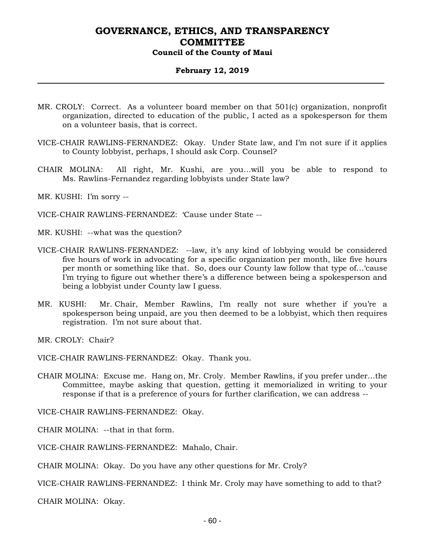#### **February 12, 2019**

- MR. CROLY: Correct. As a volunteer board member on that 501(c) organization, nonprofit organization, directed to education of the public, I acted as a spokesperson for them on a volunteer basis, that is correct.
- VICE-CHAIR RAWLINS-FERNANDEZ: Okay. Under State law, and I'm not sure if it applies to County lobbyist, perhaps, I should ask Corp. Counsel?
- CHAIR MOLINA: All right, Mr. Kushi, are you…will you be able to respond to Ms. Rawlins-Fernandez regarding lobbyists under State law?

MR. KUSHI: I'm sorry --

VICE-CHAIR RAWLINS-FERNANDEZ: 'Cause under State --

MR. KUSHI: --what was the question?

- VICE-CHAIR RAWLINS-FERNANDEZ: --law, it's any kind of lobbying would be considered five hours of work in advocating for a specific organization per month, like five hours per month or something like that. So, does our County law follow that type of…'cause I'm trying to figure out whether there's a difference between being a spokesperson and being a lobbyist under County law I guess.
- MR. KUSHI: Mr. Chair, Member Rawlins, I'm really not sure whether if you're a spokesperson being unpaid, are you then deemed to be a lobbyist, which then requires registration. I'm not sure about that.

MR. CROLY: Chair?

VICE-CHAIR RAWLINS-FERNANDEZ: Okay. Thank you.

CHAIR MOLINA: Excuse me. Hang on, Mr. Croly. Member Rawlins, if you prefer under…the Committee, maybe asking that question, getting it memorialized in writing to your response if that is a preference of yours for further clarification, we can address --

VICE-CHAIR RAWLINS-FERNANDEZ: Okay.

CHAIR MOLINA: --that in that form.

VICE-CHAIR RAWLINS-FERNANDEZ: Mahalo, Chair.

CHAIR MOLINA: Okay. Do you have any other questions for Mr. Croly?

VICE-CHAIR RAWLINS-FERNANDEZ: I think Mr. Croly may have something to add to that?

CHAIR MOLINA: Okay.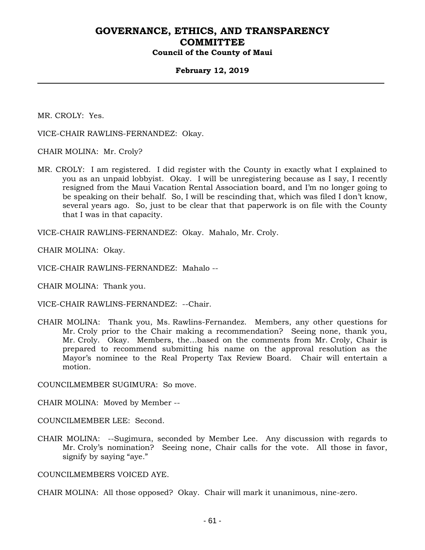#### **February 12, 2019**

MR. CROLY: Yes.

VICE-CHAIR RAWLINS-FERNANDEZ: Okay.

CHAIR MOLINA: Mr. Croly?

MR. CROLY: I am registered. I did register with the County in exactly what I explained to you as an unpaid lobbyist. Okay. I will be unregistering because as I say, I recently resigned from the Maui Vacation Rental Association board, and I'm no longer going to be speaking on their behalf. So, I will be rescinding that, which was filed I don't know, several years ago. So, just to be clear that that paperwork is on file with the County that I was in that capacity.

VICE-CHAIR RAWLINS-FERNANDEZ: Okay. Mahalo, Mr. Croly.

CHAIR MOLINA: Okay.

VICE-CHAIR RAWLINS-FERNANDEZ: Mahalo --

CHAIR MOLINA: Thank you.

VICE-CHAIR RAWLINS-FERNANDEZ: --Chair.

CHAIR MOLINA: Thank you, Ms. Rawlins-Fernandez. Members, any other questions for Mr. Croly prior to the Chair making a recommendation? Seeing none, thank you, Mr. Croly. Okay. Members, the…based on the comments from Mr. Croly, Chair is prepared to recommend submitting his name on the approval resolution as the Mayor's nominee to the Real Property Tax Review Board. Chair will entertain a motion.

COUNCILMEMBER SUGIMURA: So move.

CHAIR MOLINA: Moved by Member --

COUNCILMEMBER LEE: Second.

CHAIR MOLINA: --Sugimura, seconded by Member Lee. Any discussion with regards to Mr. Croly's nomination? Seeing none, Chair calls for the vote. All those in favor, signify by saying "aye."

COUNCILMEMBERS VOICED AYE.

CHAIR MOLINA: All those opposed? Okay. Chair will mark it unanimous, nine-zero.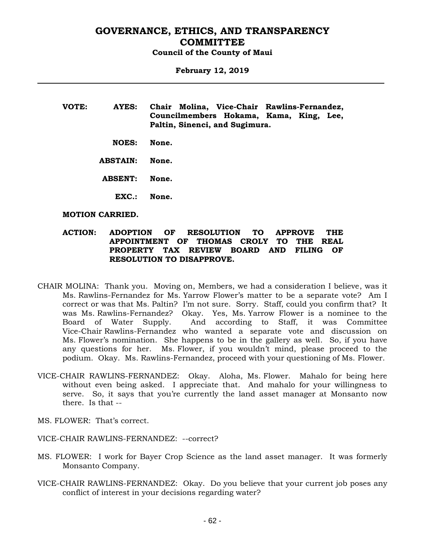**February 12, 2019**

- **VOTE: AYES: Chair Molina, Vice-Chair Rawlins-Fernandez, Councilmembers Hokama, Kama, King, Lee, Paltin, Sinenci, and Sugimura.**
	- **NOES: None.**
	- **ABSTAIN: None.**
	- **ABSENT: None.**
		- **EXC.: None.**

#### **MOTION CARRIED.**

#### **ACTION: ADOPTION OF RESOLUTION TO APPROVE THE APPOINTMENT OF THOMAS CROLY TO THE REAL PROPERTY TAX REVIEW BOARD AND FILING OF RESOLUTION TO DISAPPROVE.**

- CHAIR MOLINA: Thank you. Moving on, Members, we had a consideration I believe, was it Ms. Rawlins-Fernandez for Ms. Yarrow Flower's matter to be a separate vote? Am I correct or was that Ms. Paltin? I'm not sure. Sorry. Staff, could you confirm that? It was Ms. Rawlins-Fernandez? Okay. Yes, Ms. Yarrow Flower is a nominee to the Board of Water Supply. And according to Staff, it was Committee And according to Staff, it was Committee Vice-Chair Rawlins-Fernandez who wanted a separate vote and discussion on Ms. Flower's nomination. She happens to be in the gallery as well. So, if you have any questions for her. Ms. Flower, if you wouldn't mind, please proceed to the podium. Okay. Ms. Rawlins-Fernandez, proceed with your questioning of Ms. Flower.
- VICE-CHAIR RAWLINS-FERNANDEZ: Okay. Aloha, Ms. Flower. Mahalo for being here without even being asked. I appreciate that. And mahalo for your willingness to serve. So, it says that you're currently the land asset manager at Monsanto now there. Is that --
- MS. FLOWER: That's correct.
- VICE-CHAIR RAWLINS-FERNANDEZ: --correct?
- MS. FLOWER: I work for Bayer Crop Science as the land asset manager. It was formerly Monsanto Company.
- VICE-CHAIR RAWLINS-FERNANDEZ: Okay. Do you believe that your current job poses any conflict of interest in your decisions regarding water?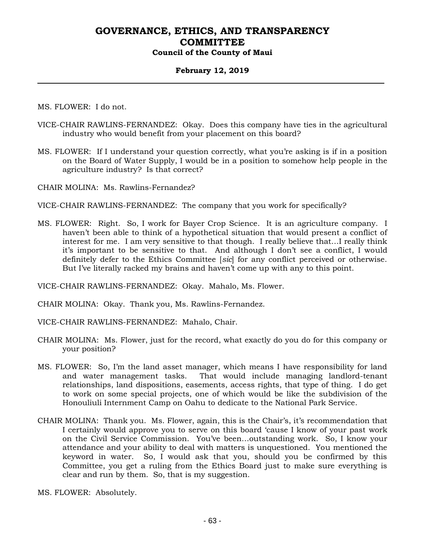#### **February 12, 2019**

MS. FLOWER: I do not.

- VICE-CHAIR RAWLINS-FERNANDEZ: Okay. Does this company have ties in the agricultural industry who would benefit from your placement on this board?
- MS. FLOWER: If I understand your question correctly, what you're asking is if in a position on the Board of Water Supply, I would be in a position to somehow help people in the agriculture industry? Is that correct?

CHAIR MOLINA: Ms. Rawlins-Fernandez?

VICE-CHAIR RAWLINS-FERNANDEZ: The company that you work for specifically?

MS. FLOWER: Right. So, I work for Bayer Crop Science. It is an agriculture company. I haven't been able to think of a hypothetical situation that would present a conflict of interest for me. I am very sensitive to that though. I really believe that…I really think it's important to be sensitive to that. And although I don't see a conflict, I would definitely defer to the Ethics Committee [*sic*] for any conflict perceived or otherwise. But I've literally racked my brains and haven't come up with any to this point.

VICE-CHAIR RAWLINS-FERNANDEZ: Okay. Mahalo, Ms. Flower.

CHAIR MOLINA: Okay. Thank you, Ms. Rawlins-Fernandez.

VICE-CHAIR RAWLINS-FERNANDEZ: Mahalo, Chair.

- CHAIR MOLINA: Ms. Flower, just for the record, what exactly do you do for this company or your position?
- MS. FLOWER: So, I'm the land asset manager, which means I have responsibility for land and water management tasks. That would include managing landlord-tenant relationships, land dispositions, easements, access rights, that type of thing. I do get to work on some special projects, one of which would be like the subdivision of the Honouliuli Internment Camp on Oahu to dedicate to the National Park Service.
- CHAIR MOLINA: Thank you. Ms. Flower, again, this is the Chair's, it's recommendation that I certainly would approve you to serve on this board 'cause I know of your past work on the Civil Service Commission. You've been…outstanding work. So, I know your attendance and your ability to deal with matters is unquestioned. You mentioned the keyword in water. So, I would ask that you, should you be confirmed by this Committee, you get a ruling from the Ethics Board just to make sure everything is clear and run by them. So, that is my suggestion.

MS. FLOWER: Absolutely.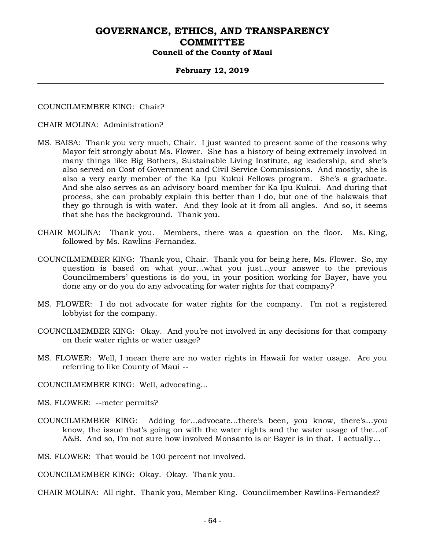#### **February 12, 2019**

#### COUNCILMEMBER KING: Chair?

#### CHAIR MOLINA: Administration?

- MS. BAISA: Thank you very much, Chair. I just wanted to present some of the reasons why Mayor felt strongly about Ms. Flower. She has a history of being extremely involved in many things like Big Bothers, Sustainable Living Institute, ag leadership, and she's also served on Cost of Government and Civil Service Commissions. And mostly, she is also a very early member of the Ka Ipu Kukui Fellows program. She's a graduate. And she also serves as an advisory board member for Ka Ipu Kukui. And during that process, she can probably explain this better than I do, but one of the halawais that they go through is with water. And they look at it from all angles. And so, it seems that she has the background. Thank you.
- CHAIR MOLINA: Thank you. Members, there was a question on the floor. Ms. King, followed by Ms. Rawlins-Fernandez.
- COUNCILMEMBER KING: Thank you, Chair. Thank you for being here, Ms. Flower. So, my question is based on what your…what you just…your answer to the previous Councilmembers' questions is do you, in your position working for Bayer, have you done any or do you do any advocating for water rights for that company?
- MS. FLOWER: I do not advocate for water rights for the company. I'm not a registered lobbyist for the company.
- COUNCILMEMBER KING: Okay. And you're not involved in any decisions for that company on their water rights or water usage?
- MS. FLOWER: Well, I mean there are no water rights in Hawaii for water usage. Are you referring to like County of Maui --

COUNCILMEMBER KING: Well, advocating…

MS. FLOWER: --meter permits?

COUNCILMEMBER KING: Adding for…advocate…there's been, you know, there's…you know, the issue that's going on with the water rights and the water usage of the…of A&B. And so, I'm not sure how involved Monsanto is or Bayer is in that. I actually…

MS. FLOWER: That would be 100 percent not involved.

COUNCILMEMBER KING: Okay. Okay. Thank you.

CHAIR MOLINA: All right. Thank you, Member King. Councilmember Rawlins-Fernandez?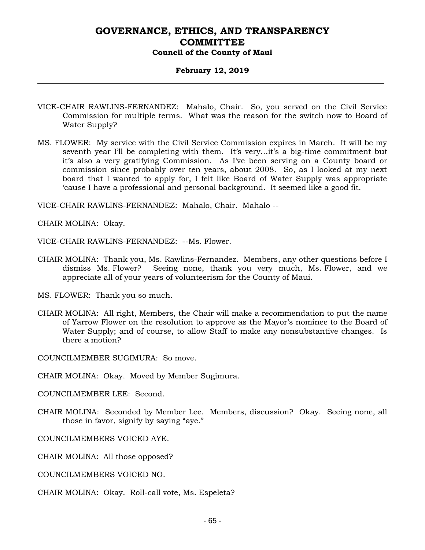### **February 12, 2019**

- VICE-CHAIR RAWLINS-FERNANDEZ: Mahalo, Chair. So, you served on the Civil Service Commission for multiple terms. What was the reason for the switch now to Board of Water Supply?
- MS. FLOWER: My service with the Civil Service Commission expires in March. It will be my seventh year I'll be completing with them. It's very…it's a big-time commitment but it's also a very gratifying Commission. As I've been serving on a County board or commission since probably over ten years, about 2008. So, as I looked at my next board that I wanted to apply for, I felt like Board of Water Supply was appropriate 'cause I have a professional and personal background. It seemed like a good fit.

VICE-CHAIR RAWLINS-FERNANDEZ: Mahalo, Chair. Mahalo --

CHAIR MOLINA: Okay.

VICE-CHAIR RAWLINS-FERNANDEZ: --Ms. Flower.

CHAIR MOLINA: Thank you, Ms. Rawlins-Fernandez. Members, any other questions before I dismiss Ms. Flower? Seeing none, thank you very much, Ms. Flower, and we appreciate all of your years of volunteerism for the County of Maui.

MS. FLOWER: Thank you so much.

CHAIR MOLINA: All right, Members, the Chair will make a recommendation to put the name of Yarrow Flower on the resolution to approve as the Mayor's nominee to the Board of Water Supply; and of course, to allow Staff to make any nonsubstantive changes. Is there a motion?

COUNCILMEMBER SUGIMURA: So move.

CHAIR MOLINA: Okay. Moved by Member Sugimura.

COUNCILMEMBER LEE: Second.

CHAIR MOLINA: Seconded by Member Lee. Members, discussion? Okay. Seeing none, all those in favor, signify by saying "aye."

COUNCILMEMBERS VOICED AYE.

CHAIR MOLINA: All those opposed?

- COUNCILMEMBERS VOICED NO.
- CHAIR MOLINA: Okay. Roll-call vote, Ms. Espeleta?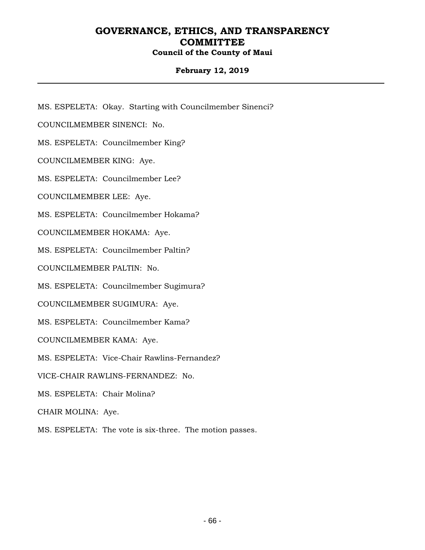### **February 12, 2019**

MS. ESPELETA: Okay. Starting with Councilmember Sinenci?

COUNCILMEMBER SINENCI: No.

MS. ESPELETA: Councilmember King?

COUNCILMEMBER KING: Aye.

MS. ESPELETA: Councilmember Lee?

COUNCILMEMBER LEE: Aye.

MS. ESPELETA: Councilmember Hokama?

COUNCILMEMBER HOKAMA: Aye.

MS. ESPELETA: Councilmember Paltin?

COUNCILMEMBER PALTIN: No.

MS. ESPELETA: Councilmember Sugimura?

COUNCILMEMBER SUGIMURA: Aye.

MS. ESPELETA: Councilmember Kama?

COUNCILMEMBER KAMA: Aye.

MS. ESPELETA: Vice-Chair Rawlins-Fernandez?

VICE-CHAIR RAWLINS-FERNANDEZ: No.

MS. ESPELETA: Chair Molina?

CHAIR MOLINA: Aye.

MS. ESPELETA: The vote is six-three. The motion passes.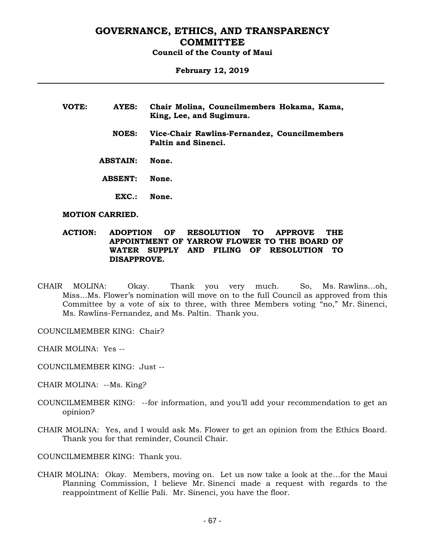#### **February 12, 2019**

| VOTE: | AYES:           | Chair Molina, Councilmembers Hokama, Kama,<br>King, Lee, and Sugimura. |
|-------|-----------------|------------------------------------------------------------------------|
|       | <b>NOES:</b>    | Vice-Chair Rawlins-Fernandez, Councilmembers<br>Paltin and Sinenci.    |
|       | <b>ABSTAIN:</b> | None.                                                                  |
|       | <b>ABSENT:</b>  | None.                                                                  |
|       | EXC.            | None.                                                                  |

#### **MOTION CARRIED.**

#### **ACTION: ADOPTION OF RESOLUTION TO APPROVE THE APPOINTMENT OF YARROW FLOWER TO THE BOARD OF WATER SUPPLY AND FILING OF RESOLUTION TO DISAPPROVE.**

- CHAIR MOLINA: Okay. Thank you very much. So, Ms. Rawlins…oh, Miss…Ms. Flower's nomination will move on to the full Council as approved from this Committee by a vote of six to three, with three Members voting "no," Mr. Sinenci, Ms. Rawlins-Fernandez, and Ms. Paltin. Thank you.
- COUNCILMEMBER KING: Chair?
- CHAIR MOLINA: Yes --
- COUNCILMEMBER KING: Just --
- CHAIR MOLINA: --Ms. King?
- COUNCILMEMBER KING: --for information, and you'll add your recommendation to get an opinion?
- CHAIR MOLINA: Yes, and I would ask Ms. Flower to get an opinion from the Ethics Board. Thank you for that reminder, Council Chair.

COUNCILMEMBER KING: Thank you.

CHAIR MOLINA: Okay. Members, moving on. Let us now take a look at the…for the Maui Planning Commission, I believe Mr. Sinenci made a request with regards to the reappointment of Kellie Pali. Mr. Sinenci, you have the floor.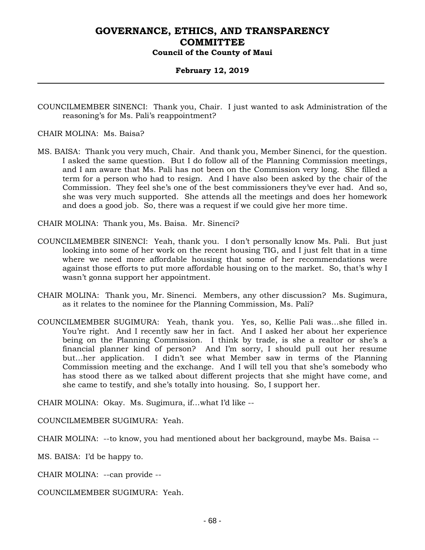#### **February 12, 2019**

COUNCILMEMBER SINENCI: Thank you, Chair. I just wanted to ask Administration of the reasoning's for Ms. Pali's reappointment?

CHAIR MOLINA: Ms. Baisa?

MS. BAISA: Thank you very much, Chair. And thank you, Member Sinenci, for the question. I asked the same question. But I do follow all of the Planning Commission meetings, and I am aware that Ms. Pali has not been on the Commission very long. She filled a term for a person who had to resign. And I have also been asked by the chair of the Commission. They feel she's one of the best commissioners they've ever had. And so, she was very much supported. She attends all the meetings and does her homework and does a good job. So, there was a request if we could give her more time.

CHAIR MOLINA: Thank you, Ms. Baisa. Mr. Sinenci?

- COUNCILMEMBER SINENCI: Yeah, thank you. I don't personally know Ms. Pali. But just looking into some of her work on the recent housing TIG, and I just felt that in a time where we need more affordable housing that some of her recommendations were against those efforts to put more affordable housing on to the market. So, that's why I wasn't gonna support her appointment.
- CHAIR MOLINA: Thank you, Mr. Sinenci. Members, any other discussion? Ms. Sugimura, as it relates to the nominee for the Planning Commission, Ms. Pali?
- COUNCILMEMBER SUGIMURA: Yeah, thank you. Yes, so, Kellie Pali was…she filled in. You're right. And I recently saw her in fact. And I asked her about her experience being on the Planning Commission. I think by trade, is she a realtor or she's a financial planner kind of person? And I'm sorry, I should pull out her resume but…her application. I didn't see what Member saw in terms of the Planning Commission meeting and the exchange. And I will tell you that she's somebody who has stood there as we talked about different projects that she might have come, and she came to testify, and she's totally into housing. So, I support her.

CHAIR MOLINA: Okay. Ms. Sugimura, if…what I'd like --

COUNCILMEMBER SUGIMURA: Yeah.

CHAIR MOLINA: --to know, you had mentioned about her background, maybe Ms. Baisa --

MS. BAISA: I'd be happy to.

CHAIR MOLINA: --can provide --

COUNCILMEMBER SUGIMURA: Yeah.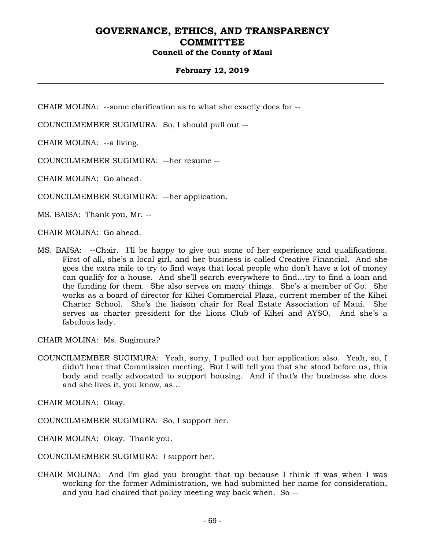### **February 12, 2019**

CHAIR MOLINA: --some clarification as to what she exactly does for --

COUNCILMEMBER SUGIMURA: So, I should pull out --

CHAIR MOLINA: --a living.

COUNCILMEMBER SUGIMURA: --her resume --

CHAIR MOLINA: Go ahead.

COUNCILMEMBER SUGIMURA: --her application.

MS. BAISA: Thank you, Mr. --

CHAIR MOLINA: Go ahead.

MS. BAISA: --Chair. I'll be happy to give out some of her experience and qualifications. First of all, she's a local girl, and her business is called Creative Financial. And she goes the extra mile to try to find ways that local people who don't have a lot of money can qualify for a house. And she'll search everywhere to find…try to find a loan and the funding for them. She also serves on many things. She's a member of Go. She works as a board of director for Kihei Commercial Plaza, current member of the Kihei Charter School. She's the liaison chair for Real Estate Association of Maui. She serves as charter president for the Lions Club of Kihei and AYSO. And she's a fabulous lady.

CHAIR MOLINA: Ms. Sugimura?

COUNCILMEMBER SUGIMURA: Yeah, sorry, I pulled out her application also. Yeah, so, I didn't hear that Commission meeting. But I will tell you that she stood before us, this body and really advocated to support housing. And if that's the business she does and she lives it, you know, as…

CHAIR MOLINA: Okay.

COUNCILMEMBER SUGIMURA: So, I support her.

CHAIR MOLINA: Okay. Thank you.

COUNCILMEMBER SUGIMURA: I support her.

CHAIR MOLINA: And I'm glad you brought that up because I think it was when I was working for the former Administration, we had submitted her name for consideration, and you had chaired that policy meeting way back when. So --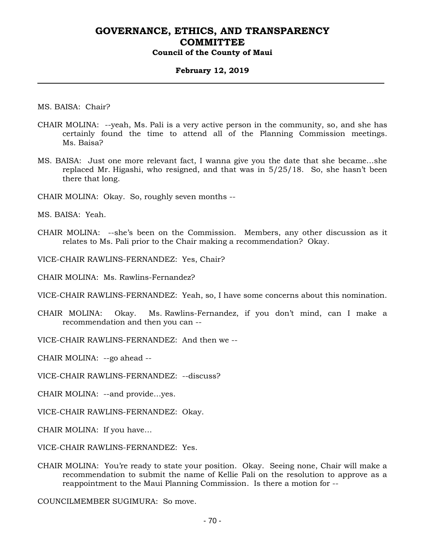#### **February 12, 2019**

MS. BAISA: Chair?

- CHAIR MOLINA: --yeah, Ms. Pali is a very active person in the community, so, and she has certainly found the time to attend all of the Planning Commission meetings. Ms. Baisa?
- MS. BAISA: Just one more relevant fact, I wanna give you the date that she became…she replaced Mr. Higashi, who resigned, and that was in 5/25/18. So, she hasn't been there that long.
- CHAIR MOLINA: Okay. So, roughly seven months --

MS. BAISA: Yeah.

CHAIR MOLINA: --she's been on the Commission. Members, any other discussion as it relates to Ms. Pali prior to the Chair making a recommendation? Okay.

VICE-CHAIR RAWLINS-FERNANDEZ: Yes, Chair?

CHAIR MOLINA: Ms. Rawlins-Fernandez?

VICE-CHAIR RAWLINS-FERNANDEZ: Yeah, so, I have some concerns about this nomination.

CHAIR MOLINA: Okay. Ms. Rawlins-Fernandez, if you don't mind, can I make a recommendation and then you can --

VICE-CHAIR RAWLINS-FERNANDEZ: And then we --

CHAIR MOLINA: --go ahead --

VICE-CHAIR RAWLINS-FERNANDEZ: --discuss?

CHAIR MOLINA: --and provide…yes.

VICE-CHAIR RAWLINS-FERNANDEZ: Okay.

CHAIR MOLINA: If you have…

VICE-CHAIR RAWLINS-FERNANDEZ: Yes.

CHAIR MOLINA: You're ready to state your position. Okay. Seeing none, Chair will make a recommendation to submit the name of Kellie Pali on the resolution to approve as a reappointment to the Maui Planning Commission. Is there a motion for --

COUNCILMEMBER SUGIMURA: So move.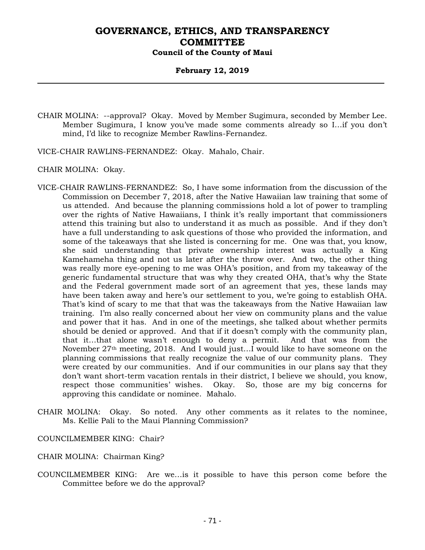#### **February 12, 2019**

CHAIR MOLINA: --approval? Okay. Moved by Member Sugimura, seconded by Member Lee. Member Sugimura, I know you've made some comments already so I…if you don't mind, I'd like to recognize Member Rawlins-Fernandez.

VICE-CHAIR RAWLINS-FERNANDEZ: Okay. Mahalo, Chair.

CHAIR MOLINA: Okay.

- VICE-CHAIR RAWLINS-FERNANDEZ: So, I have some information from the discussion of the Commission on December 7, 2018, after the Native Hawaiian law training that some of us attended. And because the planning commissions hold a lot of power to trampling over the rights of Native Hawaiians, I think it's really important that commissioners attend this training but also to understand it as much as possible. And if they don't have a full understanding to ask questions of those who provided the information, and some of the takeaways that she listed is concerning for me. One was that, you know, she said understanding that private ownership interest was actually a King Kamehameha thing and not us later after the throw over. And two, the other thing was really more eye-opening to me was OHA's position, and from my takeaway of the generic fundamental structure that was why they created OHA, that's why the State and the Federal government made sort of an agreement that yes, these lands may have been taken away and here's our settlement to you, we're going to establish OHA. That's kind of scary to me that that was the takeaways from the Native Hawaiian law training. I'm also really concerned about her view on community plans and the value and power that it has. And in one of the meetings, she talked about whether permits should be denied or approved. And that if it doesn't comply with the community plan, that it…that alone wasn't enough to deny a permit. And that was from the November 27th meeting, 2018. And I would just…I would like to have someone on the planning commissions that really recognize the value of our community plans. They were created by our communities. And if our communities in our plans say that they don't want short-term vacation rentals in their district, I believe we should, you know, respect those communities' wishes. Okay. So, those are my big concerns for approving this candidate or nominee. Mahalo.
- CHAIR MOLINA: Okay. So noted. Any other comments as it relates to the nominee, Ms. Kellie Pali to the Maui Planning Commission?

COUNCILMEMBER KING: Chair?

- CHAIR MOLINA: Chairman King?
- COUNCILMEMBER KING: Are we…is it possible to have this person come before the Committee before we do the approval?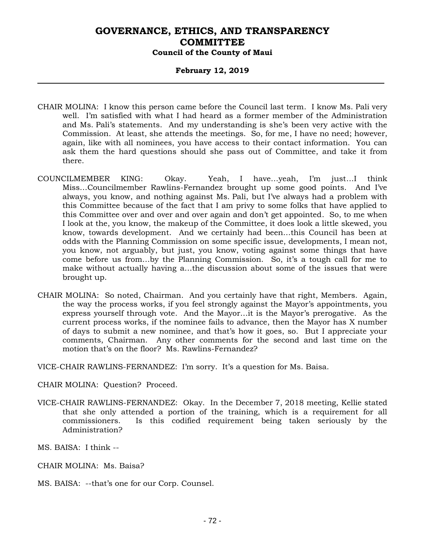#### **February 12, 2019**

- CHAIR MOLINA: I know this person came before the Council last term. I know Ms. Pali very well. I'm satisfied with what I had heard as a former member of the Administration and Ms. Pali's statements. And my understanding is she's been very active with the Commission. At least, she attends the meetings. So, for me, I have no need; however, again, like with all nominees, you have access to their contact information. You can ask them the hard questions should she pass out of Committee, and take it from there.
- COUNCILMEMBER KING: Okay. Yeah, I have…yeah, I'm just…I think Miss…Councilmember Rawlins-Fernandez brought up some good points. And I've always, you know, and nothing against Ms. Pali, but I've always had a problem with this Committee because of the fact that I am privy to some folks that have applied to this Committee over and over and over again and don't get appointed. So, to me when I look at the, you know, the makeup of the Committee, it does look a little skewed, you know, towards development. And we certainly had been…this Council has been at odds with the Planning Commission on some specific issue, developments, I mean not, you know, not arguably, but just, you know, voting against some things that have come before us from…by the Planning Commission. So, it's a tough call for me to make without actually having a…the discussion about some of the issues that were brought up.
- CHAIR MOLINA: So noted, Chairman. And you certainly have that right, Members. Again, the way the process works, if you feel strongly against the Mayor's appointments, you express yourself through vote. And the Mayor…it is the Mayor's prerogative. As the current process works, if the nominee fails to advance, then the Mayor has X number of days to submit a new nominee, and that's how it goes, so. But I appreciate your comments, Chairman. Any other comments for the second and last time on the motion that's on the floor? Ms. Rawlins-Fernandez?

VICE-CHAIR RAWLINS-FERNANDEZ: I'm sorry. It's a question for Ms. Baisa.

CHAIR MOLINA: Question? Proceed.

VICE-CHAIR RAWLINS-FERNANDEZ: Okay. In the December 7, 2018 meeting, Kellie stated that she only attended a portion of the training, which is a requirement for all commissioners. Is this codified requirement being taken seriously by the Administration?

MS. BAISA: I think --

- CHAIR MOLINA: Ms. Baisa?
- MS. BAISA: --that's one for our Corp. Counsel.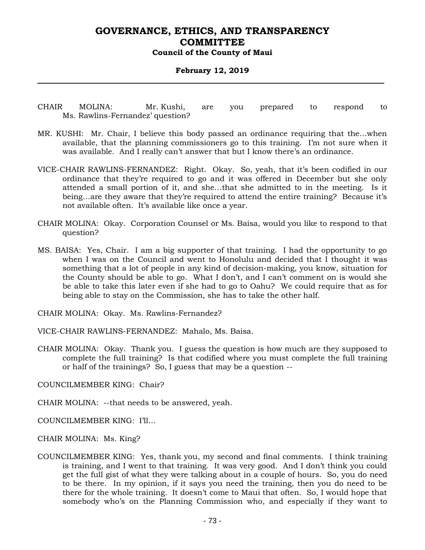#### **February 12, 2019**

- CHAIR MOLINA: Mr. Kushi, are you prepared to respond to Ms. Rawlins-Fernandez' question?
- MR. KUSHI: Mr. Chair, I believe this body passed an ordinance requiring that the…when available, that the planning commissioners go to this training. I'm not sure when it was available. And I really can't answer that but I know there's an ordinance.
- VICE-CHAIR RAWLINS-FERNANDEZ: Right. Okay. So, yeah, that it's been codified in our ordinance that they're required to go and it was offered in December but she only attended a small portion of it, and she…that she admitted to in the meeting. Is it being...are they aware that they're required to attend the entire training? Because it's not available often. It's available like once a year.
- CHAIR MOLINA: Okay. Corporation Counsel or Ms. Baisa, would you like to respond to that question?
- MS. BAISA: Yes, Chair. I am a big supporter of that training. I had the opportunity to go when I was on the Council and went to Honolulu and decided that I thought it was something that a lot of people in any kind of decision-making, you know, situation for the County should be able to go. What I don't, and I can't comment on is would she be able to take this later even if she had to go to Oahu? We could require that as for being able to stay on the Commission, she has to take the other half.

CHAIR MOLINA: Okay. Ms. Rawlins-Fernandez?

VICE-CHAIR RAWLINS-FERNANDEZ: Mahalo, Ms. Baisa.

CHAIR MOLINA: Okay. Thank you. I guess the question is how much are they supposed to complete the full training? Is that codified where you must complete the full training or half of the trainings? So, I guess that may be a question --

COUNCILMEMBER KING: Chair?

CHAIR MOLINA: --that needs to be answered, yeah.

COUNCILMEMBER KING: I'll…

CHAIR MOLINA: Ms. King?

COUNCILMEMBER KING: Yes, thank you, my second and final comments. I think training is training, and I went to that training. It was very good. And I don't think you could get the full gist of what they were talking about in a couple of hours. So, you do need to be there. In my opinion, if it says you need the training, then you do need to be there for the whole training. It doesn't come to Maui that often. So, I would hope that somebody who's on the Planning Commission who, and especially if they want to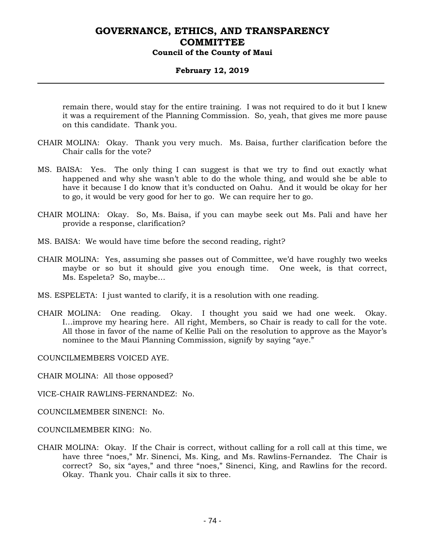### **February 12, 2019**

remain there, would stay for the entire training. I was not required to do it but I knew it was a requirement of the Planning Commission. So, yeah, that gives me more pause on this candidate. Thank you.

- CHAIR MOLINA: Okay. Thank you very much. Ms. Baisa, further clarification before the Chair calls for the vote?
- MS. BAISA: Yes. The only thing I can suggest is that we try to find out exactly what happened and why she wasn't able to do the whole thing, and would she be able to have it because I do know that it's conducted on Oahu. And it would be okay for her to go, it would be very good for her to go. We can require her to go.
- CHAIR MOLINA: Okay. So, Ms. Baisa, if you can maybe seek out Ms. Pali and have her provide a response, clarification?
- MS. BAISA: We would have time before the second reading, right?
- CHAIR MOLINA: Yes, assuming she passes out of Committee, we'd have roughly two weeks maybe or so but it should give you enough time. One week, is that correct, Ms. Espeleta? So, maybe…
- MS. ESPELETA: I just wanted to clarify, it is a resolution with one reading.
- CHAIR MOLINA: One reading. Okay. I thought you said we had one week. Okay. I…improve my hearing here. All right, Members, so Chair is ready to call for the vote. All those in favor of the name of Kellie Pali on the resolution to approve as the Mayor's nominee to the Maui Planning Commission, signify by saying "aye."

COUNCILMEMBERS VOICED AYE.

CHAIR MOLINA: All those opposed?

VICE-CHAIR RAWLINS-FERNANDEZ: No.

- COUNCILMEMBER SINENCI: No.
- COUNCILMEMBER KING: No.
- CHAIR MOLINA: Okay. If the Chair is correct, without calling for a roll call at this time, we have three "noes," Mr. Sinenci, Ms. King, and Ms. Rawlins-Fernandez. The Chair is correct? So, six "ayes," and three "noes," Sinenci, King, and Rawlins for the record. Okay. Thank you. Chair calls it six to three.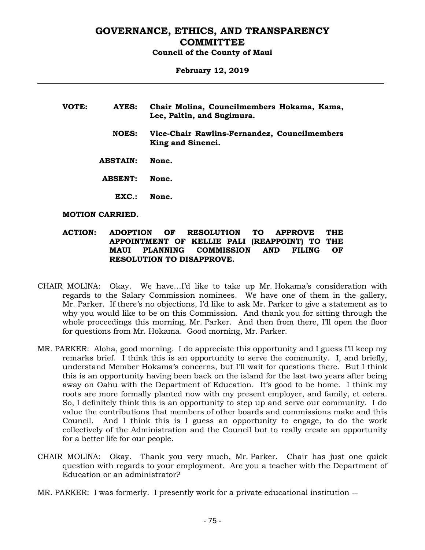## **February 12, 2019**

| VOTE: | AYES:           | Chair Molina, Councilmembers Hokama, Kama,<br>Lee, Paltin, and Sugimura. |
|-------|-----------------|--------------------------------------------------------------------------|
|       | <b>NOES:</b>    | Vice-Chair Rawlins-Fernandez, Councilmembers<br>King and Sinenci.        |
|       | <b>ABSTAIN:</b> | None.                                                                    |
|       | <b>ABSENT:</b>  | None.                                                                    |
|       | EXC.:           | None.                                                                    |

#### **MOTION CARRIED.**

#### **ACTION: ADOPTION OF RESOLUTION TO APPROVE THE APPOINTMENT OF KELLIE PALI (REAPPOINT) TO THE MAUI PLANNING COMMISSION AND FILING OF RESOLUTION TO DISAPPROVE.**

- CHAIR MOLINA: Okay. We have…I'd like to take up Mr. Hokama's consideration with regards to the Salary Commission nominees. We have one of them in the gallery, Mr. Parker. If there's no objections, I'd like to ask Mr. Parker to give a statement as to why you would like to be on this Commission. And thank you for sitting through the whole proceedings this morning, Mr. Parker. And then from there, I'll open the floor for questions from Mr. Hokama. Good morning, Mr. Parker.
- MR. PARKER: Aloha, good morning. I do appreciate this opportunity and I guess I'll keep my remarks brief. I think this is an opportunity to serve the community. I, and briefly, understand Member Hokama's concerns, but I'll wait for questions there. But I think this is an opportunity having been back on the island for the last two years after being away on Oahu with the Department of Education. It's good to be home. I think my roots are more formally planted now with my present employer, and family, et cetera. So, I definitely think this is an opportunity to step up and serve our community. I do value the contributions that members of other boards and commissions make and this Council. And I think this is I guess an opportunity to engage, to do the work collectively of the Administration and the Council but to really create an opportunity for a better life for our people.
- CHAIR MOLINA: Okay. Thank you very much, Mr. Parker. Chair has just one quick question with regards to your employment. Are you a teacher with the Department of Education or an administrator?
- MR. PARKER: I was formerly. I presently work for a private educational institution --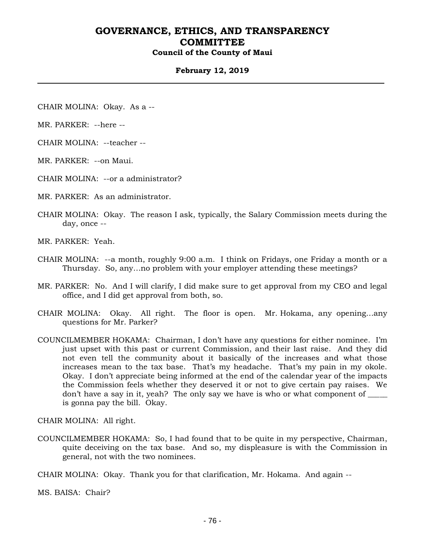#### **February 12, 2019**

CHAIR MOLINA: Okay. As a --

MR. PARKER: --here --

CHAIR MOLINA: --teacher --

MR. PARKER: --on Maui.

CHAIR MOLINA: --or a administrator?

MR. PARKER: As an administrator.

CHAIR MOLINA: Okay. The reason I ask, typically, the Salary Commission meets during the day, once --

MR. PARKER: Yeah.

- CHAIR MOLINA: --a month, roughly 9:00 a.m. I think on Fridays, one Friday a month or a Thursday. So, any…no problem with your employer attending these meetings?
- MR. PARKER: No. And I will clarify, I did make sure to get approval from my CEO and legal office, and I did get approval from both, so.
- CHAIR MOLINA: Okay. All right. The floor is open. Mr. Hokama, any opening…any questions for Mr. Parker?
- COUNCILMEMBER HOKAMA: Chairman, I don't have any questions for either nominee. I'm just upset with this past or current Commission, and their last raise. And they did not even tell the community about it basically of the increases and what those increases mean to the tax base. That's my headache. That's my pain in my okole. Okay. I don't appreciate being informed at the end of the calendar year of the impacts the Commission feels whether they deserved it or not to give certain pay raises. We don't have a say in it, yeah? The only say we have is who or what component of \_\_\_\_\_ is gonna pay the bill. Okay.

CHAIR MOLINA: All right.

COUNCILMEMBER HOKAMA: So, I had found that to be quite in my perspective, Chairman, quite deceiving on the tax base. And so, my displeasure is with the Commission in general, not with the two nominees.

CHAIR MOLINA: Okay. Thank you for that clarification, Mr. Hokama. And again --

MS. BAISA: Chair?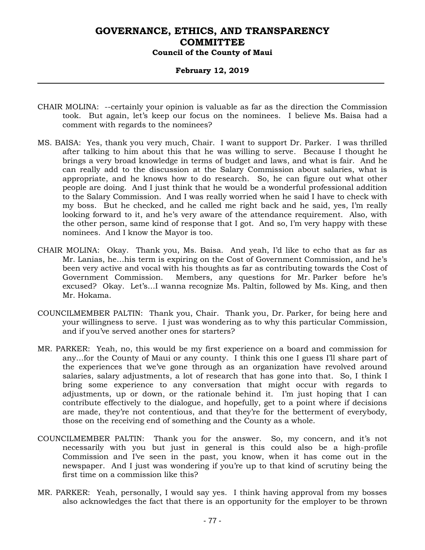#### **February 12, 2019**

- CHAIR MOLINA: --certainly your opinion is valuable as far as the direction the Commission took. But again, let's keep our focus on the nominees. I believe Ms. Baisa had a comment with regards to the nominees?
- MS. BAISA: Yes, thank you very much, Chair. I want to support Dr. Parker. I was thrilled after talking to him about this that he was willing to serve. Because I thought he brings a very broad knowledge in terms of budget and laws, and what is fair. And he can really add to the discussion at the Salary Commission about salaries, what is appropriate, and he knows how to do research. So, he can figure out what other people are doing. And I just think that he would be a wonderful professional addition to the Salary Commission. And I was really worried when he said I have to check with my boss. But he checked, and he called me right back and he said, yes, I'm really looking forward to it, and he's very aware of the attendance requirement. Also, with the other person, same kind of response that I got. And so, I'm very happy with these nominees. And I know the Mayor is too.
- CHAIR MOLINA: Okay. Thank you, Ms. Baisa. And yeah, I'd like to echo that as far as Mr. Lanias, he…his term is expiring on the Cost of Government Commission, and he's been very active and vocal with his thoughts as far as contributing towards the Cost of Government Commission. Members, any questions for Mr. Parker before he's excused? Okay. Let's…I wanna recognize Ms. Paltin, followed by Ms. King, and then Mr. Hokama.
- COUNCILMEMBER PALTIN: Thank you, Chair. Thank you, Dr. Parker, for being here and your willingness to serve. I just was wondering as to why this particular Commission, and if you've served another ones for starters?
- MR. PARKER: Yeah, no, this would be my first experience on a board and commission for any…for the County of Maui or any county. I think this one I guess I'll share part of the experiences that we've gone through as an organization have revolved around salaries, salary adjustments, a lot of research that has gone into that. So, I think I bring some experience to any conversation that might occur with regards to adjustments, up or down, or the rationale behind it. I'm just hoping that I can contribute effectively to the dialogue, and hopefully, get to a point where if decisions are made, they're not contentious, and that they're for the betterment of everybody, those on the receiving end of something and the County as a whole.
- COUNCILMEMBER PALTIN: Thank you for the answer. So, my concern, and it's not necessarily with you but just in general is this could also be a high-profile Commission and I've seen in the past, you know, when it has come out in the newspaper. And I just was wondering if you're up to that kind of scrutiny being the first time on a commission like this?
- MR. PARKER: Yeah, personally, I would say yes. I think having approval from my bosses also acknowledges the fact that there is an opportunity for the employer to be thrown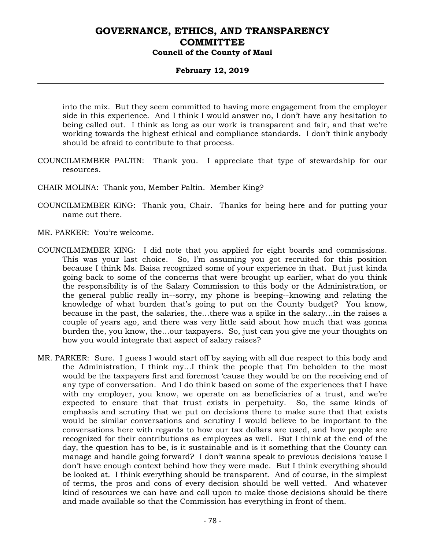## **February 12, 2019**

into the mix. But they seem committed to having more engagement from the employer side in this experience. And I think I would answer no, I don't have any hesitation to being called out. I think as long as our work is transparent and fair, and that we're working towards the highest ethical and compliance standards. I don't think anybody should be afraid to contribute to that process.

- COUNCILMEMBER PALTIN: Thank you. I appreciate that type of stewardship for our resources.
- CHAIR MOLINA: Thank you, Member Paltin. Member King?
- COUNCILMEMBER KING: Thank you, Chair. Thanks for being here and for putting your name out there.
- MR. PARKER: You're welcome.
- COUNCILMEMBER KING: I did note that you applied for eight boards and commissions. This was your last choice. So, I'm assuming you got recruited for this position because I think Ms. Baisa recognized some of your experience in that. But just kinda going back to some of the concerns that were brought up earlier, what do you think the responsibility is of the Salary Commission to this body or the Administration, or the general public really in--sorry, my phone is beeping--knowing and relating the knowledge of what burden that's going to put on the County budget? You know, because in the past, the salaries, the…there was a spike in the salary…in the raises a couple of years ago, and there was very little said about how much that was gonna burden the, you know, the…our taxpayers. So, just can you give me your thoughts on how you would integrate that aspect of salary raises?
- MR. PARKER: Sure. I guess I would start off by saying with all due respect to this body and the Administration, I think my…I think the people that I'm beholden to the most would be the taxpayers first and foremost 'cause they would be on the receiving end of any type of conversation. And I do think based on some of the experiences that I have with my employer, you know, we operate on as beneficiaries of a trust, and we're expected to ensure that that trust exists in perpetuity. So, the same kinds of emphasis and scrutiny that we put on decisions there to make sure that that exists would be similar conversations and scrutiny I would believe to be important to the conversations here with regards to how our tax dollars are used, and how people are recognized for their contributions as employees as well. But I think at the end of the day, the question has to be, is it sustainable and is it something that the County can manage and handle going forward? I don't wanna speak to previous decisions 'cause I don't have enough context behind how they were made. But I think everything should be looked at. I think everything should be transparent. And of course, in the simplest of terms, the pros and cons of every decision should be well vetted. And whatever kind of resources we can have and call upon to make those decisions should be there and made available so that the Commission has everything in front of them.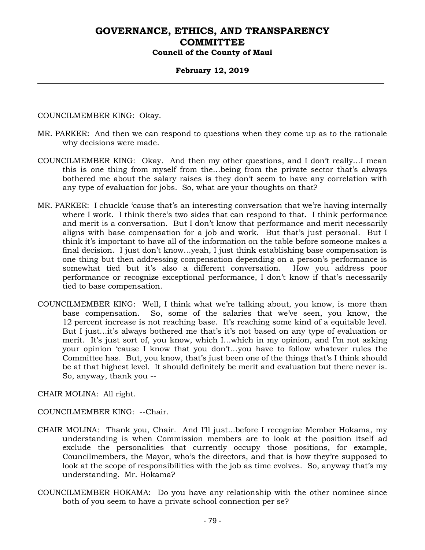#### **February 12, 2019**

COUNCILMEMBER KING: Okay.

- MR. PARKER: And then we can respond to questions when they come up as to the rationale why decisions were made.
- COUNCILMEMBER KING: Okay. And then my other questions, and I don't really…I mean this is one thing from myself from the…being from the private sector that's always bothered me about the salary raises is they don't seem to have any correlation with any type of evaluation for jobs. So, what are your thoughts on that?
- MR. PARKER: I chuckle 'cause that's an interesting conversation that we're having internally where I work. I think there's two sides that can respond to that. I think performance and merit is a conversation. But I don't know that performance and merit necessarily aligns with base compensation for a job and work. But that's just personal. But I think it's important to have all of the information on the table before someone makes a final decision. I just don't know…yeah, I just think establishing base compensation is one thing but then addressing compensation depending on a person's performance is somewhat tied but it's also a different conversation. How you address poor performance or recognize exceptional performance, I don't know if that's necessarily tied to base compensation.
- COUNCILMEMBER KING: Well, I think what we're talking about, you know, is more than base compensation. So, some of the salaries that we've seen, you know, the 12 percent increase is not reaching base. It's reaching some kind of a equitable level. But I just…it's always bothered me that's it's not based on any type of evaluation or merit. It's just sort of, you know, which I…which in my opinion, and I'm not asking your opinion 'cause I know that you don't…you have to follow whatever rules the Committee has. But, you know, that's just been one of the things that's I think should be at that highest level. It should definitely be merit and evaluation but there never is. So, anyway, thank you --

CHAIR MOLINA: All right.

COUNCILMEMBER KING: --Chair.

- CHAIR MOLINA: Thank you, Chair. And I'll just...before I recognize Member Hokama, my understanding is when Commission members are to look at the position itself ad exclude the personalities that currently occupy those positions, for example, Councilmembers, the Mayor, who's the directors, and that is how they're supposed to look at the scope of responsibilities with the job as time evolves. So, anyway that's my understanding. Mr. Hokama?
- COUNCILMEMBER HOKAMA: Do you have any relationship with the other nominee since both of you seem to have a private school connection per se?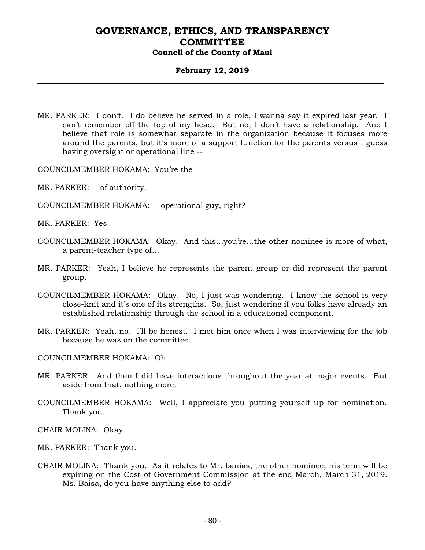#### **February 12, 2019**

MR. PARKER: I don't. I do believe he served in a role, I wanna say it expired last year. I can't remember off the top of my head. But no, I don't have a relationship. And I believe that role is somewhat separate in the organization because it focuses more around the parents, but it's more of a support function for the parents versus I guess having oversight or operational line --

COUNCILMEMBER HOKAMA: You're the --

- MR. PARKER: --of authority.
- COUNCILMEMBER HOKAMA: --operational guy, right?

MR. PARKER: Yes.

- COUNCILMEMBER HOKAMA: Okay. And this…you're…the other nominee is more of what, a parent-teacher type of…
- MR. PARKER: Yeah, I believe he represents the parent group or did represent the parent group.
- COUNCILMEMBER HOKAMA: Okay. No, I just was wondering. I know the school is very close-knit and it's one of its strengths. So, just wondering if you folks have already an established relationship through the school in a educational component.
- MR. PARKER: Yeah, no. I'll be honest. I met him once when I was interviewing for the job because he was on the committee.

COUNCILMEMBER HOKAMA: Oh.

- MR. PARKER: And then I did have interactions throughout the year at major events. But aside from that, nothing more.
- COUNCILMEMBER HOKAMA: Well, I appreciate you putting yourself up for nomination. Thank you.

CHAIR MOLINA: Okay.

MR. PARKER: Thank you.

CHAIR MOLINA: Thank you. As it relates to Mr. Lanias, the other nominee, his term will be expiring on the Cost of Government Commission at the end March, March 31, 2019. Ms. Baisa, do you have anything else to add?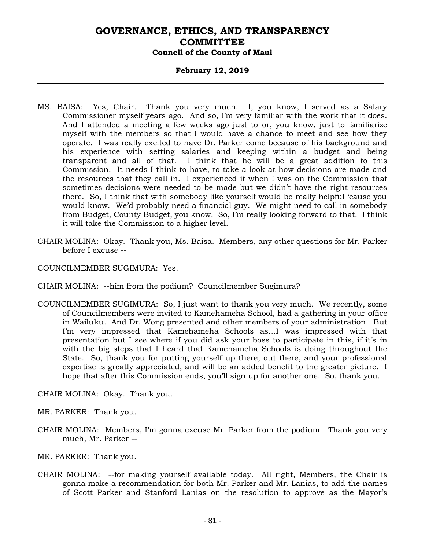#### **February 12, 2019**

- MS. BAISA: Yes, Chair. Thank you very much. I, you know, I served as a Salary Commissioner myself years ago. And so, I'm very familiar with the work that it does. And I attended a meeting a few weeks ago just to or, you know, just to familiarize myself with the members so that I would have a chance to meet and see how they operate. I was really excited to have Dr. Parker come because of his background and his experience with setting salaries and keeping within a budget and being transparent and all of that. I think that he will be a great addition to this Commission. It needs I think to have, to take a look at how decisions are made and the resources that they call in. I experienced it when I was on the Commission that sometimes decisions were needed to be made but we didn't have the right resources there. So, I think that with somebody like yourself would be really helpful 'cause you would know. We'd probably need a financial guy. We might need to call in somebody from Budget, County Budget, you know. So, I'm really looking forward to that. I think it will take the Commission to a higher level.
- CHAIR MOLINA: Okay. Thank you, Ms. Baisa. Members, any other questions for Mr. Parker before I excuse --

COUNCILMEMBER SUGIMURA: Yes.

CHAIR MOLINA: --him from the podium? Councilmember Sugimura?

COUNCILMEMBER SUGIMURA: So, I just want to thank you very much. We recently, some of Councilmembers were invited to Kamehameha School, had a gathering in your office in Wailuku. And Dr. Wong presented and other members of your administration. But I'm very impressed that Kamehameha Schools as…I was impressed with that presentation but I see where if you did ask your boss to participate in this, if it's in with the big steps that I heard that Kamehameha Schools is doing throughout the State. So, thank you for putting yourself up there, out there, and your professional expertise is greatly appreciated, and will be an added benefit to the greater picture. I hope that after this Commission ends, you'll sign up for another one. So, thank you.

CHAIR MOLINA: Okay. Thank you.

- MR. PARKER: Thank you.
- CHAIR MOLINA: Members, I'm gonna excuse Mr. Parker from the podium. Thank you very much, Mr. Parker --
- MR. PARKER: Thank you.
- CHAIR MOLINA: --for making yourself available today. All right, Members, the Chair is gonna make a recommendation for both Mr. Parker and Mr. Lanias, to add the names of Scott Parker and Stanford Lanias on the resolution to approve as the Mayor's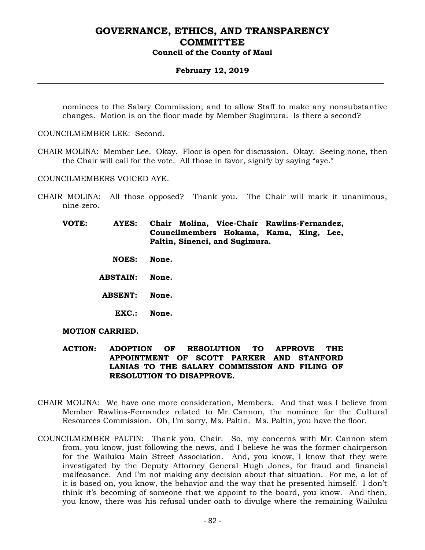#### **February 12, 2019**

nominees to the Salary Commission; and to allow Staff to make any nonsubstantive changes. Motion is on the floor made by Member Sugimura. Is there a second?

COUNCILMEMBER LEE: Second.

CHAIR MOLINA: Member Lee. Okay. Floor is open for discussion. Okay. Seeing none, then the Chair will call for the vote. All those in favor, signify by saying "aye."

COUNCILMEMBERS VOICED AYE.

CHAIR MOLINA: All those opposed? Thank you. The Chair will mark it unanimous, nine-zero.

**VOTE: AYES: Chair Molina, Vice-Chair Rawlins-Fernandez, Councilmembers Hokama, Kama, King, Lee, Paltin, Sinenci, and Sugimura.**

- **NOES: None.**
- **ABSTAIN: None.**
- **ABSENT: None.**
	- **EXC.: None.**

**MOTION CARRIED.**

- **ACTION: ADOPTION OF RESOLUTION TO APPROVE THE APPOINTMENT OF SCOTT PARKER AND STANFORD LANIAS TO THE SALARY COMMISSION AND FILING OF RESOLUTION TO DISAPPROVE.**
- CHAIR MOLINA: We have one more consideration, Members. And that was I believe from Member Rawlins-Fernandez related to Mr. Cannon, the nominee for the Cultural Resources Commission. Oh, I'm sorry, Ms. Paltin. Ms. Paltin, you have the floor.
- COUNCILMEMBER PALTIN: Thank you, Chair. So, my concerns with Mr. Cannon stem from, you know, just following the news, and I believe he was the former chairperson for the Wailuku Main Street Association. And, you know, I know that they were investigated by the Deputy Attorney General Hugh Jones, for fraud and financial malfeasance. And I'm not making any decision about that situation. For me, a lot of it is based on, you know, the behavior and the way that he presented himself. I don't think it's becoming of someone that we appoint to the board, you know. And then, you know, there was his refusal under oath to divulge where the remaining Wailuku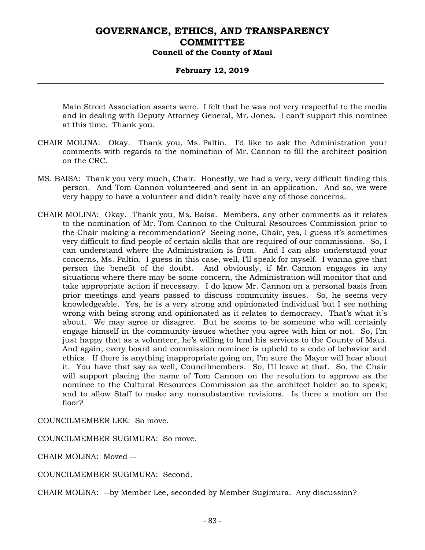#### **February 12, 2019**

Main Street Association assets were. I felt that he was not very respectful to the media and in dealing with Deputy Attorney General, Mr. Jones. I can't support this nominee at this time. Thank you.

- CHAIR MOLINA: Okay. Thank you, Ms. Paltin. I'd like to ask the Administration your comments with regards to the nomination of Mr. Cannon to fill the architect position on the CRC.
- MS. BAISA: Thank you very much, Chair. Honestly, we had a very, very difficult finding this person. And Tom Cannon volunteered and sent in an application. And so, we were very happy to have a volunteer and didn't really have any of those concerns.
- CHAIR MOLINA: Okay. Thank you, Ms. Baisa. Members, any other comments as it relates to the nomination of Mr. Tom Cannon to the Cultural Resources Commission prior to the Chair making a recommendation? Seeing none, Chair, yes, I guess it's sometimes very difficult to find people of certain skills that are required of our commissions. So, I can understand where the Administration is from. And I can also understand your concerns, Ms. Paltin. I guess in this case, well, I'll speak for myself. I wanna give that person the benefit of the doubt. And obviously, if Mr. Cannon engages in any situations where there may be some concern, the Administration will monitor that and take appropriate action if necessary. I do know Mr. Cannon on a personal basis from prior meetings and years passed to discuss community issues. So, he seems very knowledgeable. Yes, he is a very strong and opinionated individual but I see nothing wrong with being strong and opinionated as it relates to democracy. That's what it's about. We may agree or disagree. But he seems to be someone who will certainly engage himself in the community issues whether you agree with him or not. So, I'm just happy that as a volunteer, he's willing to lend his services to the County of Maui. And again, every board and commission nominee is upheld to a code of behavior and ethics. If there is anything inappropriate going on, I'm sure the Mayor will hear about it. You have that say as well, Councilmembers. So, I'll leave at that. So, the Chair will support placing the name of Tom Cannon on the resolution to approve as the nominee to the Cultural Resources Commission as the architect holder so to speak; and to allow Staff to make any nonsubstantive revisions. Is there a motion on the floor?

COUNCILMEMBER LEE: So move.

COUNCILMEMBER SUGIMURA: So move.

CHAIR MOLINA: Moved --

COUNCILMEMBER SUGIMURA: Second.

CHAIR MOLINA: --by Member Lee, seconded by Member Sugimura. Any discussion?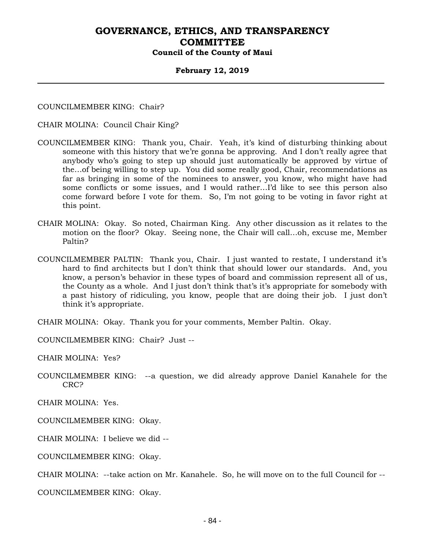#### **February 12, 2019**

COUNCILMEMBER KING: Chair?

CHAIR MOLINA: Council Chair King?

- COUNCILMEMBER KING: Thank you, Chair. Yeah, it's kind of disturbing thinking about someone with this history that we're gonna be approving. And I don't really agree that anybody who's going to step up should just automatically be approved by virtue of the…of being willing to step up. You did some really good, Chair, recommendations as far as bringing in some of the nominees to answer, you know, who might have had some conflicts or some issues, and I would rather…I'd like to see this person also come forward before I vote for them. So, I'm not going to be voting in favor right at this point.
- CHAIR MOLINA: Okay. So noted, Chairman King. Any other discussion as it relates to the motion on the floor? Okay. Seeing none, the Chair will call…oh, excuse me, Member Paltin?
- COUNCILMEMBER PALTIN: Thank you, Chair. I just wanted to restate, I understand it's hard to find architects but I don't think that should lower our standards. And, you know, a person's behavior in these types of board and commission represent all of us, the County as a whole. And I just don't think that's it's appropriate for somebody with a past history of ridiculing, you know, people that are doing their job. I just don't think it's appropriate.

CHAIR MOLINA: Okay. Thank you for your comments, Member Paltin. Okay.

COUNCILMEMBER KING: Chair? Just --

CHAIR MOLINA: Yes?

COUNCILMEMBER KING: --a question, we did already approve Daniel Kanahele for the CRC?

CHAIR MOLINA: Yes.

COUNCILMEMBER KING: Okay.

CHAIR MOLINA: I believe we did --

COUNCILMEMBER KING: Okay.

CHAIR MOLINA: --take action on Mr. Kanahele. So, he will move on to the full Council for --

COUNCILMEMBER KING: Okay.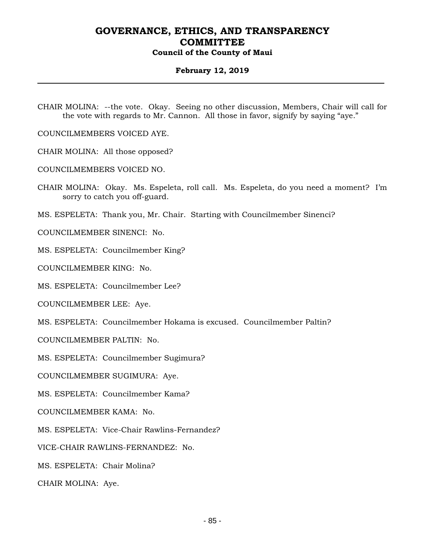#### **February 12, 2019**

CHAIR MOLINA: --the vote. Okay. Seeing no other discussion, Members, Chair will call for the vote with regards to Mr. Cannon. All those in favor, signify by saying "aye."

COUNCILMEMBERS VOICED AYE.

CHAIR MOLINA: All those opposed?

COUNCILMEMBERS VOICED NO.

CHAIR MOLINA: Okay. Ms. Espeleta, roll call. Ms. Espeleta, do you need a moment? I'm sorry to catch you off-guard.

MS. ESPELETA: Thank you, Mr. Chair. Starting with Councilmember Sinenci?

COUNCILMEMBER SINENCI: No.

MS. ESPELETA: Councilmember King?

COUNCILMEMBER KING: No.

MS. ESPELETA: Councilmember Lee?

COUNCILMEMBER LEE: Aye.

MS. ESPELETA: Councilmember Hokama is excused. Councilmember Paltin?

COUNCILMEMBER PALTIN: No.

MS. ESPELETA: Councilmember Sugimura?

COUNCILMEMBER SUGIMURA: Aye.

MS. ESPELETA: Councilmember Kama?

COUNCILMEMBER KAMA: No.

MS. ESPELETA: Vice-Chair Rawlins-Fernandez?

VICE-CHAIR RAWLINS-FERNANDEZ: No.

MS. ESPELETA: Chair Molina?

CHAIR MOLINA: Aye.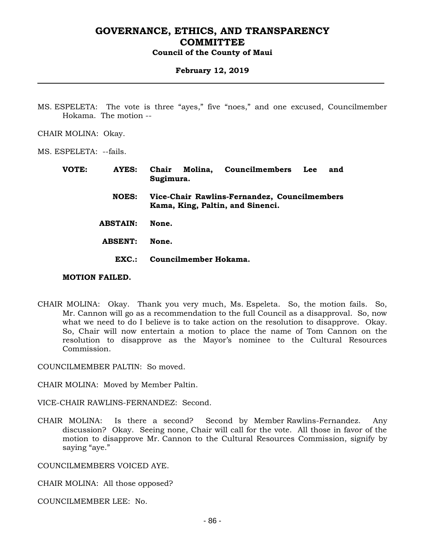#### **February 12, 2019**

- MS. ESPELETA: The vote is three "ayes," five "noes," and one excused, Councilmember Hokama. The motion --
- CHAIR MOLINA: Okay.

MS. ESPELETA: --fails.

| VOTE: | AYES:            | Chair Molina, Councilmembers<br>Lee<br>and<br>Sugimura.                          |
|-------|------------------|----------------------------------------------------------------------------------|
|       | <b>NOES:</b>     | Vice-Chair Rawlins-Fernandez, Councilmembers<br>Kama, King, Paltin, and Sinenci. |
|       | <b>ABSTAIN:</b>  | None.                                                                            |
|       | <b>ABSENT:</b>   | None.                                                                            |
|       | $\mathbf{EXC}$ : | Councilmember Hokama.                                                            |

#### **MOTION FAILED.**

CHAIR MOLINA: Okay. Thank you very much, Ms. Espeleta. So, the motion fails. So, Mr. Cannon will go as a recommendation to the full Council as a disapproval. So, now what we need to do I believe is to take action on the resolution to disapprove. Okay. So, Chair will now entertain a motion to place the name of Tom Cannon on the resolution to disapprove as the Mayor's nominee to the Cultural Resources Commission.

COUNCILMEMBER PALTIN: So moved.

CHAIR MOLINA: Moved by Member Paltin.

VICE-CHAIR RAWLINS-FERNANDEZ: Second.

CHAIR MOLINA: Is there a second? Second by Member Rawlins-Fernandez. Any discussion? Okay. Seeing none, Chair will call for the vote. All those in favor of the motion to disapprove Mr. Cannon to the Cultural Resources Commission, signify by saying "aye."

COUNCILMEMBERS VOICED AYE.

CHAIR MOLINA: All those opposed?

COUNCILMEMBER LEE: No.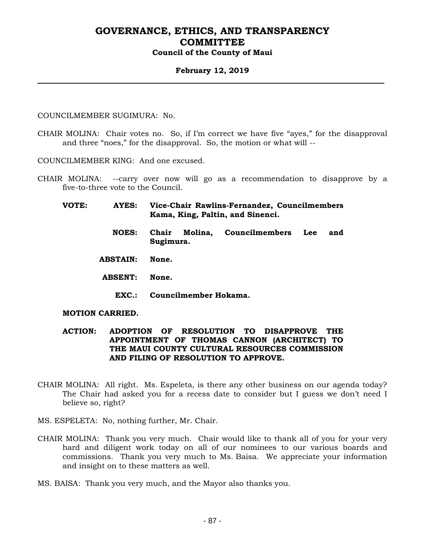#### **February 12, 2019**

COUNCILMEMBER SUGIMURA: No.

CHAIR MOLINA: Chair votes no. So, if I'm correct we have five "ayes," for the disapproval and three "noes," for the disapproval. So, the motion or what will --

COUNCILMEMBER KING: And one excused.

- CHAIR MOLINA: --carry over now will go as a recommendation to disapprove by a five-to-three vote to the Council.
	- **VOTE: AYES: Vice-Chair Rawlins-Fernandez, Councilmembers Kama, King, Paltin, and Sinenci.**
		- **NOES: Chair Molina, Councilmembers Lee and Sugimura.**
		- **ABSTAIN: None.**
		- **ABSENT: None.**
			- **EXC.: Councilmember Hokama.**

#### **MOTION CARRIED.**

#### **ACTION: ADOPTION OF RESOLUTION TO DISAPPROVE THE APPOINTMENT OF THOMAS CANNON (ARCHITECT) TO THE MAUI COUNTY CULTURAL RESOURCES COMMISSION AND FILING OF RESOLUTION TO APPROVE.**

- CHAIR MOLINA: All right. Ms. Espeleta, is there any other business on our agenda today? The Chair had asked you for a recess date to consider but I guess we don't need I believe so, right?
- MS. ESPELETA: No, nothing further, Mr. Chair.
- CHAIR MOLINA: Thank you very much. Chair would like to thank all of you for your very hard and diligent work today on all of our nominees to our various boards and commissions. Thank you very much to Ms. Baisa. We appreciate your information and insight on to these matters as well.
- MS. BAISA: Thank you very much, and the Mayor also thanks you.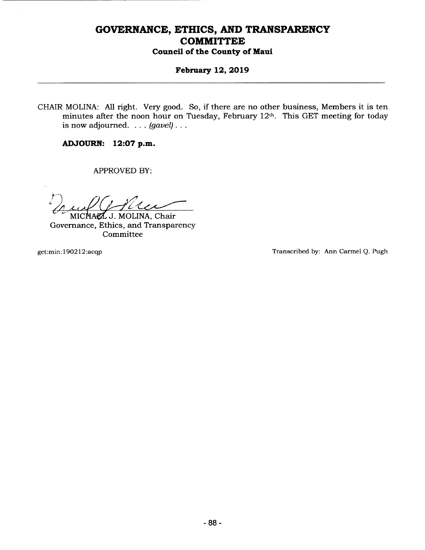## **February 12, 2019**

CHAIR MOLINA: All right. Very good. So, if there are no other business, Members it is ten minutes after the noon hour on Tuesday, February 12th. This GET meeting for today is now adjourned.  $\ldots$  (gavel)...

**ADJOURN: 12:07 p.m.** 

------------------------------

APPROVED BY:

MICHAEL J. MOLINA, Chair Governance, Ethics, and Transparency Committee

get: min: 190212: acqp Transcribed by: Ann Carmel Q. Pugh